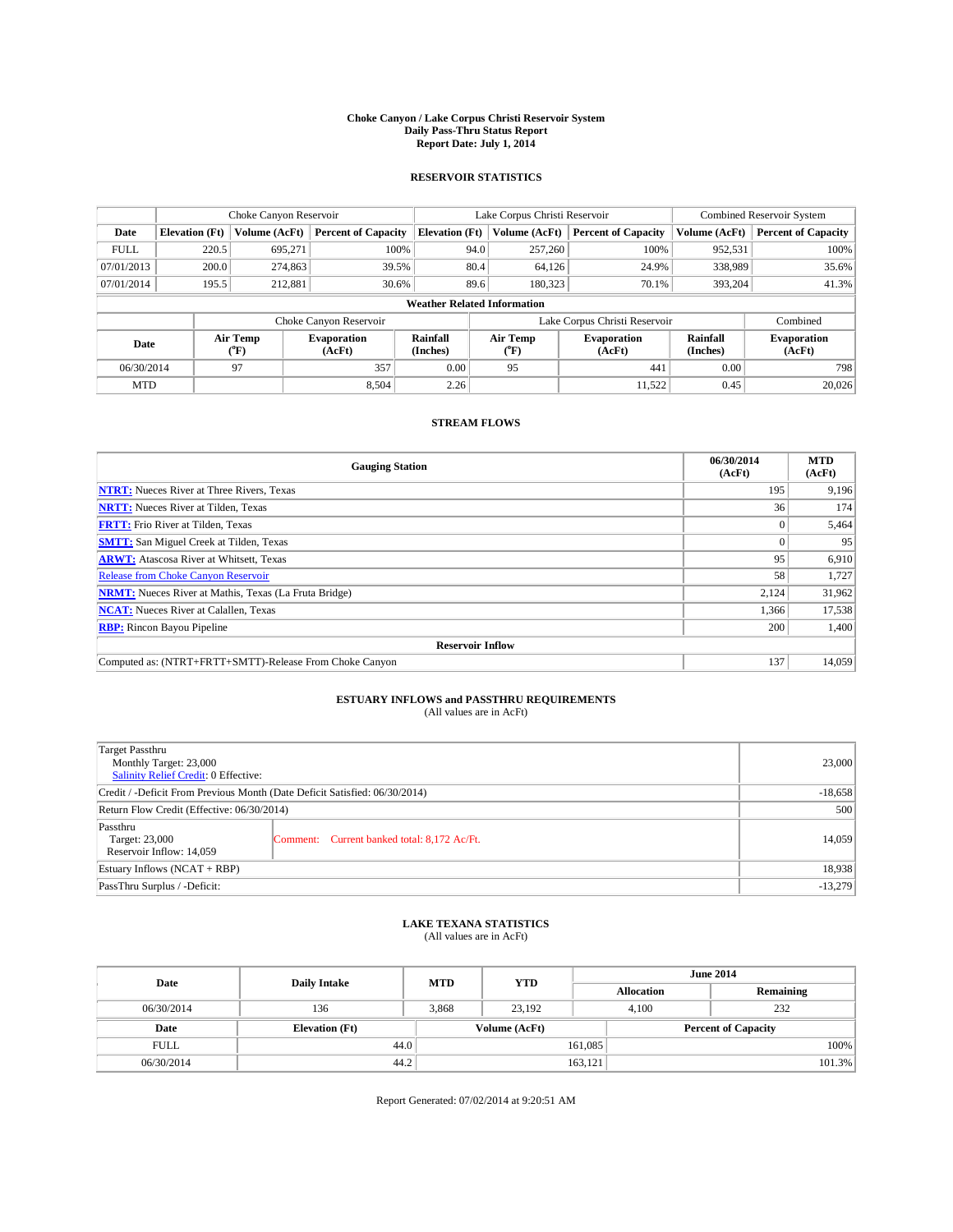#### **Choke Canyon / Lake Corpus Christi Reservoir System Daily Pass-Thru Status Report Report Date: July 1, 2014**

### **RESERVOIR STATISTICS**

|             | Choke Canyon Reservoir             |                  |                              |                       | Lake Corpus Christi Reservoir | <b>Combined Reservoir System</b> |                      |                              |  |
|-------------|------------------------------------|------------------|------------------------------|-----------------------|-------------------------------|----------------------------------|----------------------|------------------------------|--|
| Date        | <b>Elevation</b> (Ft)              | Volume (AcFt)    | <b>Percent of Capacity</b>   | <b>Elevation (Ft)</b> | Volume (AcFt)                 | <b>Percent of Capacity</b>       | Volume (AcFt)        | Percent of Capacity          |  |
| <b>FULL</b> | 220.5                              | 695,271          | 100%                         | 94.0                  | 257,260                       | 100%                             | 952,531              | 100%                         |  |
| 07/01/2013  | 200.0                              | 274,863          | 39.5%                        | 80.4                  | 64,126                        | 24.9%                            | 338,989              | 35.6%                        |  |
| 07/01/2014  | 195.5                              | 212,881          | 30.6%                        | 89.6                  | 180.323                       | 70.1%                            | 393,204              | 41.3%                        |  |
|             | <b>Weather Related Information</b> |                  |                              |                       |                               |                                  |                      |                              |  |
|             |                                    |                  | Choke Canyon Reservoir       |                       |                               | Lake Corpus Christi Reservoir    |                      | Combined                     |  |
| Date        |                                    | Air Temp<br>(°F) | <b>Evaporation</b><br>(AcFt) | Rainfall<br>(Inches)  | Air Temp<br>("F)              | <b>Evaporation</b><br>(AcFt)     | Rainfall<br>(Inches) | <b>Evaporation</b><br>(AcFt) |  |
| 06/30/2014  |                                    | 97               | 357                          | 0.00                  | 95                            | 441                              | 0.00                 | 798                          |  |
| <b>MTD</b>  |                                    |                  | 8.504                        | 2.26                  |                               | 11.522                           | 0.45                 | 20,026                       |  |

## **STREAM FLOWS**

| <b>Gauging Station</b>                                       | 06/30/2014<br>(AcFt) | <b>MTD</b><br>(AcFt) |  |  |  |
|--------------------------------------------------------------|----------------------|----------------------|--|--|--|
| <b>NTRT:</b> Nueces River at Three Rivers, Texas             | 195                  | 9,196                |  |  |  |
| <b>NRTT:</b> Nueces River at Tilden, Texas                   | 36                   | 174                  |  |  |  |
| <b>FRTT:</b> Frio River at Tilden, Texas                     |                      | 5,464                |  |  |  |
| <b>SMTT:</b> San Miguel Creek at Tilden, Texas               |                      | 95                   |  |  |  |
| <b>ARWT:</b> Atascosa River at Whitsett, Texas               | 95                   | 6,910                |  |  |  |
| <b>Release from Choke Canyon Reservoir</b>                   | 58                   | 1,727                |  |  |  |
| <b>NRMT:</b> Nueces River at Mathis, Texas (La Fruta Bridge) | 2,124                | 31,962               |  |  |  |
| <b>NCAT:</b> Nueces River at Calallen, Texas                 | 1,366                | 17,538               |  |  |  |
| <b>RBP:</b> Rincon Bayou Pipeline                            | 200                  | 1,400                |  |  |  |
| <b>Reservoir Inflow</b>                                      |                      |                      |  |  |  |
| Computed as: (NTRT+FRTT+SMTT)-Release From Choke Canyon      | 137                  | 14,059               |  |  |  |

## **ESTUARY INFLOWS and PASSTHRU REQUIREMENTS**<br>(All values are in AcFt)

| Target Passthru<br>Monthly Target: 23,000<br>Salinity Relief Credit: 0 Effective: |                                             | 23,000 |  |
|-----------------------------------------------------------------------------------|---------------------------------------------|--------|--|
| Credit / -Deficit From Previous Month (Date Deficit Satisfied: 06/30/2014)        |                                             |        |  |
| Return Flow Credit (Effective: 06/30/2014)                                        | 500                                         |        |  |
| Passthru<br>Target: 23,000<br>Reservoir Inflow: 14,059                            | Comment: Current banked total: 8,172 Ac/Ft. | 14,059 |  |
| Estuary Inflows (NCAT + RBP)                                                      |                                             | 18,938 |  |
| PassThru Surplus / -Deficit:                                                      |                                             |        |  |

## **LAKE TEXANA STATISTICS** (All values are in AcFt)

| Date        | <b>Daily Intake</b>   | <b>MTD</b> | <b>June 2014</b><br><b>YTD</b> |                   |                            |           |
|-------------|-----------------------|------------|--------------------------------|-------------------|----------------------------|-----------|
|             |                       |            |                                | <b>Allocation</b> |                            | Remaining |
| 06/30/2014  | 136                   | 3,868      | 23,192                         | 4,100             |                            | 232       |
| Date        | <b>Elevation</b> (Ft) |            | Volume (AcFt)                  |                   | <b>Percent of Capacity</b> |           |
| <b>FULL</b> | 44.0                  |            |                                | 161,085           |                            | 100%      |
| 06/30/2014  | 44.2                  |            |                                | 163,121           |                            | 101.3%    |

Report Generated: 07/02/2014 at 9:20:51 AM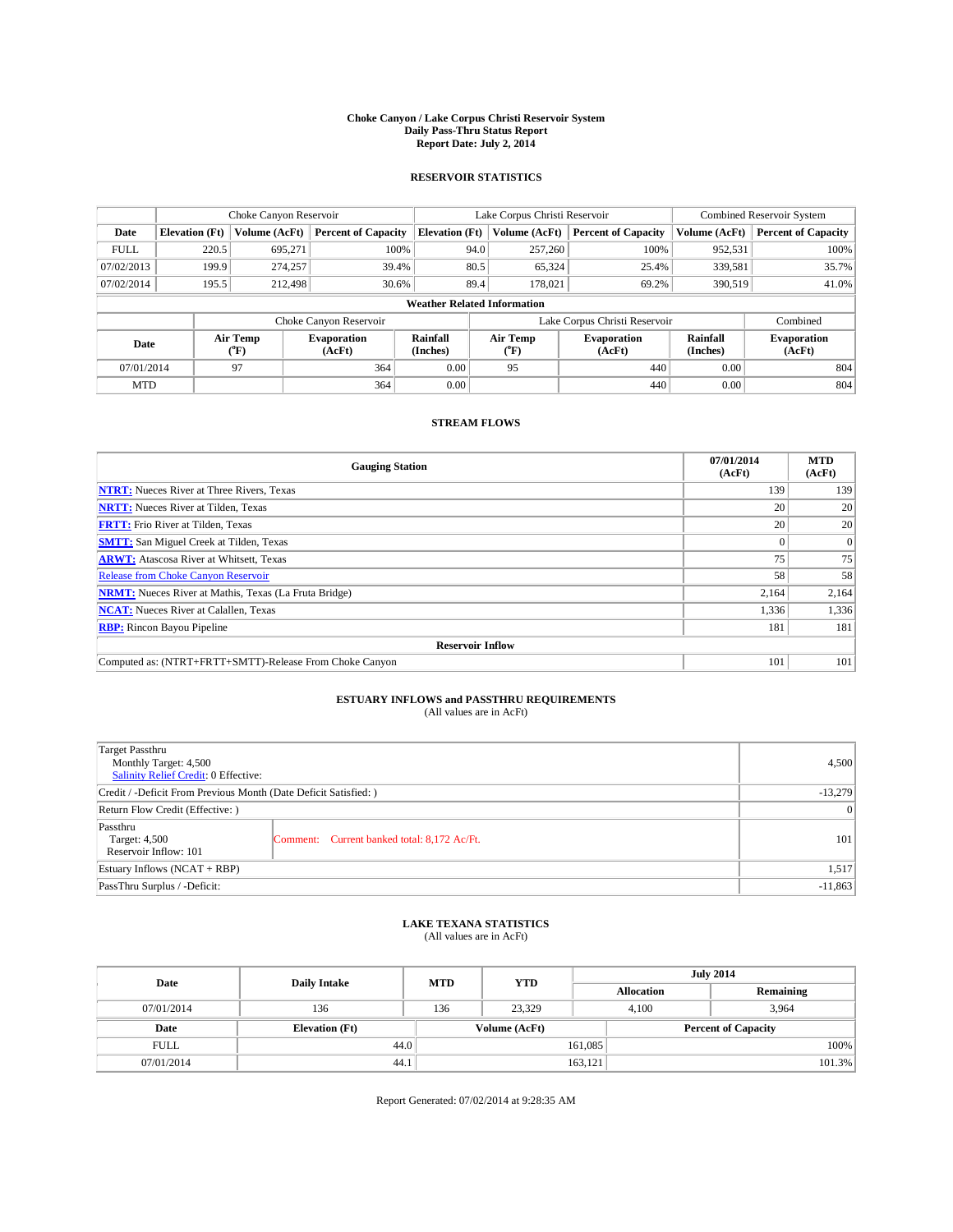#### **Choke Canyon / Lake Corpus Christi Reservoir System Daily Pass-Thru Status Report Report Date: July 2, 2014**

### **RESERVOIR STATISTICS**

|             | Choke Canyon Reservoir             |                  |                              |                       | Lake Corpus Christi Reservoir | <b>Combined Reservoir System</b> |                      |                              |  |
|-------------|------------------------------------|------------------|------------------------------|-----------------------|-------------------------------|----------------------------------|----------------------|------------------------------|--|
| Date        | <b>Elevation</b> (Ft)              | Volume (AcFt)    | <b>Percent of Capacity</b>   | <b>Elevation (Ft)</b> | Volume (AcFt)                 | <b>Percent of Capacity</b>       | Volume (AcFt)        | Percent of Capacity          |  |
| <b>FULL</b> | 220.5                              | 695,271          | 100%                         | 94.0                  | 257,260                       | 100%                             | 952,531              | 100%                         |  |
| 07/02/2013  | 199.9                              | 274,257          | 39.4%                        | 80.5                  | 65,324                        | 25.4%                            | 339,581              | 35.7%                        |  |
| 07/02/2014  | 195.5                              | 212,498          | 30.6%                        | 89.4                  | 178,021                       | 69.2%                            | 390,519              | $41.0\%$                     |  |
|             | <b>Weather Related Information</b> |                  |                              |                       |                               |                                  |                      |                              |  |
|             |                                    |                  | Choke Canyon Reservoir       |                       |                               | Lake Corpus Christi Reservoir    |                      | Combined                     |  |
| Date        |                                    | Air Temp<br>(°F) | <b>Evaporation</b><br>(AcFt) | Rainfall<br>(Inches)  | Air Temp<br>("F)              | <b>Evaporation</b><br>(AcFt)     | Rainfall<br>(Inches) | <b>Evaporation</b><br>(AcFt) |  |
| 07/01/2014  |                                    | 97               | 364                          | 0.00                  | 95                            | 440                              | 0.00                 | 804                          |  |
| <b>MTD</b>  |                                    |                  | 364                          | 0.00                  |                               | 440                              | 0.00                 | 804                          |  |

## **STREAM FLOWS**

| <b>Gauging Station</b>                                       | 07/01/2014<br>(AcFt) | <b>MTD</b><br>(AcFt) |  |  |  |
|--------------------------------------------------------------|----------------------|----------------------|--|--|--|
| <b>NTRT:</b> Nueces River at Three Rivers, Texas             | 139                  | 139                  |  |  |  |
| <b>NRTT:</b> Nueces River at Tilden, Texas                   | 20                   | 20                   |  |  |  |
| <b>FRTT:</b> Frio River at Tilden, Texas                     | 20                   | 20                   |  |  |  |
| <b>SMTT:</b> San Miguel Creek at Tilden, Texas               |                      | $\overline{0}$       |  |  |  |
| <b>ARWT:</b> Atascosa River at Whitsett, Texas               | 75                   | 75                   |  |  |  |
| Release from Choke Canyon Reservoir                          | 58                   | 58                   |  |  |  |
| <b>NRMT:</b> Nueces River at Mathis, Texas (La Fruta Bridge) | 2,164                | 2,164                |  |  |  |
| <b>NCAT:</b> Nueces River at Calallen, Texas                 | 1,336                | 1,336                |  |  |  |
| <b>RBP:</b> Rincon Bayou Pipeline                            | 181                  | 181                  |  |  |  |
| <b>Reservoir Inflow</b>                                      |                      |                      |  |  |  |
| Computed as: (NTRT+FRTT+SMTT)-Release From Choke Canyon      | 101                  | 101                  |  |  |  |

## **ESTUARY INFLOWS and PASSTHRU REQUIREMENTS**<br>(All values are in AcFt)

| Target Passthru<br>Monthly Target: 4,500<br>Salinity Relief Credit: 0 Effective: |                                             | 4,500           |
|----------------------------------------------------------------------------------|---------------------------------------------|-----------------|
| Credit / -Deficit From Previous Month (Date Deficit Satisfied: )                 | $-13,279$                                   |                 |
| Return Flow Credit (Effective: )                                                 |                                             | $\vert 0 \vert$ |
| Passthru<br>Target: 4,500<br>Reservoir Inflow: 101                               | Comment: Current banked total: 8,172 Ac/Ft. | 101             |
| Estuary Inflows (NCAT + RBP)                                                     |                                             | 1,517           |
| PassThru Surplus / -Deficit:                                                     |                                             | $-11,863$       |

## **LAKE TEXANA STATISTICS** (All values are in AcFt)

| Date        | <b>Daily Intake</b>   | <b>MTD</b>    | <b>YTD</b> |                   | <b>July 2014</b>           |  |  |
|-------------|-----------------------|---------------|------------|-------------------|----------------------------|--|--|
|             |                       |               |            | <b>Allocation</b> | Remaining                  |  |  |
| 07/01/2014  | 136                   | 136           | 23,329     | 4,100             | 3,964                      |  |  |
| Date        | <b>Elevation</b> (Ft) | Volume (AcFt) |            |                   | <b>Percent of Capacity</b> |  |  |
| <b>FULL</b> | 44.0                  |               |            | 161,085           | 100%                       |  |  |
| 07/01/2014  | 44.1                  |               |            | 163,121           | 101.3%                     |  |  |

Report Generated: 07/02/2014 at 9:28:35 AM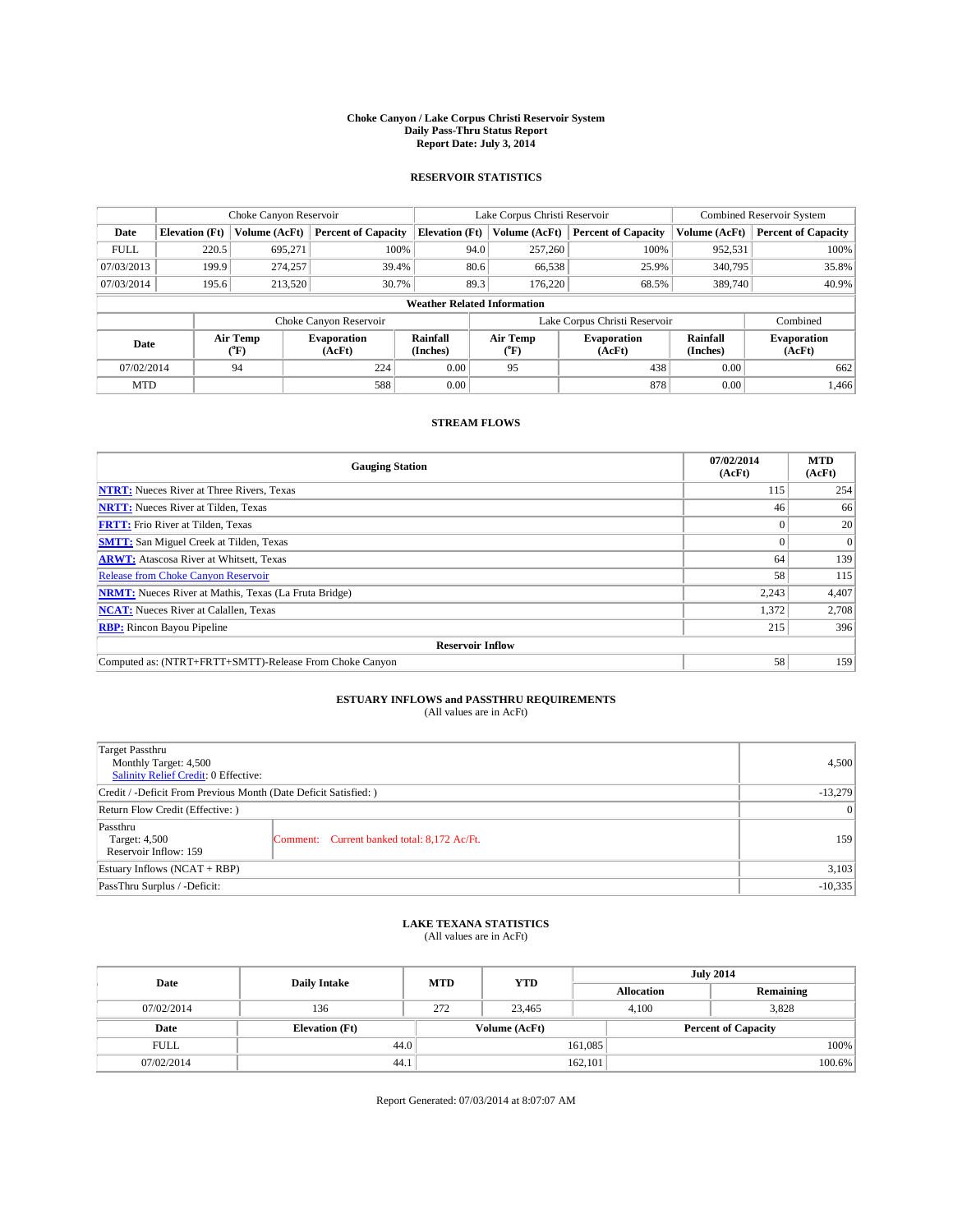#### **Choke Canyon / Lake Corpus Christi Reservoir System Daily Pass-Thru Status Report Report Date: July 3, 2014**

### **RESERVOIR STATISTICS**

|             | Choke Canyon Reservoir             |                  |                              |                       | Lake Corpus Christi Reservoir | <b>Combined Reservoir System</b> |                      |                              |  |
|-------------|------------------------------------|------------------|------------------------------|-----------------------|-------------------------------|----------------------------------|----------------------|------------------------------|--|
| Date        | <b>Elevation</b> (Ft)              | Volume (AcFt)    | <b>Percent of Capacity</b>   | <b>Elevation (Ft)</b> | Volume (AcFt)                 | <b>Percent of Capacity</b>       | Volume (AcFt)        | Percent of Capacity          |  |
| <b>FULL</b> | 220.5                              | 695,271          | 100%                         | 94.0                  | 257,260                       | 100%                             | 952,531              | 100%                         |  |
| 07/03/2013  | 199.9                              | 274,257          | 39.4%                        | 80.6                  | 66,538                        | 25.9%                            | 340,795              | 35.8%                        |  |
| 07/03/2014  | 195.6                              | 213,520          | 30.7%                        | 89.3                  | 176,220                       | 68.5%                            | 389,740              | $40.9\%$                     |  |
|             | <b>Weather Related Information</b> |                  |                              |                       |                               |                                  |                      |                              |  |
|             |                                    |                  | Choke Canyon Reservoir       |                       |                               | Lake Corpus Christi Reservoir    |                      | Combined                     |  |
| Date        |                                    | Air Temp<br>(°F) | <b>Evaporation</b><br>(AcFt) | Rainfall<br>(Inches)  | Air Temp<br>("F)              | <b>Evaporation</b><br>(AcFt)     | Rainfall<br>(Inches) | <b>Evaporation</b><br>(AcFt) |  |
| 07/02/2014  |                                    | 94               | 224                          | 0.00                  | 95                            | 438                              | 0.00                 | 662                          |  |
| <b>MTD</b>  |                                    |                  | 588                          | 0.00                  |                               | 878                              | 0.00                 | 1.466                        |  |

## **STREAM FLOWS**

| <b>Gauging Station</b>                                       | 07/02/2014<br>(AcFt) | <b>MTD</b><br>(AcFt) |  |  |  |
|--------------------------------------------------------------|----------------------|----------------------|--|--|--|
| <b>NTRT:</b> Nueces River at Three Rivers, Texas             | 115                  | 254                  |  |  |  |
| <b>NRTT:</b> Nueces River at Tilden, Texas                   | 46                   | 66                   |  |  |  |
| <b>FRTT:</b> Frio River at Tilden, Texas                     |                      | 20                   |  |  |  |
| <b>SMTT:</b> San Miguel Creek at Tilden, Texas               |                      | $\Omega$             |  |  |  |
| <b>ARWT:</b> Atascosa River at Whitsett, Texas               | 64                   | 139                  |  |  |  |
| <b>Release from Choke Canyon Reservoir</b>                   | 58                   | 115                  |  |  |  |
| <b>NRMT:</b> Nueces River at Mathis, Texas (La Fruta Bridge) | 2,243                | 4,407                |  |  |  |
| <b>NCAT:</b> Nueces River at Calallen, Texas                 | 1,372                | 2,708                |  |  |  |
| <b>RBP:</b> Rincon Bayou Pipeline                            | 215                  | 396                  |  |  |  |
| <b>Reservoir Inflow</b>                                      |                      |                      |  |  |  |
| Computed as: (NTRT+FRTT+SMTT)-Release From Choke Canyon      | 58                   | 159                  |  |  |  |

# **ESTUARY INFLOWS and PASSTHRU REQUIREMENTS**<br>(All values are in AcFt)

| Target Passthru<br>Monthly Target: 4,500<br>Salinity Relief Credit: 0 Effective: |                                             | 4.500     |
|----------------------------------------------------------------------------------|---------------------------------------------|-----------|
| Credit / -Deficit From Previous Month (Date Deficit Satisfied: )                 |                                             | $-13,279$ |
| Return Flow Credit (Effective: )                                                 |                                             | $\vert$ 0 |
| Passthru<br>Target: 4,500<br>Reservoir Inflow: 159                               | Comment: Current banked total: 8,172 Ac/Ft. | 159       |
| Estuary Inflows (NCAT + RBP)                                                     |                                             | 3,103     |
| PassThru Surplus / -Deficit:                                                     |                                             | $-10,335$ |

# **LAKE TEXANA STATISTICS** (All values are in AcFt)

| Date        | <b>Daily Intake</b>   | <b>MTD</b> | <b>YTD</b>    |                   | <b>July 2014</b>           |  |
|-------------|-----------------------|------------|---------------|-------------------|----------------------------|--|
|             |                       |            |               | <b>Allocation</b> | Remaining                  |  |
| 07/02/2014  | 136                   | 272        | 23,465        | 4,100             | 3,828                      |  |
| Date        | <b>Elevation</b> (Ft) |            | Volume (AcFt) |                   | <b>Percent of Capacity</b> |  |
| <b>FULL</b> | 44.0                  |            |               | 161,085           | 100%                       |  |
| 07/02/2014  | 44.1                  |            |               | 162,101           | 100.6%                     |  |

Report Generated: 07/03/2014 at 8:07:07 AM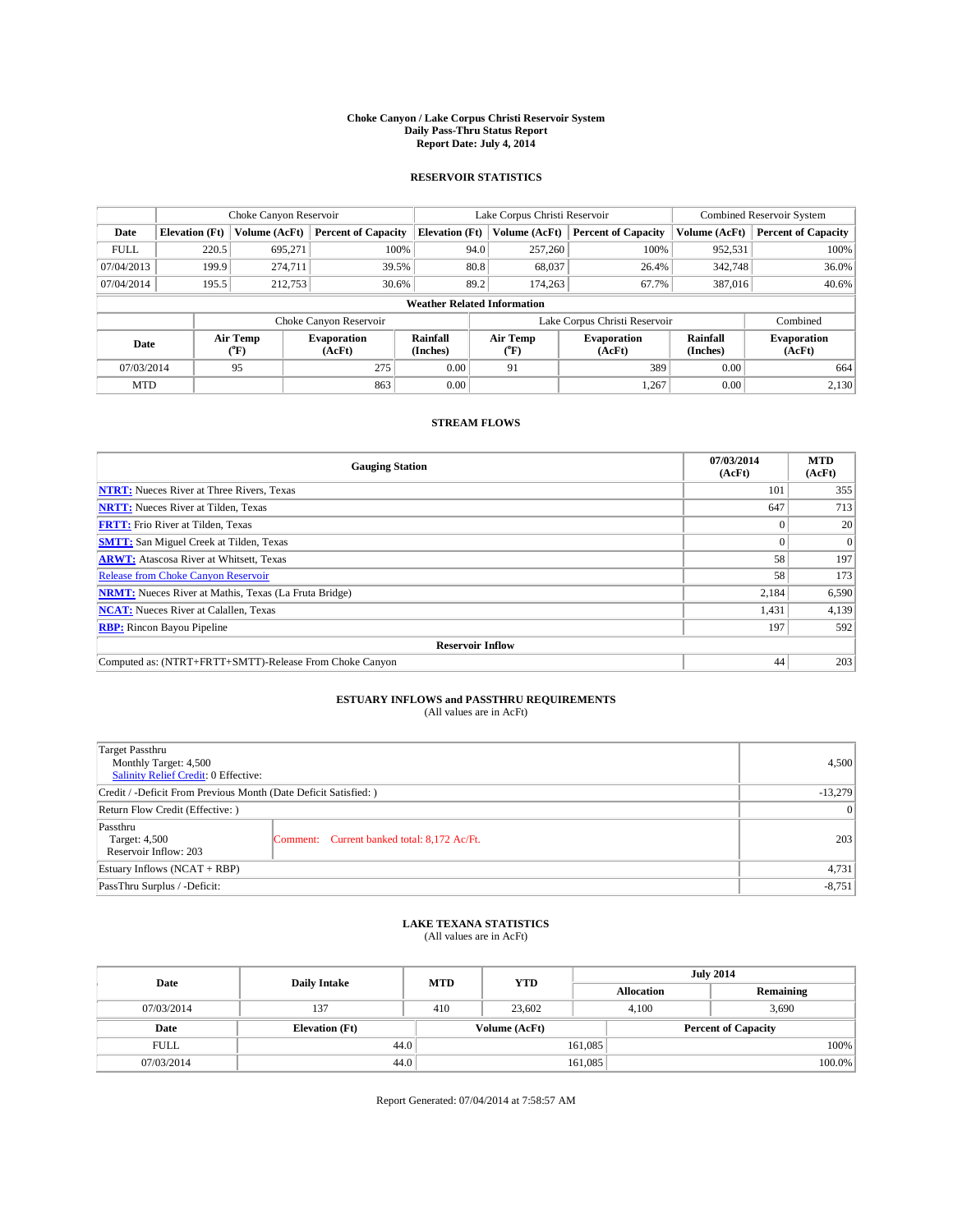#### **Choke Canyon / Lake Corpus Christi Reservoir System Daily Pass-Thru Status Report Report Date: July 4, 2014**

### **RESERVOIR STATISTICS**

|             | Choke Canyon Reservoir |                  |                              |                                    | Lake Corpus Christi Reservoir | <b>Combined Reservoir System</b> |                      |                              |
|-------------|------------------------|------------------|------------------------------|------------------------------------|-------------------------------|----------------------------------|----------------------|------------------------------|
| Date        | <b>Elevation</b> (Ft)  | Volume (AcFt)    | <b>Percent of Capacity</b>   | <b>Elevation (Ft)</b>              | Volume (AcFt)                 | <b>Percent of Capacity</b>       | Volume (AcFt)        | Percent of Capacity          |
| <b>FULL</b> | 220.5                  | 695,271          | 100%                         | 94.0                               | 257,260                       | 100%                             | 952,531              | 100%                         |
| 07/04/2013  | 199.9                  | 274,711          | 39.5%                        | 80.8                               | 68,037                        | 26.4%                            | 342,748              | $36.0\%$                     |
| 07/04/2014  | 195.5                  | 212,753          | 30.6%                        | 89.2                               | 174.263                       | 67.7%                            | 387,016              | $40.6\%$                     |
|             |                        |                  |                              | <b>Weather Related Information</b> |                               |                                  |                      |                              |
|             |                        |                  | Choke Canyon Reservoir       |                                    |                               | Lake Corpus Christi Reservoir    |                      | Combined                     |
| Date        |                        | Air Temp<br>(°F) | <b>Evaporation</b><br>(AcFt) | Rainfall<br>(Inches)               | Air Temp<br>("F)              | <b>Evaporation</b><br>(AcFt)     | Rainfall<br>(Inches) | <b>Evaporation</b><br>(AcFt) |
| 07/03/2014  |                        | 95               | 275                          | 0.00                               | 91                            | 389                              | 0.00                 | 664                          |
| <b>MTD</b>  |                        |                  | 863                          | 0.00                               |                               | 1.267                            | 0.00                 | 2,130                        |

## **STREAM FLOWS**

| <b>Gauging Station</b>                                       | 07/03/2014<br>(AcFt) | <b>MTD</b><br>(AcFt) |  |  |  |  |
|--------------------------------------------------------------|----------------------|----------------------|--|--|--|--|
| <b>NTRT:</b> Nueces River at Three Rivers, Texas             | 101                  | 355                  |  |  |  |  |
| <b>NRTT:</b> Nueces River at Tilden, Texas                   | 647                  | 713                  |  |  |  |  |
| <b>FRTT:</b> Frio River at Tilden, Texas                     |                      | 20                   |  |  |  |  |
| <b>SMTT:</b> San Miguel Creek at Tilden, Texas               |                      | $\Omega$             |  |  |  |  |
| <b>ARWT:</b> Atascosa River at Whitsett, Texas               | 58                   | 197                  |  |  |  |  |
| <b>Release from Choke Canyon Reservoir</b>                   | 58                   | 173                  |  |  |  |  |
| <b>NRMT:</b> Nueces River at Mathis, Texas (La Fruta Bridge) | 2,184                | 6,590                |  |  |  |  |
| <b>NCAT:</b> Nueces River at Calallen, Texas                 | 1,431                | 4,139                |  |  |  |  |
| <b>RBP:</b> Rincon Bayou Pipeline                            | 197                  | 592                  |  |  |  |  |
| <b>Reservoir Inflow</b>                                      |                      |                      |  |  |  |  |
| Computed as: (NTRT+FRTT+SMTT)-Release From Choke Canyon      | 44                   | 203                  |  |  |  |  |

# **ESTUARY INFLOWS and PASSTHRU REQUIREMENTS**<br>(All values are in AcFt)

| Target Passthru<br>Monthly Target: 4,500<br>Salinity Relief Credit: 0 Effective: |                                             | 4.500 |
|----------------------------------------------------------------------------------|---------------------------------------------|-------|
| Credit / -Deficit From Previous Month (Date Deficit Satisfied: )                 | $-13,279$                                   |       |
| Return Flow Credit (Effective: )                                                 | $\vert$ 0                                   |       |
| Passthru<br>Target: 4,500<br>Reservoir Inflow: 203                               | Comment: Current banked total: 8,172 Ac/Ft. | 203   |
| Estuary Inflows (NCAT + RBP)                                                     | 4,731                                       |       |
| PassThru Surplus / -Deficit:                                                     | $-8,751$                                    |       |

## **LAKE TEXANA STATISTICS** (All values are in AcFt)

| Date        | <b>Daily Intake</b>   | <b>MTD</b> | <b>YTD</b>    | <b>July 2014</b>  |                            |           |  |
|-------------|-----------------------|------------|---------------|-------------------|----------------------------|-----------|--|
|             |                       |            |               | <b>Allocation</b> |                            | Remaining |  |
| 07/03/2014  | 137                   | 410        | 23,602        | 4,100             |                            | 3,690     |  |
| Date        | <b>Elevation</b> (Ft) |            | Volume (AcFt) |                   | <b>Percent of Capacity</b> |           |  |
| <b>FULL</b> | 44.0                  |            |               | 161,085           |                            | 100%      |  |
| 07/03/2014  | 44.0                  |            |               | 161,085           |                            | 100.0%    |  |

Report Generated: 07/04/2014 at 7:58:57 AM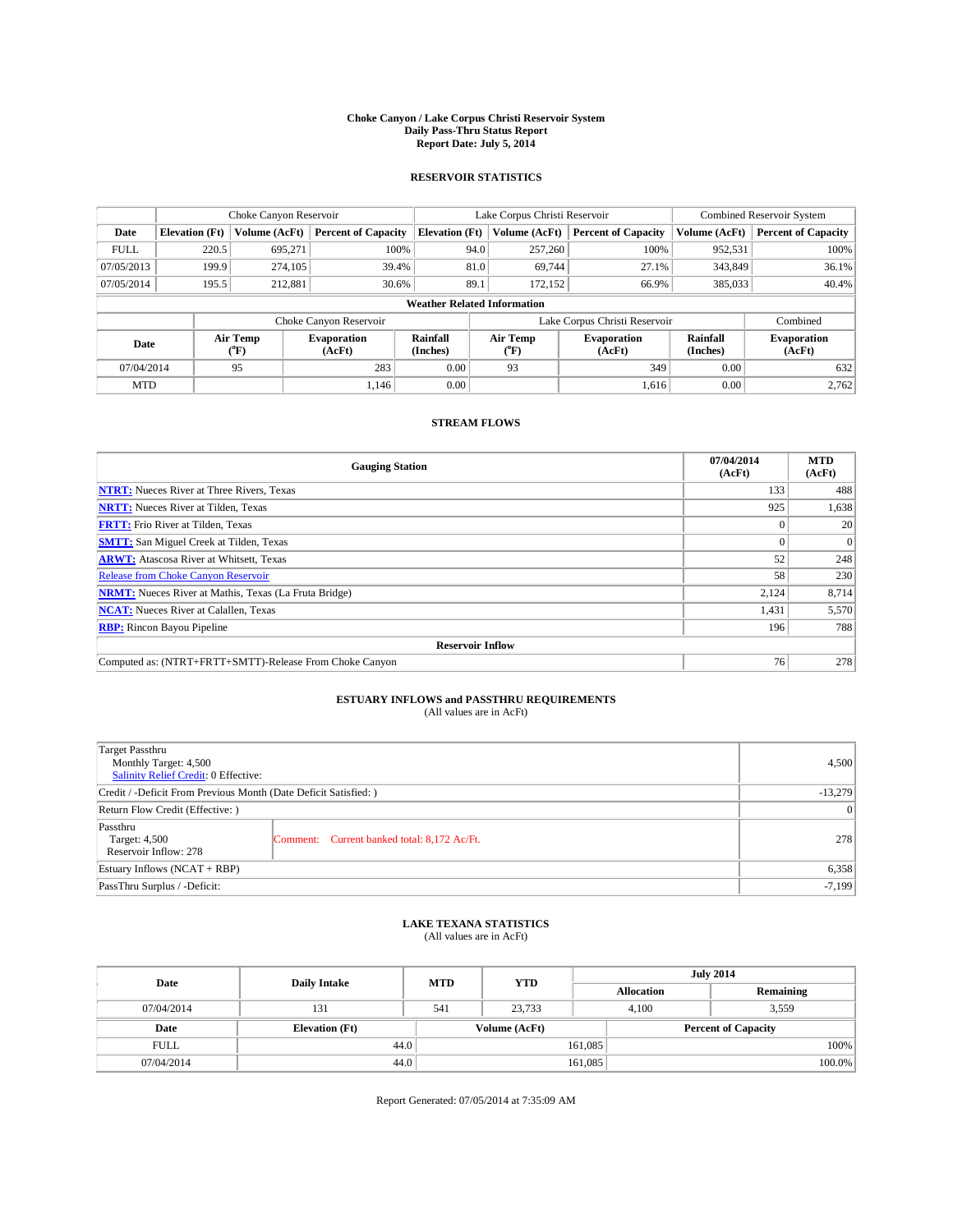#### **Choke Canyon / Lake Corpus Christi Reservoir System Daily Pass-Thru Status Report Report Date: July 5, 2014**

### **RESERVOIR STATISTICS**

|             |                       | Choke Canyon Reservoir |                              |                                    | Lake Corpus Christi Reservoir | <b>Combined Reservoir System</b> |                      |                              |
|-------------|-----------------------|------------------------|------------------------------|------------------------------------|-------------------------------|----------------------------------|----------------------|------------------------------|
| Date        | <b>Elevation</b> (Ft) | Volume (AcFt)          | <b>Percent of Capacity</b>   | <b>Elevation (Ft)</b>              | Volume (AcFt)                 | <b>Percent of Capacity</b>       | Volume (AcFt)        | <b>Percent of Capacity</b>   |
| <b>FULL</b> | 220.5                 | 695,271                | 100%                         | 94.0                               | 257,260                       | 100%                             | 952,531              | 100%                         |
| 07/05/2013  | 199.9                 | 274,105                | 39.4%                        | 81.0                               | 69,744                        | 27.1%                            | 343,849              | 36.1%                        |
| 07/05/2014  | 195.5                 | 212,881                | 30.6%                        | 89.1                               | 172.152                       | 66.9%                            | 385,033              | 40.4%                        |
|             |                       |                        |                              | <b>Weather Related Information</b> |                               |                                  |                      |                              |
|             |                       |                        | Choke Canyon Reservoir       |                                    |                               | Lake Corpus Christi Reservoir    |                      | Combined                     |
| Date        |                       | Air Temp<br>(°F)       | <b>Evaporation</b><br>(AcFt) | Rainfall<br>(Inches)               | Air Temp<br>(°F)              | <b>Evaporation</b><br>(AcFt)     | Rainfall<br>(Inches) | <b>Evaporation</b><br>(AcFt) |
| 07/04/2014  |                       | 95                     | 283                          | 0.00                               | 93                            | 349                              | 0.00                 | 632                          |
| <b>MTD</b>  |                       |                        | 1.146                        | 0.00                               |                               | 1,616                            | 0.00                 | 2,762                        |

## **STREAM FLOWS**

| <b>Gauging Station</b>                                       | 07/04/2014<br>(AcFt) | <b>MTD</b><br>(AcFt) |  |  |  |  |
|--------------------------------------------------------------|----------------------|----------------------|--|--|--|--|
| <b>NTRT:</b> Nueces River at Three Rivers, Texas             | 133                  | 488                  |  |  |  |  |
| <b>NRTT:</b> Nueces River at Tilden, Texas                   | 925                  | 1,638                |  |  |  |  |
| <b>FRTT:</b> Frio River at Tilden, Texas                     |                      | 20                   |  |  |  |  |
| <b>SMTT:</b> San Miguel Creek at Tilden, Texas               |                      | $\Omega$             |  |  |  |  |
| <b>ARWT:</b> Atascosa River at Whitsett, Texas               | 52                   | 248                  |  |  |  |  |
| <b>Release from Choke Canyon Reservoir</b>                   | 58                   | 230                  |  |  |  |  |
| <b>NRMT:</b> Nueces River at Mathis, Texas (La Fruta Bridge) | 2,124                | 8,714                |  |  |  |  |
| <b>NCAT:</b> Nueces River at Calallen, Texas                 | 1,431                | 5,570                |  |  |  |  |
| <b>RBP:</b> Rincon Bayou Pipeline                            | 196                  | 788                  |  |  |  |  |
| <b>Reservoir Inflow</b>                                      |                      |                      |  |  |  |  |
| Computed as: (NTRT+FRTT+SMTT)-Release From Choke Canyon      | 76                   | 278                  |  |  |  |  |

## **ESTUARY INFLOWS and PASSTHRU REQUIREMENTS**<br>(All values are in AcFt)

| Target Passthru<br>Monthly Target: 4,500<br>Salinity Relief Credit: 0 Effective: |                                             | 4,500 |  |  |
|----------------------------------------------------------------------------------|---------------------------------------------|-------|--|--|
| Credit / -Deficit From Previous Month (Date Deficit Satisfied: )                 |                                             |       |  |  |
| Return Flow Credit (Effective: )                                                 |                                             |       |  |  |
| Passthru<br>Target: 4,500<br>Reservoir Inflow: 278                               | Comment: Current banked total: 8,172 Ac/Ft. | 278   |  |  |
| Estuary Inflows (NCAT + RBP)                                                     |                                             |       |  |  |
| PassThru Surplus / -Deficit:                                                     | $-7,199$                                    |       |  |  |

## **LAKE TEXANA STATISTICS** (All values are in AcFt)

| Date        | <b>Daily Intake</b>   | <b>MTD</b> | <b>YTD</b>    | <b>July 2014</b>  |                            |           |  |
|-------------|-----------------------|------------|---------------|-------------------|----------------------------|-----------|--|
|             |                       |            |               | <b>Allocation</b> |                            | Remaining |  |
| 07/04/2014  | 131                   | 541        | 23,733        | 4,100             | 3,559                      |           |  |
| Date        | <b>Elevation</b> (Ft) |            | Volume (AcFt) |                   | <b>Percent of Capacity</b> |           |  |
| <b>FULL</b> | 44.0                  |            |               | 161,085           |                            | 100%      |  |
| 07/04/2014  | 44.0                  |            |               | 161,085           |                            | 100.0%    |  |

Report Generated: 07/05/2014 at 7:35:09 AM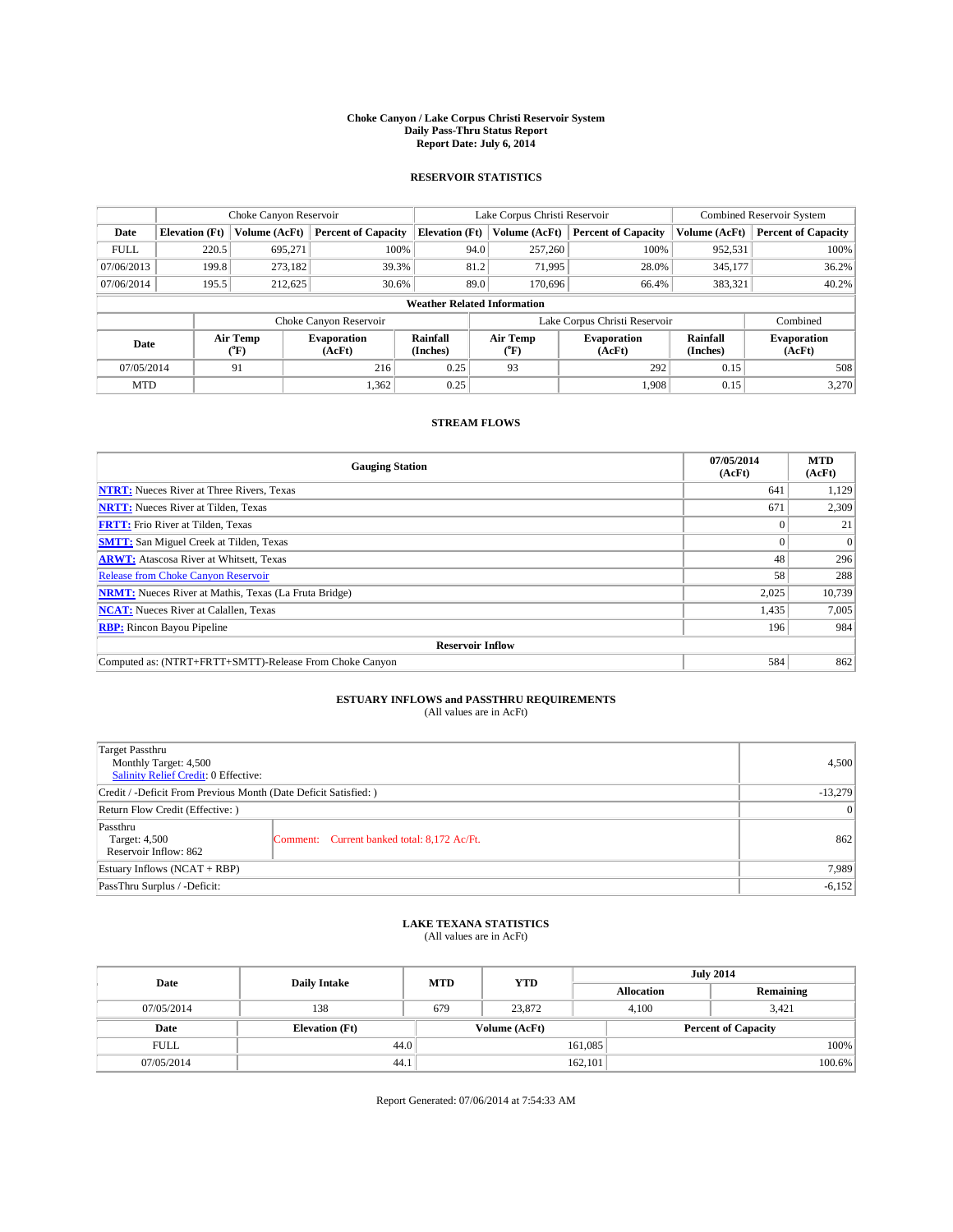#### **Choke Canyon / Lake Corpus Christi Reservoir System Daily Pass-Thru Status Report Report Date: July 6, 2014**

### **RESERVOIR STATISTICS**

|             | Choke Canyon Reservoir             |                  |                              |                       | Lake Corpus Christi Reservoir | <b>Combined Reservoir System</b> |                      |                              |  |
|-------------|------------------------------------|------------------|------------------------------|-----------------------|-------------------------------|----------------------------------|----------------------|------------------------------|--|
| Date        | <b>Elevation</b> (Ft)              | Volume (AcFt)    | <b>Percent of Capacity</b>   | <b>Elevation (Ft)</b> | Volume (AcFt)                 | <b>Percent of Capacity</b>       | Volume (AcFt)        | Percent of Capacity          |  |
| <b>FULL</b> | 220.5                              | 695,271          | 100%                         | 94.0                  | 257,260                       | 100%                             | 952,531              | 100%                         |  |
| 07/06/2013  | 199.8                              | 273,182          | 39.3%                        | 81.2                  | 71,995                        | 28.0%                            | 345,177              | $36.2\%$                     |  |
| 07/06/2014  | 195.5                              | 212,625          | 30.6%                        | 89.0                  | 170,696                       | 66.4%                            | 383,321              | $40.2\%$                     |  |
|             | <b>Weather Related Information</b> |                  |                              |                       |                               |                                  |                      |                              |  |
|             |                                    |                  | Choke Canyon Reservoir       |                       |                               | Lake Corpus Christi Reservoir    |                      | Combined                     |  |
| Date        |                                    | Air Temp<br>(°F) | <b>Evaporation</b><br>(AcFt) | Rainfall<br>(Inches)  | Air Temp<br>("F)              | <b>Evaporation</b><br>(AcFt)     | Rainfall<br>(Inches) | <b>Evaporation</b><br>(AcFt) |  |
| 07/05/2014  |                                    | 91               | 216                          | 0.25                  | 93                            | 292                              | 0.15                 | 508                          |  |
| <b>MTD</b>  |                                    |                  | 1,362                        | 0.25                  |                               | 1.908                            | 0.15                 | 3,270                        |  |

## **STREAM FLOWS**

| <b>Gauging Station</b>                                       | 07/05/2014<br>(AcFt) | <b>MTD</b><br>(AcFt) |  |  |  |  |
|--------------------------------------------------------------|----------------------|----------------------|--|--|--|--|
| <b>NTRT:</b> Nueces River at Three Rivers, Texas             | 641                  | 1,129                |  |  |  |  |
| <b>NRTT:</b> Nueces River at Tilden, Texas                   | 671                  | 2,309                |  |  |  |  |
| <b>FRTT:</b> Frio River at Tilden, Texas                     |                      | 21                   |  |  |  |  |
| <b>SMTT:</b> San Miguel Creek at Tilden, Texas               |                      | $\Omega$             |  |  |  |  |
| <b>ARWT:</b> Atascosa River at Whitsett, Texas               | 48                   | 296                  |  |  |  |  |
| <b>Release from Choke Canyon Reservoir</b>                   | 58                   | 288                  |  |  |  |  |
| <b>NRMT:</b> Nueces River at Mathis, Texas (La Fruta Bridge) | 2,025                | 10,739               |  |  |  |  |
| <b>NCAT:</b> Nueces River at Calallen, Texas                 | 1,435                | 7,005                |  |  |  |  |
| <b>RBP:</b> Rincon Bayou Pipeline                            | 196                  | 984                  |  |  |  |  |
| <b>Reservoir Inflow</b>                                      |                      |                      |  |  |  |  |
| Computed as: (NTRT+FRTT+SMTT)-Release From Choke Canyon      | 584                  | 862                  |  |  |  |  |

## **ESTUARY INFLOWS and PASSTHRU REQUIREMENTS**<br>(All values are in AcFt)

| Target Passthru<br>Monthly Target: 4,500<br>Salinity Relief Credit: 0 Effective: |                                             | 4.500 |
|----------------------------------------------------------------------------------|---------------------------------------------|-------|
| Credit / -Deficit From Previous Month (Date Deficit Satisfied: )                 | $-13,279$                                   |       |
| Return Flow Credit (Effective: )                                                 | $\vert$ 0                                   |       |
| Passthru<br>Target: 4,500<br>Reservoir Inflow: 862                               | Comment: Current banked total: 8,172 Ac/Ft. | 862   |
| Estuary Inflows (NCAT + RBP)                                                     | 7,989                                       |       |
| PassThru Surplus / -Deficit:                                                     | $-6,152$                                    |       |

# **LAKE TEXANA STATISTICS** (All values are in AcFt)

| Date        | <b>Daily Intake</b>   | <b>MTD</b> | <b>YTD</b>    | <b>July 2014</b>  |                            |           |  |
|-------------|-----------------------|------------|---------------|-------------------|----------------------------|-----------|--|
|             |                       |            |               | <b>Allocation</b> |                            | Remaining |  |
| 07/05/2014  | 138                   | 679        | 23,872        | 4,100             | 3,421                      |           |  |
| Date        | <b>Elevation</b> (Ft) |            | Volume (AcFt) |                   | <b>Percent of Capacity</b> |           |  |
| <b>FULL</b> | 44.0                  |            |               | 161,085           |                            | 100%      |  |
| 07/05/2014  | 44.1                  |            |               | 162,101           |                            | 100.6%    |  |

Report Generated: 07/06/2014 at 7:54:33 AM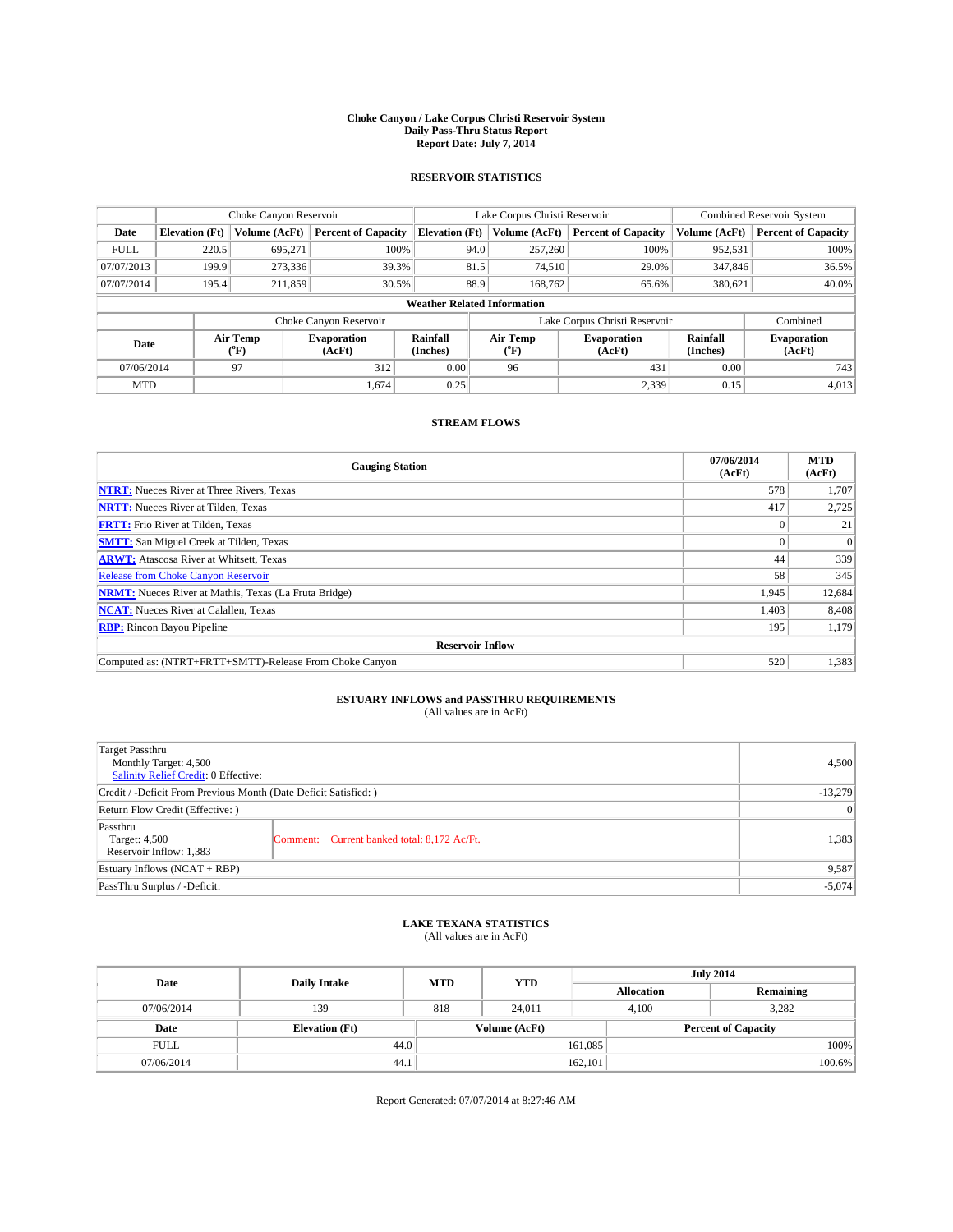#### **Choke Canyon / Lake Corpus Christi Reservoir System Daily Pass-Thru Status Report Report Date: July 7, 2014**

### **RESERVOIR STATISTICS**

|             | Choke Canyon Reservoir |                  |                              |                                    | Lake Corpus Christi Reservoir | <b>Combined Reservoir System</b> |                      |                              |
|-------------|------------------------|------------------|------------------------------|------------------------------------|-------------------------------|----------------------------------|----------------------|------------------------------|
| Date        | <b>Elevation</b> (Ft)  | Volume (AcFt)    | <b>Percent of Capacity</b>   | <b>Elevation (Ft)</b>              | Volume (AcFt)                 | <b>Percent of Capacity</b>       | Volume (AcFt)        | Percent of Capacity          |
| <b>FULL</b> | 220.5                  | 695,271          | 100%                         | 94.0                               | 257,260                       | 100%                             | 952,531              | 100%                         |
| 07/07/2013  | 199.9                  | 273,336          | 39.3%                        | 81.5                               | 74,510                        | 29.0%                            | 347,846              | 36.5%                        |
| 07/07/2014  | 195.4                  | 211,859          | 30.5%                        | 88.9                               | 168,762                       | 65.6%                            | 380,621              | $40.0\%$                     |
|             |                        |                  |                              | <b>Weather Related Information</b> |                               |                                  |                      |                              |
|             |                        |                  | Choke Canyon Reservoir       |                                    |                               | Lake Corpus Christi Reservoir    |                      | Combined                     |
| Date        |                        | Air Temp<br>(°F) | <b>Evaporation</b><br>(AcFt) | Rainfall<br>(Inches)               | Air Temp<br>("F)              | <b>Evaporation</b><br>(AcFt)     | Rainfall<br>(Inches) | <b>Evaporation</b><br>(AcFt) |
| 07/06/2014  |                        | 97               | 312                          | 0.00                               | 96                            | 431                              | 0.00                 | 743                          |
| <b>MTD</b>  |                        |                  | 1.674                        | 0.25                               |                               | 2,339                            | 0.15                 | 4.013                        |

## **STREAM FLOWS**

| <b>Gauging Station</b>                                       | 07/06/2014<br>(AcFt) | <b>MTD</b><br>(AcFt) |  |  |  |  |
|--------------------------------------------------------------|----------------------|----------------------|--|--|--|--|
| <b>NTRT:</b> Nueces River at Three Rivers, Texas             | 578                  | 1.707                |  |  |  |  |
| <b>NRTT:</b> Nueces River at Tilden, Texas                   | 417                  | 2,725                |  |  |  |  |
| <b>FRTT:</b> Frio River at Tilden, Texas                     |                      | 21                   |  |  |  |  |
| <b>SMTT:</b> San Miguel Creek at Tilden, Texas               |                      | $\overline{0}$       |  |  |  |  |
| <b>ARWT:</b> Atascosa River at Whitsett, Texas               | 44                   | 339                  |  |  |  |  |
| Release from Choke Canyon Reservoir                          | 58                   | 345                  |  |  |  |  |
| <b>NRMT:</b> Nueces River at Mathis, Texas (La Fruta Bridge) | 1,945                | 12,684               |  |  |  |  |
| <b>NCAT:</b> Nueces River at Calallen, Texas                 | 1,403                | 8,408                |  |  |  |  |
| <b>RBP:</b> Rincon Bayou Pipeline                            | 195                  | 1,179                |  |  |  |  |
| <b>Reservoir Inflow</b>                                      |                      |                      |  |  |  |  |
| Computed as: (NTRT+FRTT+SMTT)-Release From Choke Canyon      | 520                  | 1,383                |  |  |  |  |

## **ESTUARY INFLOWS and PASSTHRU REQUIREMENTS**<br>(All values are in AcFt)

| Target Passthru<br>Monthly Target: 4,500<br>Salinity Relief Credit: 0 Effective: |                                             | 4,500 |  |
|----------------------------------------------------------------------------------|---------------------------------------------|-------|--|
| Credit / -Deficit From Previous Month (Date Deficit Satisfied: )                 |                                             |       |  |
| Return Flow Credit (Effective: )                                                 |                                             |       |  |
| Passthru<br>Target: 4,500<br>Reservoir Inflow: 1,383                             | Comment: Current banked total: 8,172 Ac/Ft. | 1,383 |  |
| Estuary Inflows (NCAT + RBP)                                                     |                                             |       |  |
| PassThru Surplus / -Deficit:                                                     | $-5,074$                                    |       |  |

## **LAKE TEXANA STATISTICS** (All values are in AcFt)

| Date        | <b>Daily Intake</b>   | <b>MTD</b> | <b>YTD</b>    | <b>July 2014</b>  |                            |  |
|-------------|-----------------------|------------|---------------|-------------------|----------------------------|--|
|             |                       |            |               | <b>Allocation</b> | Remaining                  |  |
| 07/06/2014  | 139                   | 818        | 24,011        | 4,100             | 3,282                      |  |
| Date        | <b>Elevation</b> (Ft) |            | Volume (AcFt) |                   | <b>Percent of Capacity</b> |  |
| <b>FULL</b> | 44.0                  |            |               | 161,085           | 100%                       |  |
| 07/06/2014  | 44.1                  |            |               | 162,101           | 100.6%                     |  |

Report Generated: 07/07/2014 at 8:27:46 AM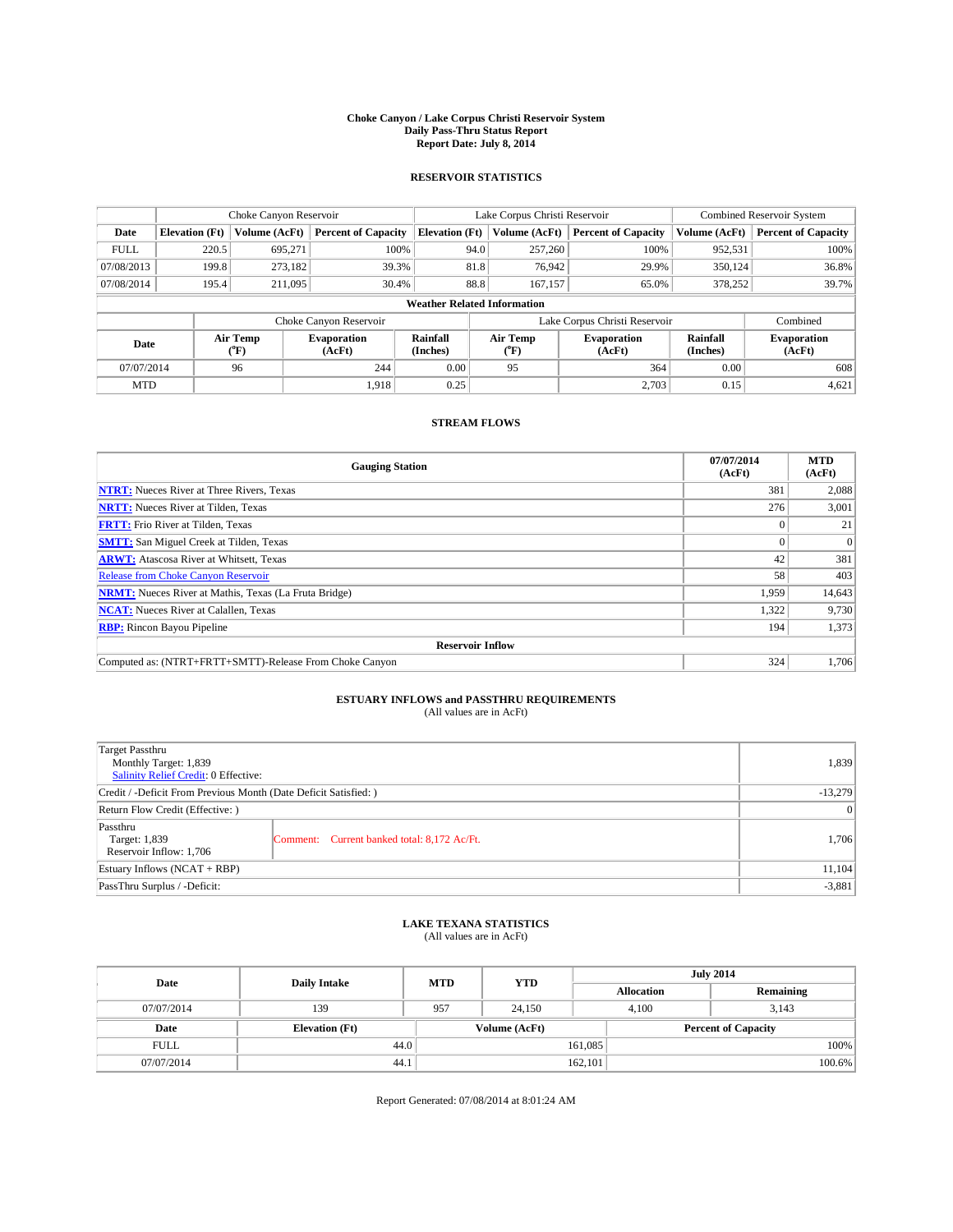#### **Choke Canyon / Lake Corpus Christi Reservoir System Daily Pass-Thru Status Report Report Date: July 8, 2014**

### **RESERVOIR STATISTICS**

|             | Choke Canyon Reservoir |                  |                              |                                    | Lake Corpus Christi Reservoir | <b>Combined Reservoir System</b> |                      |                              |
|-------------|------------------------|------------------|------------------------------|------------------------------------|-------------------------------|----------------------------------|----------------------|------------------------------|
| Date        | <b>Elevation</b> (Ft)  | Volume (AcFt)    | <b>Percent of Capacity</b>   | <b>Elevation (Ft)</b>              | Volume (AcFt)                 | <b>Percent of Capacity</b>       | Volume (AcFt)        | Percent of Capacity          |
| <b>FULL</b> | 220.5                  | 695,271          | 100%                         | 94.0                               | 257,260                       | 100%                             | 952,531              | 100%                         |
| 07/08/2013  | 199.8                  | 273,182          | 39.3%                        | 81.8                               | 76,942                        | 29.9%                            | 350,124              | 36.8%                        |
| 07/08/2014  | 195.4                  | 211,095          | 30.4%                        | 88.8                               | 167,157                       | 65.0%                            | 378,252              | 39.7%                        |
|             |                        |                  |                              | <b>Weather Related Information</b> |                               |                                  |                      |                              |
|             |                        |                  | Choke Canyon Reservoir       |                                    |                               | Lake Corpus Christi Reservoir    |                      | Combined                     |
| Date        |                        | Air Temp<br>(°F) | <b>Evaporation</b><br>(AcFt) | Rainfall<br>(Inches)               | Air Temp<br>("F)              | <b>Evaporation</b><br>(AcFt)     | Rainfall<br>(Inches) | <b>Evaporation</b><br>(AcFt) |
| 07/07/2014  |                        | 96               | 244                          | 0.00                               | 95                            | 364                              | 0.00                 | 608                          |
| <b>MTD</b>  |                        |                  | 1.918                        | 0.25                               |                               | 2,703                            | 0.15                 | 4,621                        |

## **STREAM FLOWS**

| <b>Gauging Station</b>                                       | 07/07/2014<br>(AcFt) | <b>MTD</b><br>(AcFt) |  |  |  |  |
|--------------------------------------------------------------|----------------------|----------------------|--|--|--|--|
| <b>NTRT:</b> Nueces River at Three Rivers, Texas             | 381                  | 2,088                |  |  |  |  |
| <b>NRTT:</b> Nueces River at Tilden, Texas                   | 276                  | 3,001                |  |  |  |  |
| <b>FRTT:</b> Frio River at Tilden, Texas                     |                      | 21                   |  |  |  |  |
| <b>SMTT:</b> San Miguel Creek at Tilden, Texas               |                      | $\Omega$             |  |  |  |  |
| <b>ARWT:</b> Atascosa River at Whitsett, Texas               | 42                   | 381                  |  |  |  |  |
| <b>Release from Choke Canyon Reservoir</b>                   | 58                   | 403                  |  |  |  |  |
| <b>NRMT:</b> Nueces River at Mathis, Texas (La Fruta Bridge) | 1,959                | 14,643               |  |  |  |  |
| <b>NCAT:</b> Nueces River at Calallen, Texas                 | 1,322                | 9,730                |  |  |  |  |
| <b>RBP:</b> Rincon Bayou Pipeline                            | 194                  | 1,373                |  |  |  |  |
| <b>Reservoir Inflow</b>                                      |                      |                      |  |  |  |  |
| Computed as: (NTRT+FRTT+SMTT)-Release From Choke Canyon      | 324                  | 1,706                |  |  |  |  |

# **ESTUARY INFLOWS and PASSTHRU REQUIREMENTS**<br>(All values are in AcFt)

| Target Passthru<br>Monthly Target: 1,839<br>Salinity Relief Credit: 0 Effective: |                                             | 1,839  |  |
|----------------------------------------------------------------------------------|---------------------------------------------|--------|--|
| Credit / -Deficit From Previous Month (Date Deficit Satisfied: )                 |                                             |        |  |
| Return Flow Credit (Effective: )                                                 |                                             |        |  |
| Passthru<br>Target: 1,839<br>Reservoir Inflow: 1,706                             | Comment: Current banked total: 8,172 Ac/Ft. | 1,706  |  |
| Estuary Inflows (NCAT + RBP)                                                     |                                             | 11,104 |  |
| PassThru Surplus / -Deficit:                                                     |                                             |        |  |

## **LAKE TEXANA STATISTICS** (All values are in AcFt)

| Date        | <b>Daily Intake</b>   | <b>MTD</b> | <b>YTD</b>    | <b>July 2014</b>  |                            |           |  |
|-------------|-----------------------|------------|---------------|-------------------|----------------------------|-----------|--|
|             |                       |            |               | <b>Allocation</b> |                            | Remaining |  |
| 07/07/2014  | 139                   | 957        | 24,150        | 4,100             | 3,143                      |           |  |
| Date        | <b>Elevation</b> (Ft) |            | Volume (AcFt) |                   | <b>Percent of Capacity</b> |           |  |
| <b>FULL</b> | 44.0                  |            |               | 161,085           |                            | 100%      |  |
| 07/07/2014  | 44.1                  |            |               | 162,101           |                            | 100.6%    |  |

Report Generated: 07/08/2014 at 8:01:24 AM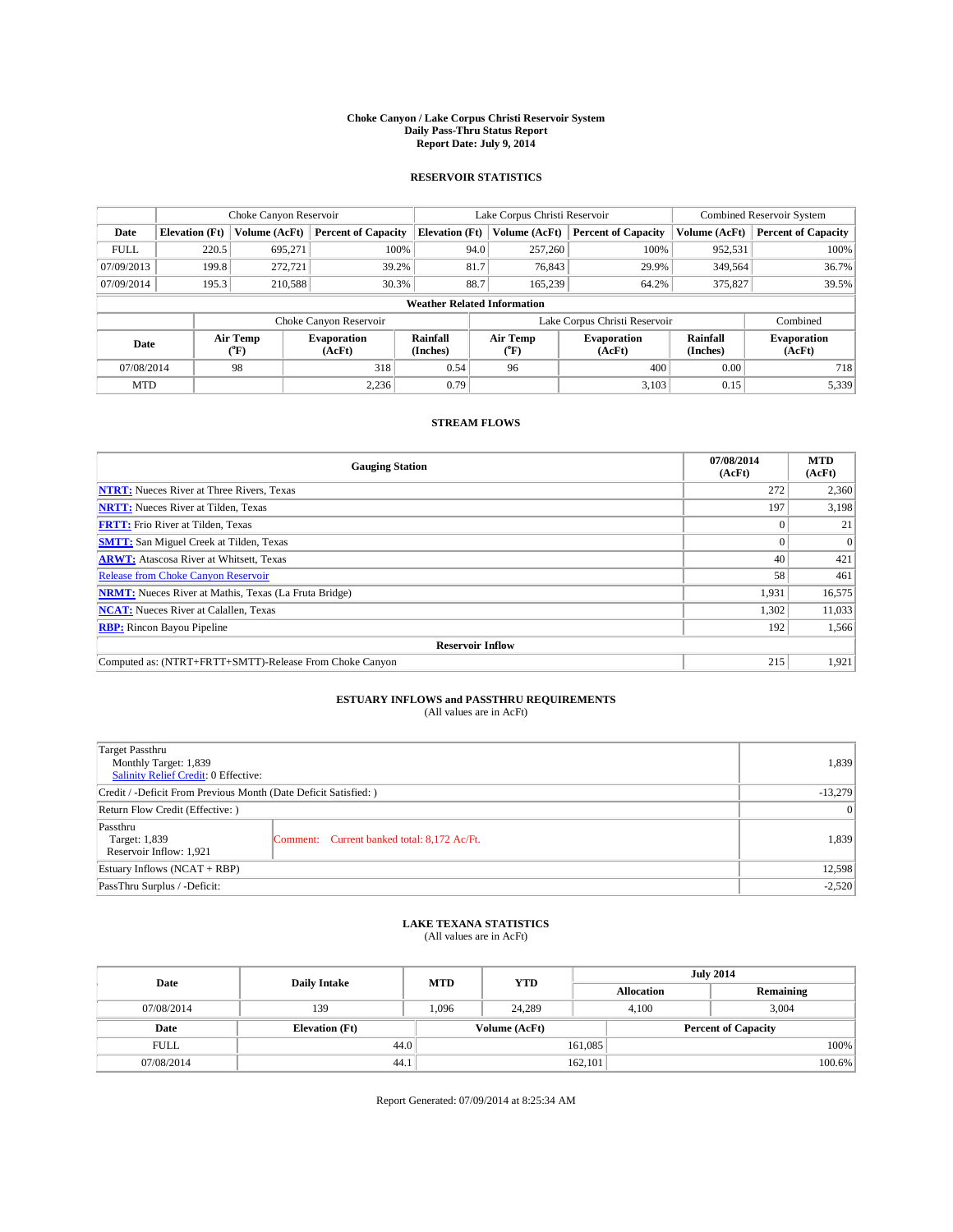#### **Choke Canyon / Lake Corpus Christi Reservoir System Daily Pass-Thru Status Report Report Date: July 9, 2014**

### **RESERVOIR STATISTICS**

|             | Choke Canyon Reservoir |                  |                              |                                    | Lake Corpus Christi Reservoir | <b>Combined Reservoir System</b> |                      |                              |
|-------------|------------------------|------------------|------------------------------|------------------------------------|-------------------------------|----------------------------------|----------------------|------------------------------|
| Date        | <b>Elevation</b> (Ft)  | Volume (AcFt)    | <b>Percent of Capacity</b>   | <b>Elevation (Ft)</b>              | Volume (AcFt)                 | <b>Percent of Capacity</b>       | Volume (AcFt)        | Percent of Capacity          |
| <b>FULL</b> | 220.5                  | 695,271          | 100%                         | 94.0                               | 257,260                       | 100%                             | 952,531              | 100%                         |
| 07/09/2013  | 199.8                  | 272,721          | 39.2%                        | 81.7                               | 76,843                        | 29.9%                            | 349,564              | 36.7%                        |
| 07/09/2014  | 195.3                  | 210,588          | 30.3%                        | 88.7                               | 165.239                       | 64.2%                            | 375,827              | 39.5%                        |
|             |                        |                  |                              | <b>Weather Related Information</b> |                               |                                  |                      |                              |
|             |                        |                  | Choke Canyon Reservoir       |                                    |                               | Lake Corpus Christi Reservoir    |                      | Combined                     |
| Date        |                        | Air Temp<br>(°F) | <b>Evaporation</b><br>(AcFt) | Rainfall<br>(Inches)               | Air Temp<br>("F)              | <b>Evaporation</b><br>(AcFt)     | Rainfall<br>(Inches) | <b>Evaporation</b><br>(AcFt) |
| 07/08/2014  |                        | 98               | 318                          | 0.54                               | 96                            | 400                              | 0.00                 | 718                          |
| <b>MTD</b>  |                        |                  | 2,236                        | 0.79                               |                               | 3,103                            | 0.15                 | 5,339                        |

## **STREAM FLOWS**

| <b>Gauging Station</b>                                       | 07/08/2014<br>(AcFt) | <b>MTD</b><br>(AcFt) |  |  |  |
|--------------------------------------------------------------|----------------------|----------------------|--|--|--|
| <b>NTRT:</b> Nueces River at Three Rivers, Texas             | 272                  | 2,360                |  |  |  |
| <b>NRTT:</b> Nueces River at Tilden, Texas                   | 197                  | 3,198                |  |  |  |
| <b>FRTT:</b> Frio River at Tilden, Texas                     |                      | 21                   |  |  |  |
| <b>SMTT:</b> San Miguel Creek at Tilden, Texas               |                      | $\Omega$             |  |  |  |
| <b>ARWT:</b> Atascosa River at Whitsett, Texas               | 40                   | 421                  |  |  |  |
| <b>Release from Choke Canyon Reservoir</b>                   | 58                   | 461                  |  |  |  |
| <b>NRMT:</b> Nueces River at Mathis, Texas (La Fruta Bridge) | 1,931                | 16,575               |  |  |  |
| <b>NCAT:</b> Nueces River at Calallen, Texas                 | 1,302                | 11,033               |  |  |  |
| <b>RBP:</b> Rincon Bayou Pipeline                            | 192                  | 1,566                |  |  |  |
| <b>Reservoir Inflow</b>                                      |                      |                      |  |  |  |
| Computed as: (NTRT+FRTT+SMTT)-Release From Choke Canyon      | 215                  | 1,921                |  |  |  |

## **ESTUARY INFLOWS and PASSTHRU REQUIREMENTS**<br>(All values are in AcFt)

| Target Passthru<br>Monthly Target: 1,839<br>Salinity Relief Credit: 0 Effective: |                                             | 1,839 |  |
|----------------------------------------------------------------------------------|---------------------------------------------|-------|--|
| Credit / -Deficit From Previous Month (Date Deficit Satisfied: )                 |                                             |       |  |
| Return Flow Credit (Effective: )                                                 |                                             |       |  |
| Passthru<br>Target: 1,839<br>Reservoir Inflow: 1,921                             | Comment: Current banked total: 8,172 Ac/Ft. | 1,839 |  |
| Estuary Inflows (NCAT + RBP)                                                     |                                             |       |  |
| PassThru Surplus / -Deficit:                                                     |                                             |       |  |

## **LAKE TEXANA STATISTICS** (All values are in AcFt)

| Date        | <b>Daily Intake</b>   | <b>MTD</b> | <b>YTD</b>    | <b>July 2014</b>  |                            |           |  |
|-------------|-----------------------|------------|---------------|-------------------|----------------------------|-----------|--|
|             |                       |            |               | <b>Allocation</b> |                            | Remaining |  |
| 07/08/2014  | 139                   | 1,096      | 24,289        |                   | 3,004<br>4,100             |           |  |
| Date        | <b>Elevation</b> (Ft) |            | Volume (AcFt) |                   | <b>Percent of Capacity</b> |           |  |
| <b>FULL</b> | 44.0                  |            |               | 161,085           |                            | 100%      |  |
| 07/08/2014  | 44.1                  |            |               | 162,101           |                            | 100.6%    |  |

Report Generated: 07/09/2014 at 8:25:34 AM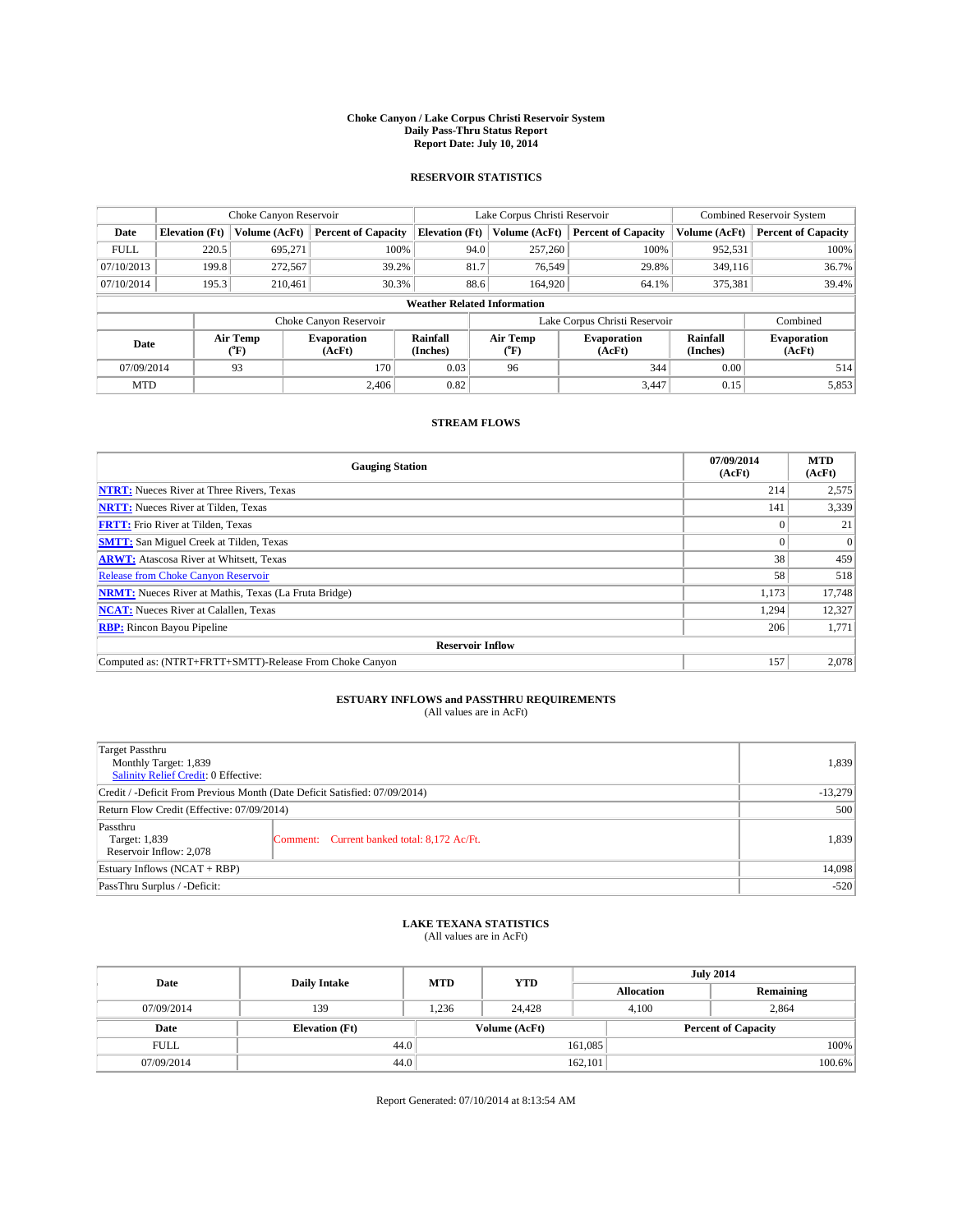#### **Choke Canyon / Lake Corpus Christi Reservoir System Daily Pass-Thru Status Report Report Date: July 10, 2014**

### **RESERVOIR STATISTICS**

|             |                                    | Choke Canyon Reservoir |                              |                       | Lake Corpus Christi Reservoir | <b>Combined Reservoir System</b> |                      |                              |  |
|-------------|------------------------------------|------------------------|------------------------------|-----------------------|-------------------------------|----------------------------------|----------------------|------------------------------|--|
| Date        | <b>Elevation</b> (Ft)              | Volume (AcFt)          | <b>Percent of Capacity</b>   | <b>Elevation (Ft)</b> | Volume (AcFt)                 | <b>Percent of Capacity</b>       | Volume (AcFt)        | <b>Percent of Capacity</b>   |  |
| <b>FULL</b> | 220.5                              | 695,271                | 100%                         | 94.0                  | 257,260                       | 100%                             | 952,531              | 100%                         |  |
| 07/10/2013  | 199.8                              | 272,567                | 39.2%                        | 81.7                  | 76,549                        | 29.8%                            | 349,116              | 36.7%                        |  |
| 07/10/2014  | 195.3                              | 210.461                | 30.3%                        | 88.6                  | 164,920                       | 64.1%                            | 375,381              | 39.4%                        |  |
|             | <b>Weather Related Information</b> |                        |                              |                       |                               |                                  |                      |                              |  |
|             |                                    |                        | Choke Canyon Reservoir       |                       |                               | Lake Corpus Christi Reservoir    |                      | Combined                     |  |
| Date        |                                    | Air Temp<br>(°F)       | <b>Evaporation</b><br>(AcFt) | Rainfall<br>(Inches)  | Air Temp<br>(°F)              | <b>Evaporation</b><br>(AcFt)     | Rainfall<br>(Inches) | <b>Evaporation</b><br>(AcFt) |  |
| 07/09/2014  |                                    | 93                     | 170                          | 0.03                  | 96                            | 344                              | 0.00                 | 514                          |  |
| <b>MTD</b>  |                                    |                        | 2.406                        | 0.82                  |                               | 3,447                            | 0.15                 | 5,853                        |  |

## **STREAM FLOWS**

| <b>Gauging Station</b>                                       | 07/09/2014<br>(AcFt) | <b>MTD</b><br>(AcFt) |  |  |  |  |
|--------------------------------------------------------------|----------------------|----------------------|--|--|--|--|
| <b>NTRT:</b> Nueces River at Three Rivers, Texas             | 214                  | 2,575                |  |  |  |  |
| <b>NRTT:</b> Nueces River at Tilden, Texas                   | 141                  | 3,339                |  |  |  |  |
| <b>FRTT:</b> Frio River at Tilden, Texas                     |                      | 21                   |  |  |  |  |
| <b>SMTT:</b> San Miguel Creek at Tilden, Texas               |                      | $\overline{0}$       |  |  |  |  |
| <b>ARWT:</b> Atascosa River at Whitsett, Texas               | 38                   | 459                  |  |  |  |  |
| <b>Release from Choke Canyon Reservoir</b>                   | 58                   | 518                  |  |  |  |  |
| <b>NRMT:</b> Nueces River at Mathis, Texas (La Fruta Bridge) | 1,173                | 17,748               |  |  |  |  |
| <b>NCAT:</b> Nueces River at Calallen, Texas                 | 1,294                | 12,327               |  |  |  |  |
| <b>RBP:</b> Rincon Bayou Pipeline                            | 206                  | 1,771                |  |  |  |  |
| <b>Reservoir Inflow</b>                                      |                      |                      |  |  |  |  |
| Computed as: (NTRT+FRTT+SMTT)-Release From Choke Canyon      | 157                  | 2,078                |  |  |  |  |

# **ESTUARY INFLOWS and PASSTHRU REQUIREMENTS**<br>(All values are in AcFt)

| Target Passthru<br>Monthly Target: 1,839<br>Salinity Relief Credit: 0 Effective: |                                             | 1,839  |
|----------------------------------------------------------------------------------|---------------------------------------------|--------|
| Credit / -Deficit From Previous Month (Date Deficit Satisfied: 07/09/2014)       | $-13,279$                                   |        |
| Return Flow Credit (Effective: 07/09/2014)                                       |                                             | 500    |
| Passthru<br>Target: 1,839<br>Reservoir Inflow: 2,078                             | Comment: Current banked total: 8,172 Ac/Ft. | 1,839  |
| Estuary Inflows (NCAT + RBP)                                                     |                                             | 14,098 |
| PassThru Surplus / -Deficit:                                                     | $-520$                                      |        |

## **LAKE TEXANA STATISTICS** (All values are in AcFt)

| Date        | <b>Daily Intake</b>   | <b>MTD</b> | <b>YTD</b>    | <b>July 2014</b>  |                            |           |  |
|-------------|-----------------------|------------|---------------|-------------------|----------------------------|-----------|--|
|             |                       |            |               | <b>Allocation</b> |                            | Remaining |  |
| 07/09/2014  | 139                   | 1,236      | 24.428        |                   | 2,864<br>4,100             |           |  |
| Date        | <b>Elevation</b> (Ft) |            | Volume (AcFt) |                   | <b>Percent of Capacity</b> |           |  |
| <b>FULL</b> | 44.0                  |            |               | 161,085           |                            | 100%      |  |
| 07/09/2014  | 44.0                  |            |               | 162,101           |                            | 100.6%    |  |

Report Generated: 07/10/2014 at 8:13:54 AM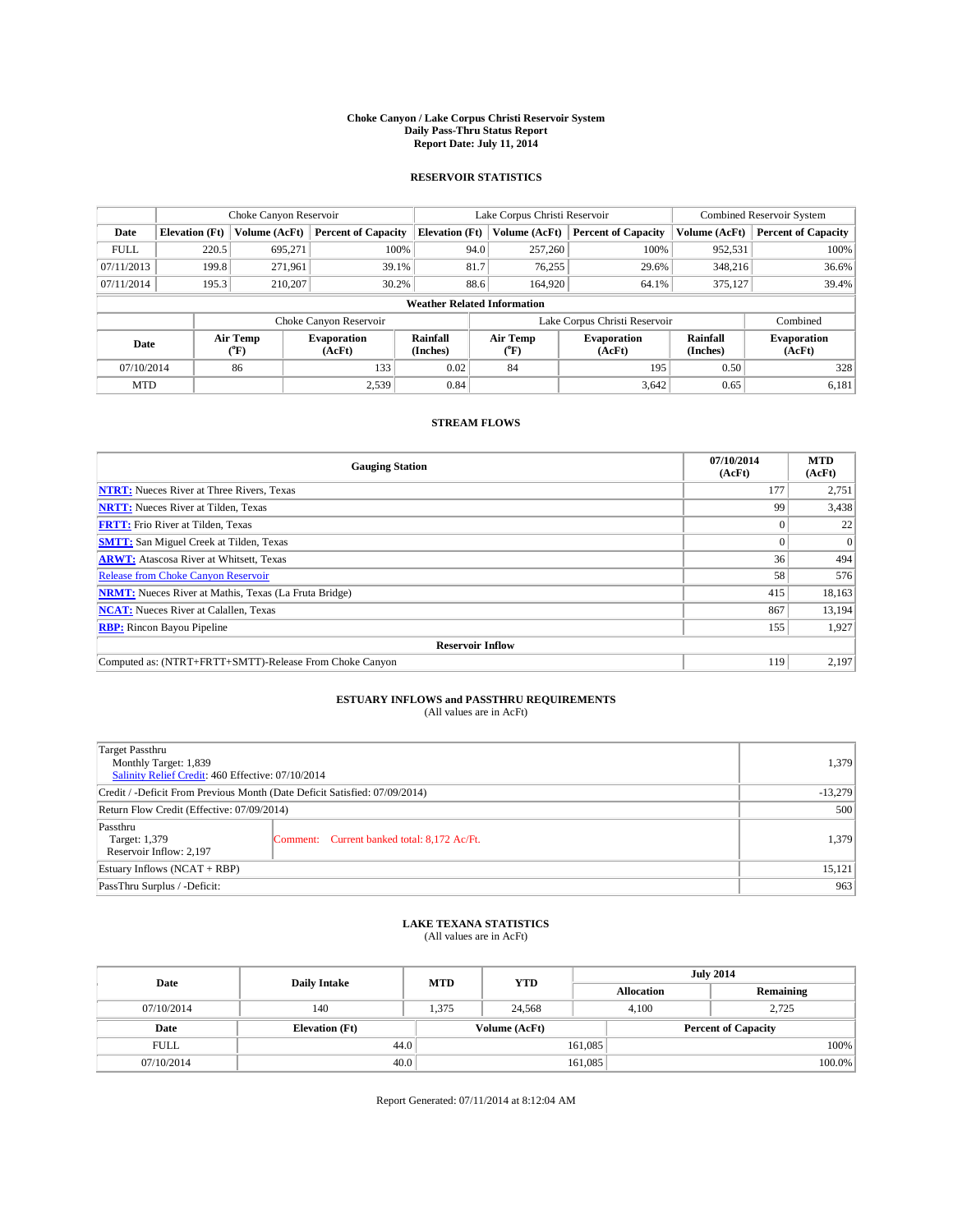#### **Choke Canyon / Lake Corpus Christi Reservoir System Daily Pass-Thru Status Report Report Date: July 11, 2014**

### **RESERVOIR STATISTICS**

|             | Choke Canyon Reservoir             |                  |                              |                       | Lake Corpus Christi Reservoir | <b>Combined Reservoir System</b> |                      |                              |  |
|-------------|------------------------------------|------------------|------------------------------|-----------------------|-------------------------------|----------------------------------|----------------------|------------------------------|--|
| Date        | <b>Elevation</b> (Ft)              | Volume (AcFt)    | <b>Percent of Capacity</b>   | <b>Elevation (Ft)</b> | Volume (AcFt)                 | <b>Percent of Capacity</b>       | Volume (AcFt)        | <b>Percent of Capacity</b>   |  |
| <b>FULL</b> | 220.5                              | 695,271          | 100%                         | 94.0                  | 257,260                       | 100%                             | 952,531              | 100%                         |  |
| 07/11/2013  | 199.8                              | 271,961          | 39.1%                        | 81.7                  | 76,255                        | 29.6%                            | 348,216              | 36.6%                        |  |
| 07/11/2014  | 195.3                              | 210,207          | 30.2%                        | 88.6                  | 164,920                       | 64.1%                            | 375,127              | 39.4%                        |  |
|             | <b>Weather Related Information</b> |                  |                              |                       |                               |                                  |                      |                              |  |
|             |                                    |                  | Choke Canyon Reservoir       |                       |                               | Lake Corpus Christi Reservoir    |                      | Combined                     |  |
| Date        |                                    | Air Temp<br>(°F) | <b>Evaporation</b><br>(AcFt) | Rainfall<br>(Inches)  | Air Temp<br>(°F)              | <b>Evaporation</b><br>(AcFt)     | Rainfall<br>(Inches) | <b>Evaporation</b><br>(AcFt) |  |
| 07/10/2014  |                                    | 86               | 133                          | 0.02                  | 84                            | 195                              | 0.50                 | 328                          |  |
| <b>MTD</b>  |                                    |                  | 2,539                        | 0.84                  |                               | 3,642                            | 0.65                 | 6,181                        |  |

## **STREAM FLOWS**

| <b>Gauging Station</b>                                       | 07/10/2014<br>(AcFt) | <b>MTD</b><br>(AcFt) |  |  |  |  |
|--------------------------------------------------------------|----------------------|----------------------|--|--|--|--|
| <b>NTRT:</b> Nueces River at Three Rivers, Texas             | 177                  | 2,751                |  |  |  |  |
| <b>NRTT:</b> Nueces River at Tilden, Texas                   | 99                   | 3,438                |  |  |  |  |
| <b>FRTT:</b> Frio River at Tilden, Texas                     |                      | 22                   |  |  |  |  |
| <b>SMTT:</b> San Miguel Creek at Tilden, Texas               |                      | $\overline{0}$       |  |  |  |  |
| <b>ARWT:</b> Atascosa River at Whitsett, Texas               | 36                   | 494                  |  |  |  |  |
| Release from Choke Canyon Reservoir                          | 58                   | 576                  |  |  |  |  |
| <b>NRMT:</b> Nueces River at Mathis, Texas (La Fruta Bridge) | 415                  | 18,163               |  |  |  |  |
| <b>NCAT:</b> Nueces River at Calallen, Texas                 |                      |                      |  |  |  |  |
| <b>RBP:</b> Rincon Bayou Pipeline                            |                      |                      |  |  |  |  |
| <b>Reservoir Inflow</b>                                      |                      |                      |  |  |  |  |
| Computed as: (NTRT+FRTT+SMTT)-Release From Choke Canyon      | 119                  | 2,197                |  |  |  |  |

# **ESTUARY INFLOWS and PASSTHRU REQUIREMENTS**<br>(All values are in AcFt)

| Target Passthru<br>Monthly Target: 1,839<br>Salinity Relief Credit: 460 Effective: 07/10/2014 |                                             | 1,379 |
|-----------------------------------------------------------------------------------------------|---------------------------------------------|-------|
| Credit / -Deficit From Previous Month (Date Deficit Satisfied: 07/09/2014)                    | $-13,279$                                   |       |
| Return Flow Credit (Effective: 07/09/2014)                                                    |                                             | 500   |
| Passthru<br>Target: 1,379<br>Reservoir Inflow: 2,197                                          | Comment: Current banked total: 8,172 Ac/Ft. | 1,379 |
| Estuary Inflows $(NCAT + RBP)$                                                                | 15,121                                      |       |
| PassThru Surplus / -Deficit:                                                                  | 963                                         |       |

## **LAKE TEXANA STATISTICS** (All values are in AcFt)

| Date        | <b>Daily Intake</b>   | <b>MTD</b> | <b>YTD</b>    | <b>July 2014</b>  |                            |  |  |
|-------------|-----------------------|------------|---------------|-------------------|----------------------------|--|--|
|             |                       |            |               | <b>Allocation</b> | Remaining                  |  |  |
| 07/10/2014  | 140                   | 1,375      | 24,568        | 4,100             | 2,725                      |  |  |
| Date        | <b>Elevation</b> (Ft) |            | Volume (AcFt) |                   | <b>Percent of Capacity</b> |  |  |
| <b>FULL</b> | 44.0                  |            |               | 161,085           | 100%                       |  |  |
| 07/10/2014  | 40.0                  |            |               | 161,085           | 100.0%                     |  |  |

Report Generated: 07/11/2014 at 8:12:04 AM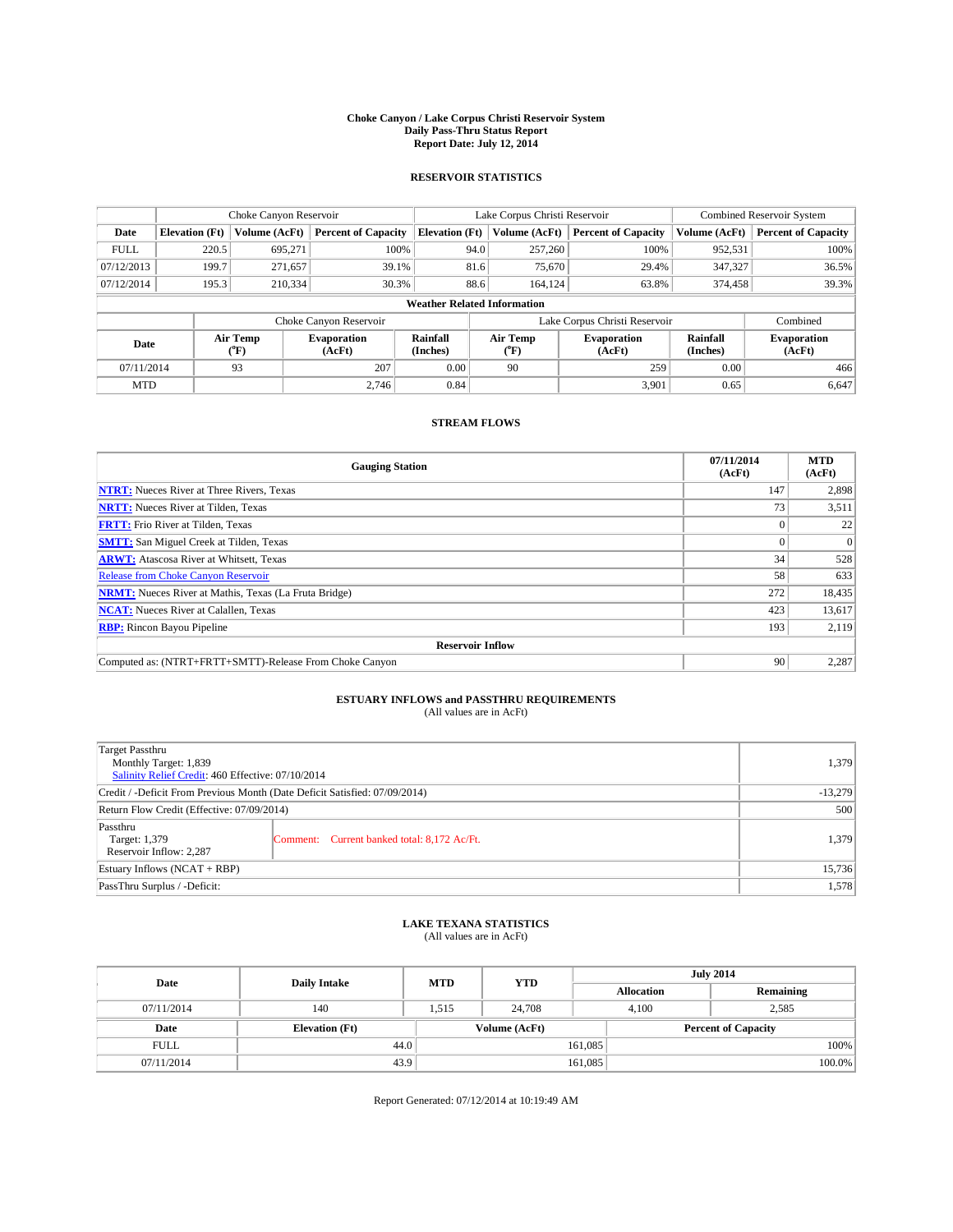#### **Choke Canyon / Lake Corpus Christi Reservoir System Daily Pass-Thru Status Report Report Date: July 12, 2014**

### **RESERVOIR STATISTICS**

|             |                                    | Choke Canyon Reservoir |                              |                       | Lake Corpus Christi Reservoir | <b>Combined Reservoir System</b> |                      |                              |  |
|-------------|------------------------------------|------------------------|------------------------------|-----------------------|-------------------------------|----------------------------------|----------------------|------------------------------|--|
| Date        | <b>Elevation</b> (Ft)              | Volume (AcFt)          | <b>Percent of Capacity</b>   | <b>Elevation (Ft)</b> | Volume (AcFt)                 | <b>Percent of Capacity</b>       | Volume (AcFt)        | <b>Percent of Capacity</b>   |  |
| <b>FULL</b> | 220.5                              | 695,271                | 100%                         | 94.0                  | 257,260                       | 100%                             | 952,531              | 100%                         |  |
| 07/12/2013  | 199.7                              | 271,657                | 39.1%                        | 81.6                  | 75,670                        | 29.4%                            | 347,327              | 36.5%                        |  |
| 07/12/2014  | 195.3                              | 210,334                | 30.3%                        | 88.6                  | 164.124                       | 63.8%                            | 374,458              | 39.3%                        |  |
|             | <b>Weather Related Information</b> |                        |                              |                       |                               |                                  |                      |                              |  |
|             |                                    |                        | Choke Canyon Reservoir       |                       |                               | Lake Corpus Christi Reservoir    |                      | Combined                     |  |
| Date        |                                    | Air Temp<br>(°F)       | <b>Evaporation</b><br>(AcFt) | Rainfall<br>(Inches)  | Air Temp<br>(°F)              | <b>Evaporation</b><br>(AcFt)     | Rainfall<br>(Inches) | <b>Evaporation</b><br>(AcFt) |  |
| 07/11/2014  |                                    | 93                     | 207                          | 0.00                  | 90                            | 259                              | 0.00                 | 466                          |  |
| <b>MTD</b>  |                                    |                        | 2.746                        | 0.84                  |                               | 3,901                            | 0.65                 | 6,647                        |  |

## **STREAM FLOWS**

| <b>Gauging Station</b>                                       | 07/11/2014<br>(AcFt) | <b>MTD</b><br>(AcFt) |  |  |  |  |
|--------------------------------------------------------------|----------------------|----------------------|--|--|--|--|
| <b>NTRT:</b> Nueces River at Three Rivers, Texas             | 147                  | 2,898                |  |  |  |  |
| <b>NRTT:</b> Nueces River at Tilden, Texas                   | 73                   | 3,511                |  |  |  |  |
| <b>FRTT:</b> Frio River at Tilden, Texas                     |                      | 22                   |  |  |  |  |
| <b>SMTT:</b> San Miguel Creek at Tilden, Texas               |                      | $\Omega$             |  |  |  |  |
| <b>ARWT:</b> Atascosa River at Whitsett, Texas               | 34                   | 528                  |  |  |  |  |
| Release from Choke Canyon Reservoir                          | 58                   | 633                  |  |  |  |  |
| <b>NRMT:</b> Nueces River at Mathis, Texas (La Fruta Bridge) | 272                  | 18,435               |  |  |  |  |
| <b>NCAT:</b> Nueces River at Calallen, Texas                 | 423                  | 13,617               |  |  |  |  |
| <b>RBP:</b> Rincon Bayou Pipeline                            | 193                  | 2,119                |  |  |  |  |
| <b>Reservoir Inflow</b>                                      |                      |                      |  |  |  |  |
| Computed as: (NTRT+FRTT+SMTT)-Release From Choke Canyon      | 90                   | 2,287                |  |  |  |  |

# **ESTUARY INFLOWS and PASSTHRU REQUIREMENTS**<br>(All values are in AcFt)

| Target Passthru<br>Monthly Target: 1,839<br>Salinity Relief Credit: 460 Effective: 07/10/2014 |                                             | 1,379     |
|-----------------------------------------------------------------------------------------------|---------------------------------------------|-----------|
| Credit / -Deficit From Previous Month (Date Deficit Satisfied: 07/09/2014)                    |                                             | $-13,279$ |
| Return Flow Credit (Effective: 07/09/2014)                                                    |                                             | 500       |
| Passthru<br>Target: 1,379<br>Reservoir Inflow: 2,287                                          | Comment: Current banked total: 8,172 Ac/Ft. | 1,379     |
| Estuary Inflows (NCAT + RBP)                                                                  | 15,736                                      |           |
| PassThru Surplus / -Deficit:                                                                  | 1,578                                       |           |

## **LAKE TEXANA STATISTICS** (All values are in AcFt)

| Date        | <b>Daily Intake</b>   | <b>MTD</b> | <b>YTD</b>    | <b>July 2014</b>  |                            |           |  |
|-------------|-----------------------|------------|---------------|-------------------|----------------------------|-----------|--|
|             |                       |            |               | <b>Allocation</b> |                            | Remaining |  |
| 07/11/2014  | 140                   | 1,515      | 24,708        | 4,100             |                            | 2,585     |  |
| Date        | <b>Elevation</b> (Ft) |            | Volume (AcFt) |                   | <b>Percent of Capacity</b> |           |  |
| <b>FULL</b> | 44.0                  |            |               | 161,085           |                            | 100%      |  |
| 07/11/2014  | 43.9                  |            |               | 161,085           |                            | 100.0%    |  |

Report Generated: 07/12/2014 at 10:19:49 AM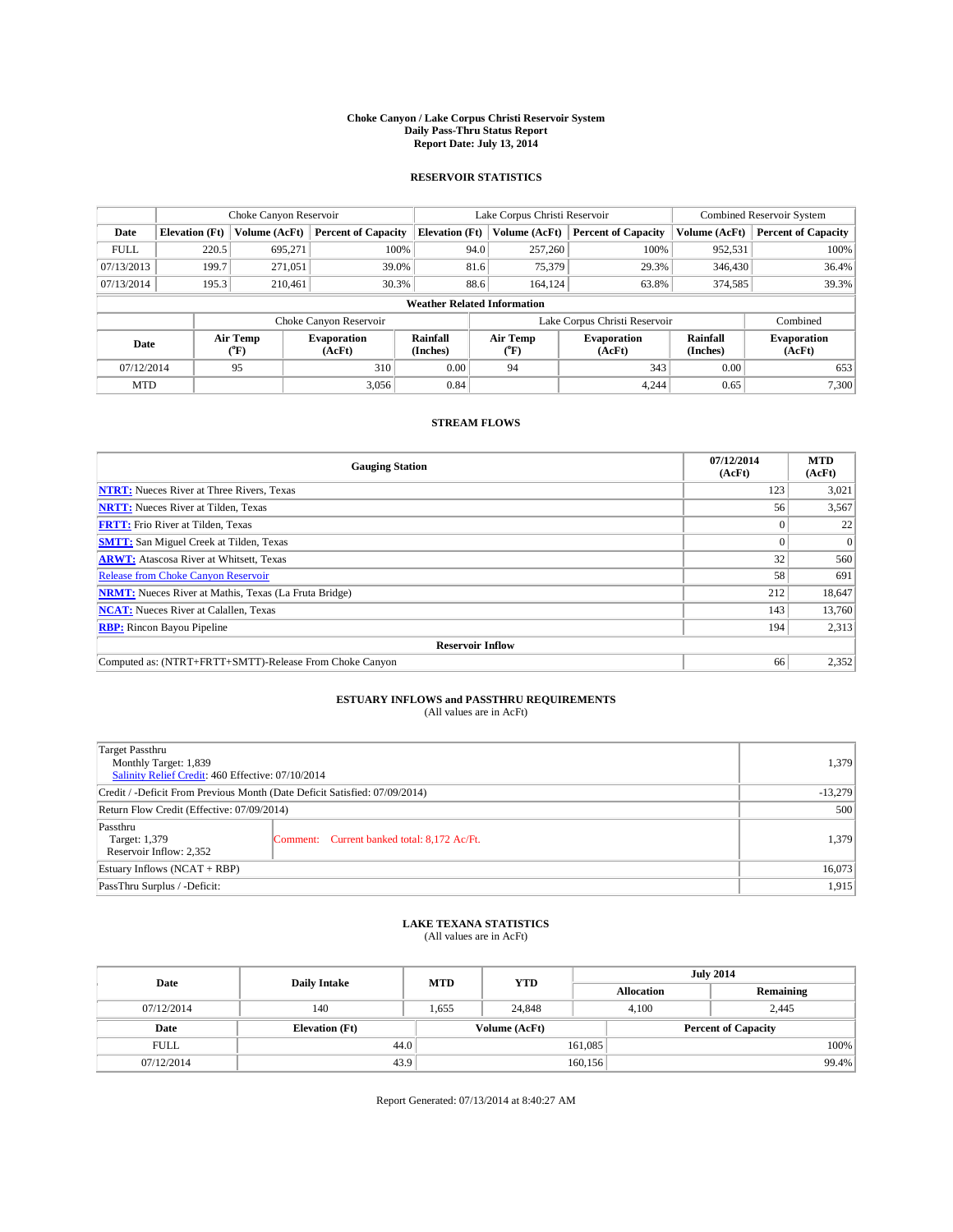#### **Choke Canyon / Lake Corpus Christi Reservoir System Daily Pass-Thru Status Report Report Date: July 13, 2014**

### **RESERVOIR STATISTICS**

|             |                                    | Choke Canyon Reservoir |                              |                       | Lake Corpus Christi Reservoir | <b>Combined Reservoir System</b> |                      |                              |  |
|-------------|------------------------------------|------------------------|------------------------------|-----------------------|-------------------------------|----------------------------------|----------------------|------------------------------|--|
| Date        | <b>Elevation</b> (Ft)              | Volume (AcFt)          | <b>Percent of Capacity</b>   | <b>Elevation (Ft)</b> | Volume (AcFt)                 | <b>Percent of Capacity</b>       | Volume (AcFt)        | Percent of Capacity          |  |
| <b>FULL</b> | 220.5                              | 695,271                | 100%                         | 94.0                  | 257,260                       | 100%                             | 952,531              | 100%                         |  |
| 07/13/2013  | 199.7                              | 271,051                | 39.0%                        | 81.6                  | 75,379                        | 29.3%                            | 346,430              | $36.4\%$                     |  |
| 07/13/2014  | 195.3                              | 210.461                | 30.3%                        | 88.6                  | 164.124                       | 63.8%                            | 374.585              | 39.3%                        |  |
|             | <b>Weather Related Information</b> |                        |                              |                       |                               |                                  |                      |                              |  |
|             |                                    |                        | Choke Canyon Reservoir       |                       |                               | Lake Corpus Christi Reservoir    |                      | Combined                     |  |
| Date        |                                    | Air Temp<br>(°F)       | <b>Evaporation</b><br>(AcFt) | Rainfall<br>(Inches)  | Air Temp<br>("F)              | <b>Evaporation</b><br>(AcFt)     | Rainfall<br>(Inches) | <b>Evaporation</b><br>(AcFt) |  |
| 07/12/2014  |                                    | 95                     | 310                          | 0.00                  | 94                            | 343                              | 0.00                 | 653                          |  |
| <b>MTD</b>  |                                    |                        | 3.056                        | 0.84                  |                               | 4.244                            | 0.65                 | 7.300                        |  |

## **STREAM FLOWS**

| <b>Gauging Station</b>                                       | 07/12/2014<br>(AcFt) | <b>MTD</b><br>(AcFt) |  |  |  |  |
|--------------------------------------------------------------|----------------------|----------------------|--|--|--|--|
| <b>NTRT:</b> Nueces River at Three Rivers, Texas             | 123                  | 3,021                |  |  |  |  |
| <b>NRTT:</b> Nueces River at Tilden, Texas                   | 56                   | 3,567                |  |  |  |  |
| <b>FRTT:</b> Frio River at Tilden, Texas                     |                      | 22                   |  |  |  |  |
| <b>SMTT:</b> San Miguel Creek at Tilden, Texas               |                      | $\overline{0}$       |  |  |  |  |
| <b>ARWT:</b> Atascosa River at Whitsett, Texas               | 32                   | 560                  |  |  |  |  |
| Release from Choke Canyon Reservoir                          | 58                   | 691                  |  |  |  |  |
| <b>NRMT:</b> Nueces River at Mathis, Texas (La Fruta Bridge) | 212                  | 18,647               |  |  |  |  |
| <b>NCAT:</b> Nueces River at Calallen, Texas                 | 143                  | 13,760               |  |  |  |  |
| <b>RBP:</b> Rincon Bayou Pipeline                            | 194                  | 2,313                |  |  |  |  |
| <b>Reservoir Inflow</b>                                      |                      |                      |  |  |  |  |
| Computed as: (NTRT+FRTT+SMTT)-Release From Choke Canyon      | 66                   | 2,352                |  |  |  |  |

# **ESTUARY INFLOWS and PASSTHRU REQUIREMENTS**<br>(All values are in AcFt)

| Target Passthru<br>Monthly Target: 1,839<br>Salinity Relief Credit: 460 Effective: 07/10/2014 | 1,379                                       |       |
|-----------------------------------------------------------------------------------------------|---------------------------------------------|-------|
| Credit / -Deficit From Previous Month (Date Deficit Satisfied: 07/09/2014)                    | $-13,279$                                   |       |
| Return Flow Credit (Effective: 07/09/2014)                                                    | 500                                         |       |
| Passthru<br>Target: 1,379<br>Reservoir Inflow: 2,352                                          | Comment: Current banked total: 8,172 Ac/Ft. | 1,379 |
| Estuary Inflows (NCAT + RBP)                                                                  | 16,073                                      |       |
| PassThru Surplus / -Deficit:                                                                  | 1,915                                       |       |

## **LAKE TEXANA STATISTICS** (All values are in AcFt)

| Date        | <b>Daily Intake</b>   | <b>MTD</b> | <b>YTD</b>    | <b>July 2014</b>  |                            |           |  |
|-------------|-----------------------|------------|---------------|-------------------|----------------------------|-----------|--|
|             |                       |            |               | <b>Allocation</b> |                            | Remaining |  |
| 07/12/2014  | 140                   | 1,655      | 24,848        | 4,100             | 2,445                      |           |  |
| Date        | <b>Elevation</b> (Ft) |            | Volume (AcFt) |                   | <b>Percent of Capacity</b> |           |  |
| <b>FULL</b> | 44.0                  |            |               | 161,085           |                            | 100%      |  |
| 07/12/2014  | 43.9                  |            |               | 160, 156          |                            | 99.4%     |  |

Report Generated: 07/13/2014 at 8:40:27 AM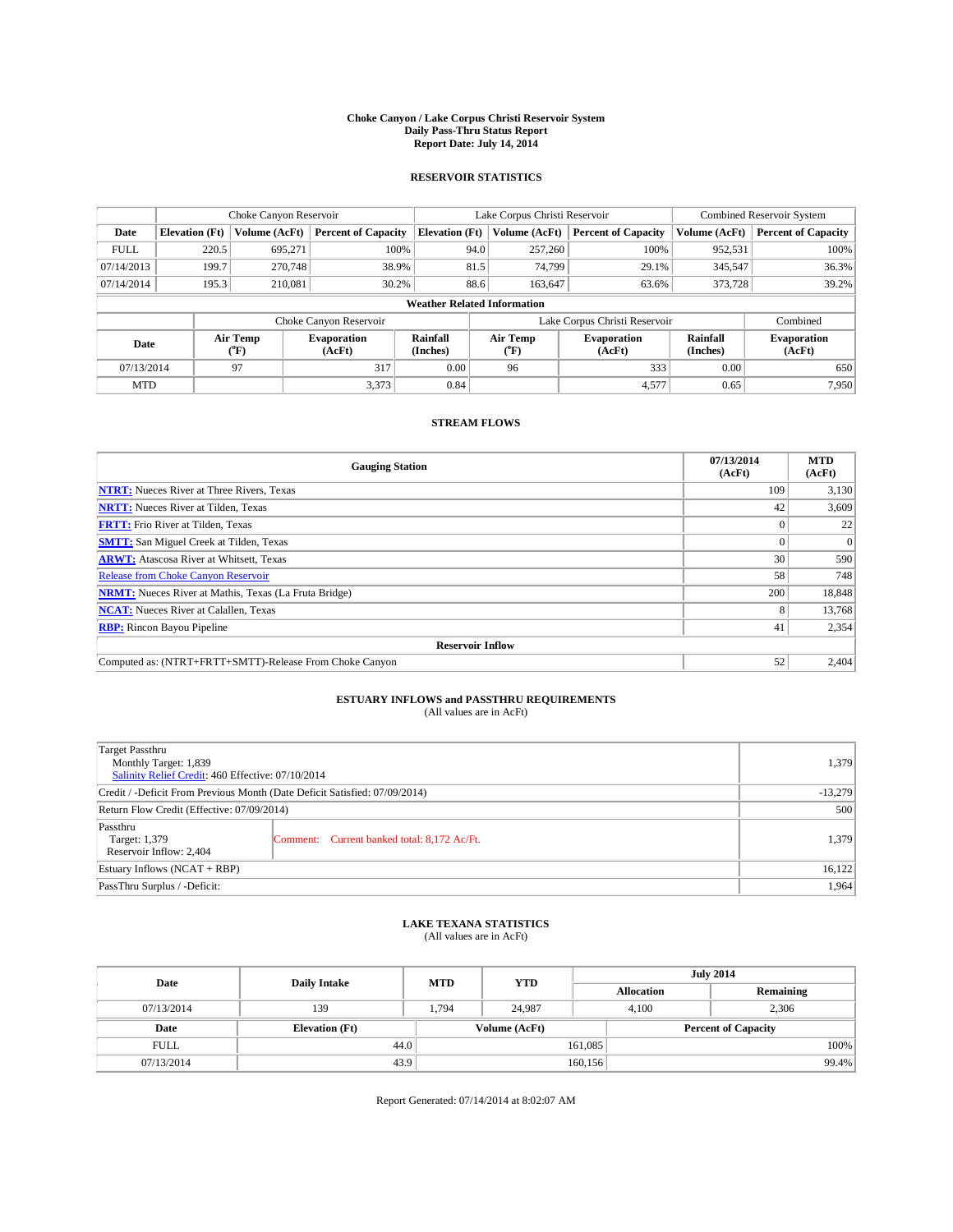#### **Choke Canyon / Lake Corpus Christi Reservoir System Daily Pass-Thru Status Report Report Date: July 14, 2014**

### **RESERVOIR STATISTICS**

|             |                                    | Choke Canyon Reservoir |                              |                       | Lake Corpus Christi Reservoir | Combined Reservoir System    |                      |                              |  |  |
|-------------|------------------------------------|------------------------|------------------------------|-----------------------|-------------------------------|------------------------------|----------------------|------------------------------|--|--|
| Date        | <b>Elevation</b> (Ft)              | <b>Volume (AcFt)</b>   | <b>Percent of Capacity</b>   | <b>Elevation (Ft)</b> | Volume (AcFt)                 | <b>Percent of Capacity</b>   | Volume (AcFt)        | <b>Percent of Capacity</b>   |  |  |
| <b>FULL</b> | 220.5                              | 695.271                | 100%                         | 94.0                  | 257,260                       | 100%                         | 952,531              | 100%                         |  |  |
| 07/14/2013  | 199.7                              | 270,748                | 38.9%                        | 81.5                  | 74,799                        | 29.1%                        | 345,547              | 36.3%                        |  |  |
| 07/14/2014  | 195.3                              | 210.081                | 30.2%                        | 88.6                  | 163,647                       | 63.6%                        | 373,728              | 39.2%                        |  |  |
|             | <b>Weather Related Information</b> |                        |                              |                       |                               |                              |                      |                              |  |  |
|             |                                    |                        | Choke Canyon Reservoir       |                       | Lake Corpus Christi Reservoir |                              |                      |                              |  |  |
| Date        |                                    | Air Temp<br>(°F)       | <b>Evaporation</b><br>(AcFt) | Rainfall<br>(Inches)  | Air Temp<br>(°F)              | <b>Evaporation</b><br>(AcFt) | Rainfall<br>(Inches) | <b>Evaporation</b><br>(AcFt) |  |  |
| 07/13/2014  |                                    | 97                     | 317                          | 0.00                  | 96                            | 333                          | 0.00                 | 650                          |  |  |
| <b>MTD</b>  |                                    |                        | 3,373                        | 0.84                  |                               | 4,577                        | 0.65                 | 7,950                        |  |  |

## **STREAM FLOWS**

| <b>Gauging Station</b>                                       | 07/13/2014<br>(AcFt) | <b>MTD</b><br>(AcFt) |  |  |  |  |
|--------------------------------------------------------------|----------------------|----------------------|--|--|--|--|
| <b>NTRT:</b> Nueces River at Three Rivers, Texas             | 109                  | 3,130                |  |  |  |  |
| <b>NRTT:</b> Nueces River at Tilden, Texas                   | 42                   | 3,609                |  |  |  |  |
| <b>FRTT:</b> Frio River at Tilden, Texas                     |                      | 22                   |  |  |  |  |
| <b>SMTT:</b> San Miguel Creek at Tilden, Texas               |                      | $\Omega$             |  |  |  |  |
| <b>ARWT:</b> Atascosa River at Whitsett, Texas               | 30                   | 590                  |  |  |  |  |
| <b>Release from Choke Canyon Reservoir</b>                   | 58                   | 748                  |  |  |  |  |
| <b>NRMT:</b> Nueces River at Mathis, Texas (La Fruta Bridge) | 200                  | 18,848               |  |  |  |  |
| <b>NCAT:</b> Nueces River at Calallen, Texas                 | 8                    | 13,768               |  |  |  |  |
| <b>RBP:</b> Rincon Bayou Pipeline                            | 41                   | 2,354                |  |  |  |  |
| <b>Reservoir Inflow</b>                                      |                      |                      |  |  |  |  |
| Computed as: (NTRT+FRTT+SMTT)-Release From Choke Canyon      | 52                   | 2,404                |  |  |  |  |

# **ESTUARY INFLOWS and PASSTHRU REQUIREMENTS**<br>(All values are in AcFt)

| Target Passthru<br>Monthly Target: 1,839<br>Salinity Relief Credit: 460 Effective: 07/10/2014 |                                             |       |  |  |
|-----------------------------------------------------------------------------------------------|---------------------------------------------|-------|--|--|
| Credit / -Deficit From Previous Month (Date Deficit Satisfied: 07/09/2014)                    | $-13,279$                                   |       |  |  |
| Return Flow Credit (Effective: 07/09/2014)                                                    | 500                                         |       |  |  |
| Passthru<br>Target: 1,379<br>Reservoir Inflow: 2,404                                          | Comment: Current banked total: 8,172 Ac/Ft. | 1,379 |  |  |
| Estuary Inflows (NCAT + RBP)                                                                  | 16,122                                      |       |  |  |
| PassThru Surplus / -Deficit:                                                                  | 1,964                                       |       |  |  |

## **LAKE TEXANA STATISTICS** (All values are in AcFt)

| Date        | <b>Daily Intake</b>   | <b>MTD</b> | <b>YTD</b>    | <b>July 2014</b>  |                            |           |  |
|-------------|-----------------------|------------|---------------|-------------------|----------------------------|-----------|--|
|             |                       |            |               | <b>Allocation</b> |                            | Remaining |  |
| 07/13/2014  | 139                   | 1.794      | 24.987        |                   | 2,306<br>4.100             |           |  |
| Date        | <b>Elevation</b> (Ft) |            | Volume (AcFt) |                   | <b>Percent of Capacity</b> |           |  |
| <b>FULL</b> | 44.0                  |            |               | 161,085           |                            | 100%      |  |
| 07/13/2014  | 43.9                  |            |               | 160, 156          |                            | 99.4%     |  |

Report Generated: 07/14/2014 at 8:02:07 AM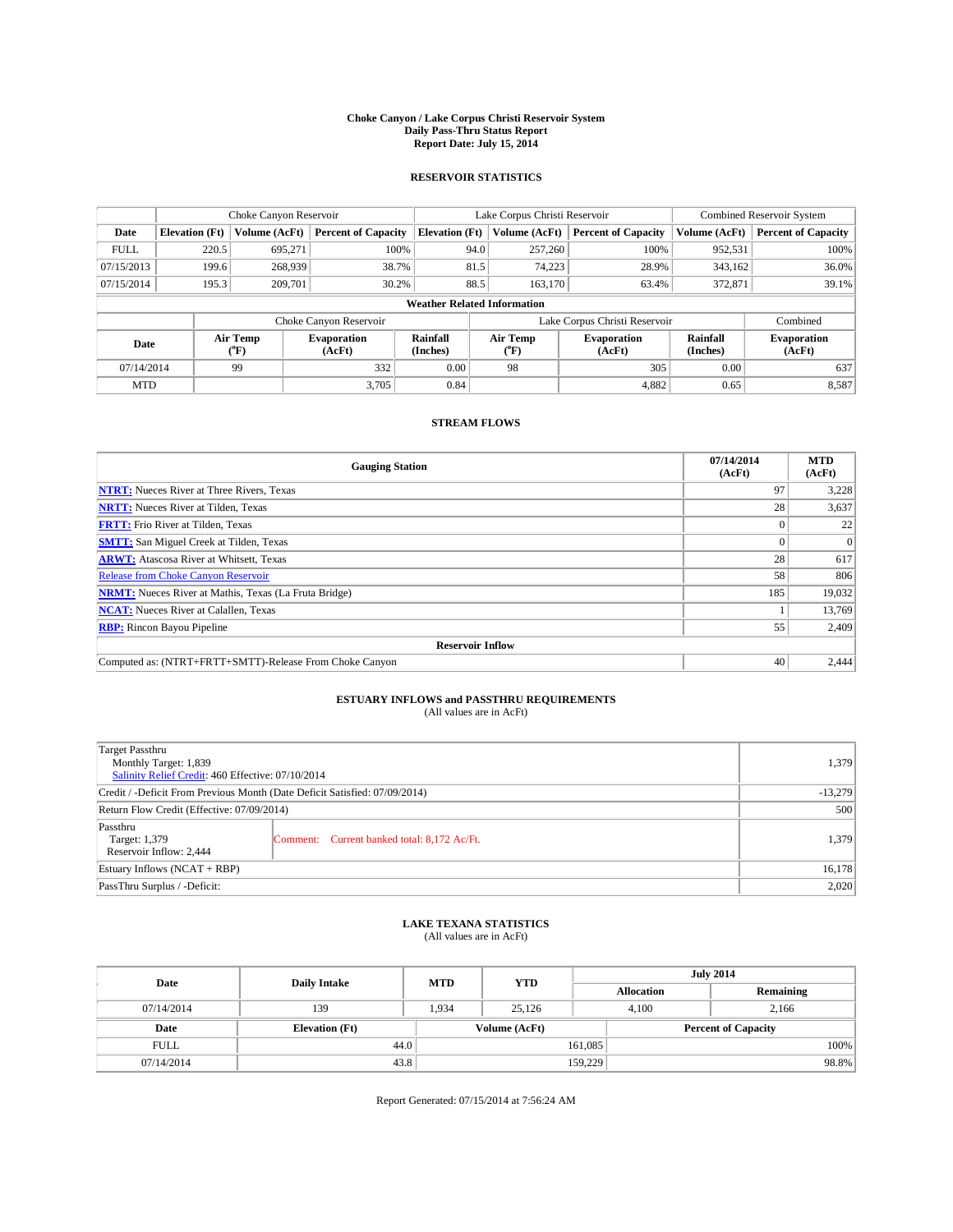#### **Choke Canyon / Lake Corpus Christi Reservoir System Daily Pass-Thru Status Report Report Date: July 15, 2014**

### **RESERVOIR STATISTICS**

|             |                                    | Choke Canyon Reservoir |                              |                       | Lake Corpus Christi Reservoir | Combined Reservoir System    |                      |                              |  |
|-------------|------------------------------------|------------------------|------------------------------|-----------------------|-------------------------------|------------------------------|----------------------|------------------------------|--|
| Date        | <b>Elevation</b> (Ft)              | <b>Volume (AcFt)</b>   | <b>Percent of Capacity</b>   | <b>Elevation (Ft)</b> | Volume (AcFt)                 | <b>Percent of Capacity</b>   | Volume (AcFt)        | <b>Percent of Capacity</b>   |  |
| <b>FULL</b> | 220.5                              | 695.271                | 100%                         | 94.0                  | 257,260                       | 100%                         | 952,531              | 100%                         |  |
| 07/15/2013  | 199.6                              | 268,939                | 38.7%                        | 81.5                  | 74,223                        | 28.9%                        | 343,162              | 36.0%                        |  |
| 07/15/2014  | 195.3                              | 209,701                | 30.2%                        | 88.5                  | 163,170                       | 63.4%                        | 372,871              | 39.1%                        |  |
|             | <b>Weather Related Information</b> |                        |                              |                       |                               |                              |                      |                              |  |
|             |                                    |                        | Choke Canyon Reservoir       |                       | Lake Corpus Christi Reservoir |                              | Combined             |                              |  |
| Date        |                                    | Air Temp<br>(°F)       | <b>Evaporation</b><br>(AcFt) | Rainfall<br>(Inches)  | Air Temp<br>(°F)              | <b>Evaporation</b><br>(AcFt) | Rainfall<br>(Inches) | <b>Evaporation</b><br>(AcFt) |  |
| 07/14/2014  |                                    | 99                     | 332                          | 0.00                  | 98                            | 305                          | 0.00                 | 637                          |  |
| <b>MTD</b>  |                                    |                        | 3.705                        | 0.84                  |                               | 4,882                        | 0.65                 | 8,587                        |  |

## **STREAM FLOWS**

| <b>Gauging Station</b>                                       | 07/14/2014<br>(AcFt) | <b>MTD</b><br>(AcFt) |  |  |  |  |
|--------------------------------------------------------------|----------------------|----------------------|--|--|--|--|
| <b>NTRT:</b> Nueces River at Three Rivers, Texas             | 97                   | 3,228                |  |  |  |  |
| <b>NRTT:</b> Nueces River at Tilden, Texas                   | 28                   | 3,637                |  |  |  |  |
| <b>FRTT:</b> Frio River at Tilden, Texas                     |                      | 22                   |  |  |  |  |
| <b>SMTT:</b> San Miguel Creek at Tilden, Texas               |                      | $\Omega$             |  |  |  |  |
| <b>ARWT:</b> Atascosa River at Whitsett, Texas               | 28                   | 617                  |  |  |  |  |
| <b>Release from Choke Canyon Reservoir</b>                   | 58                   | 806                  |  |  |  |  |
| <b>NRMT:</b> Nueces River at Mathis, Texas (La Fruta Bridge) | 185                  | 19,032               |  |  |  |  |
| <b>NCAT:</b> Nueces River at Calallen, Texas                 |                      | 13,769               |  |  |  |  |
| <b>RBP:</b> Rincon Bayou Pipeline                            | 55                   | 2,409                |  |  |  |  |
| <b>Reservoir Inflow</b>                                      |                      |                      |  |  |  |  |
| Computed as: (NTRT+FRTT+SMTT)-Release From Choke Canyon      | 40                   | 2,444                |  |  |  |  |

# **ESTUARY INFLOWS and PASSTHRU REQUIREMENTS**<br>(All values are in AcFt)

| Target Passthru<br>Monthly Target: 1,839<br>Salinity Relief Credit: 460 Effective: 07/10/2014 | 1,379                                       |       |  |  |
|-----------------------------------------------------------------------------------------------|---------------------------------------------|-------|--|--|
| Credit / -Deficit From Previous Month (Date Deficit Satisfied: 07/09/2014)                    |                                             |       |  |  |
| Return Flow Credit (Effective: 07/09/2014)                                                    |                                             |       |  |  |
| Passthru<br>Target: 1,379<br>Reservoir Inflow: 2,444                                          | Comment: Current banked total: 8,172 Ac/Ft. | 1,379 |  |  |
| Estuary Inflows (NCAT + RBP)                                                                  |                                             |       |  |  |
| PassThru Surplus / -Deficit:                                                                  | 2,020                                       |       |  |  |

## **LAKE TEXANA STATISTICS** (All values are in AcFt)

| Date        | <b>Daily Intake</b>   | <b>MTD</b> | <b>YTD</b>    | <b>July 2014</b>  |                            |           |  |
|-------------|-----------------------|------------|---------------|-------------------|----------------------------|-----------|--|
|             |                       |            |               | <b>Allocation</b> |                            | Remaining |  |
| 07/14/2014  | 139                   | 1,934      | 25,126        |                   | 4,100<br>2,166             |           |  |
| Date        | <b>Elevation</b> (Ft) |            | Volume (AcFt) |                   | <b>Percent of Capacity</b> |           |  |
| <b>FULL</b> | 44.0                  |            |               | 161,085           |                            | 100%      |  |
| 07/14/2014  | 43.8                  |            |               | 159,229           |                            | 98.8%     |  |

Report Generated: 07/15/2014 at 7:56:24 AM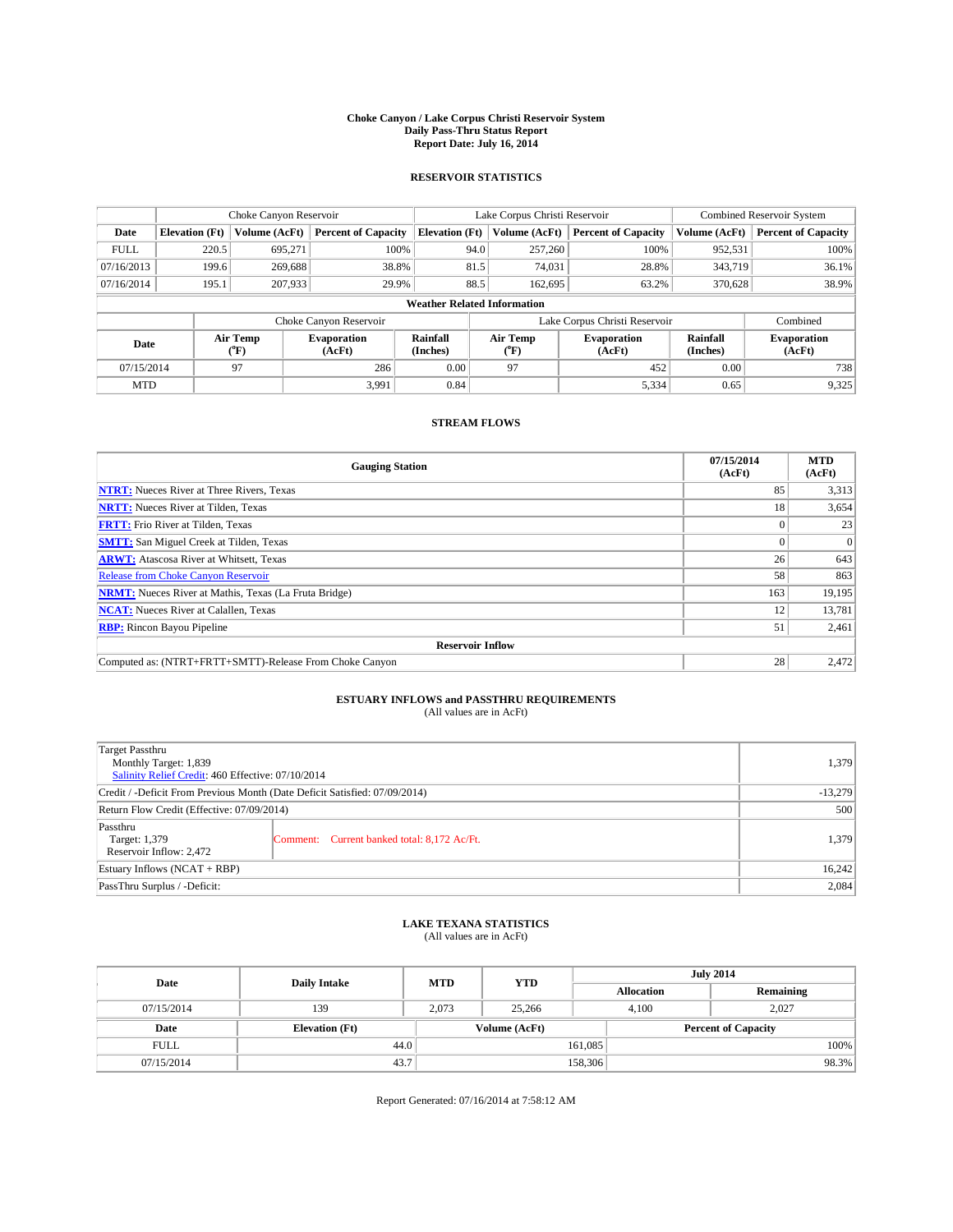#### **Choke Canyon / Lake Corpus Christi Reservoir System Daily Pass-Thru Status Report Report Date: July 16, 2014**

### **RESERVOIR STATISTICS**

|             | Choke Canyon Reservoir             |                  |                              |                       | Lake Corpus Christi Reservoir | <b>Combined Reservoir System</b> |                      |                              |  |
|-------------|------------------------------------|------------------|------------------------------|-----------------------|-------------------------------|----------------------------------|----------------------|------------------------------|--|
| Date        | <b>Elevation</b> (Ft)              | Volume (AcFt)    | <b>Percent of Capacity</b>   | <b>Elevation (Ft)</b> | Volume (AcFt)                 | <b>Percent of Capacity</b>       | Volume (AcFt)        | Percent of Capacity          |  |
| <b>FULL</b> | 220.5                              | 695,271          | 100%                         | 94.0                  | 257,260                       | 100%                             | 952,531              | 100%                         |  |
| 07/16/2013  | 199.6                              | 269,688          | 38.8%                        | 81.5                  | 74,031                        | 28.8%                            | 343,719              | $36.1\%$                     |  |
| 07/16/2014  | 195.1                              | 207,933          | 29.9%                        | 88.5                  | 162,695                       | 63.2%                            | 370,628              | 38.9%                        |  |
|             | <b>Weather Related Information</b> |                  |                              |                       |                               |                                  |                      |                              |  |
|             |                                    |                  | Choke Canyon Reservoir       |                       |                               | Lake Corpus Christi Reservoir    |                      | Combined                     |  |
| Date        |                                    | Air Temp<br>(°F) | <b>Evaporation</b><br>(AcFt) | Rainfall<br>(Inches)  | Air Temp<br>("F)              | <b>Evaporation</b><br>(AcFt)     | Rainfall<br>(Inches) | <b>Evaporation</b><br>(AcFt) |  |
| 07/15/2014  |                                    | 97               | 286                          | 0.00                  | 97                            | 452                              | 0.00                 | 738                          |  |
| <b>MTD</b>  |                                    |                  | 3.991                        | 0.84                  |                               | 5,334                            | 0.65                 | 9,325                        |  |

## **STREAM FLOWS**

| <b>Gauging Station</b>                                       | 07/15/2014<br>(AcFt) | <b>MTD</b><br>(AcFt) |  |  |  |  |
|--------------------------------------------------------------|----------------------|----------------------|--|--|--|--|
| <b>NTRT:</b> Nueces River at Three Rivers, Texas             | 85                   | 3,313                |  |  |  |  |
| <b>NRTT:</b> Nueces River at Tilden, Texas                   | 18                   | 3,654                |  |  |  |  |
| <b>FRTT:</b> Frio River at Tilden, Texas                     |                      | 23                   |  |  |  |  |
| <b>SMTT:</b> San Miguel Creek at Tilden, Texas               |                      | $\Omega$             |  |  |  |  |
| <b>ARWT:</b> Atascosa River at Whitsett, Texas               | 26                   | 643                  |  |  |  |  |
| <b>Release from Choke Canyon Reservoir</b>                   | 58                   | 863                  |  |  |  |  |
| <b>NRMT:</b> Nueces River at Mathis, Texas (La Fruta Bridge) | 163                  | 19,195               |  |  |  |  |
| <b>NCAT:</b> Nueces River at Calallen, Texas                 | 12                   | 13,781               |  |  |  |  |
| <b>RBP:</b> Rincon Bayou Pipeline                            | 51                   | 2,461                |  |  |  |  |
| <b>Reservoir Inflow</b>                                      |                      |                      |  |  |  |  |
| Computed as: (NTRT+FRTT+SMTT)-Release From Choke Canyon      | 28                   | 2,472                |  |  |  |  |

# **ESTUARY INFLOWS and PASSTHRU REQUIREMENTS**<br>(All values are in AcFt)

| Target Passthru<br>Monthly Target: 1,839<br>Salinity Relief Credit: 460 Effective: 07/10/2014 | 1,379                                       |       |
|-----------------------------------------------------------------------------------------------|---------------------------------------------|-------|
| Credit / -Deficit From Previous Month (Date Deficit Satisfied: 07/09/2014)                    | $-13,279$                                   |       |
| Return Flow Credit (Effective: 07/09/2014)                                                    | 500                                         |       |
| Passthru<br>Target: 1,379<br>Reservoir Inflow: 2,472                                          | Comment: Current banked total: 8,172 Ac/Ft. | 1,379 |
| Estuary Inflows (NCAT + RBP)                                                                  | 16,242                                      |       |
| PassThru Surplus / -Deficit:                                                                  | 2,084                                       |       |

## **LAKE TEXANA STATISTICS** (All values are in AcFt)

| Date        |                       | <b>MTD</b> | <b>YTD</b>    | <b>July 2014</b>  |                            |           |  |
|-------------|-----------------------|------------|---------------|-------------------|----------------------------|-----------|--|
|             | <b>Daily Intake</b>   |            |               | <b>Allocation</b> |                            | Remaining |  |
| 07/15/2014  | 139                   | 2.073      | 25,266        | 4.100             |                            | 2.027     |  |
| Date        | <b>Elevation</b> (Ft) |            | Volume (AcFt) |                   | <b>Percent of Capacity</b> |           |  |
| <b>FULL</b> | 44.0                  |            |               | 161,085           |                            | 100%      |  |
| 07/15/2014  | 43.7                  |            |               | 158,306           |                            | 98.3%     |  |

Report Generated: 07/16/2014 at 7:58:12 AM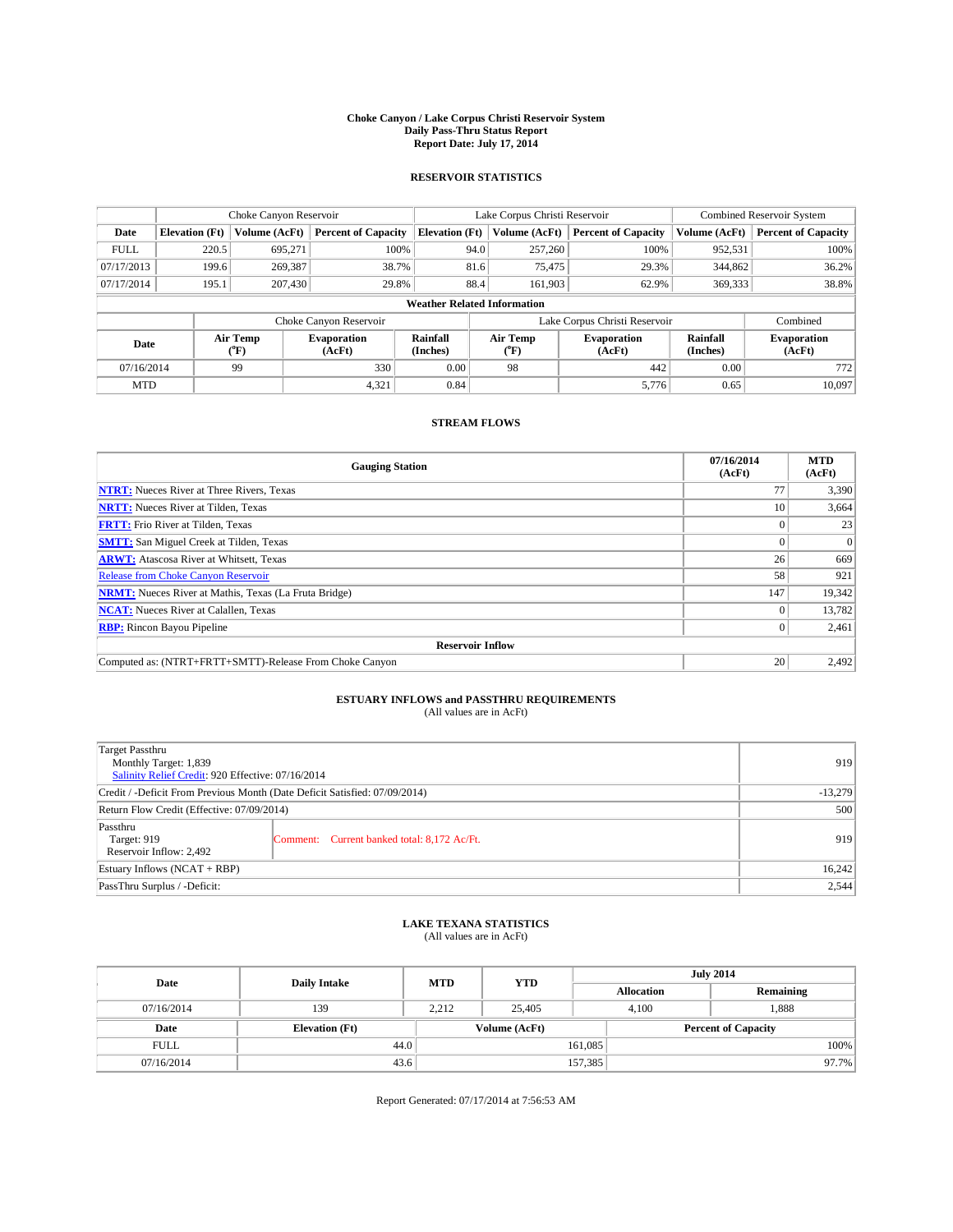#### **Choke Canyon / Lake Corpus Christi Reservoir System Daily Pass-Thru Status Report Report Date: July 17, 2014**

### **RESERVOIR STATISTICS**

|             | Choke Canyon Reservoir             |                  |                              |                       | Lake Corpus Christi Reservoir | <b>Combined Reservoir System</b> |                      |                              |  |
|-------------|------------------------------------|------------------|------------------------------|-----------------------|-------------------------------|----------------------------------|----------------------|------------------------------|--|
| Date        | <b>Elevation</b> (Ft)              | Volume (AcFt)    | <b>Percent of Capacity</b>   | <b>Elevation (Ft)</b> | Volume (AcFt)                 | <b>Percent of Capacity</b>       | Volume (AcFt)        | Percent of Capacity          |  |
| <b>FULL</b> | 220.5                              | 695,271          | 100%                         | 94.0                  | 257,260                       | 100%                             | 952,531              | 100%                         |  |
| 07/17/2013  | 199.6                              | 269,387          | 38.7%                        | 81.6                  | 75,475                        | 29.3%                            | 344,862              | $36.2\%$                     |  |
| 07/17/2014  | 195.1                              | 207,430          | 29.8%                        | 88.4                  | 161.903                       | 62.9%                            | 369,333              | 38.8%                        |  |
|             | <b>Weather Related Information</b> |                  |                              |                       |                               |                                  |                      |                              |  |
|             |                                    |                  | Choke Canyon Reservoir       |                       |                               | Lake Corpus Christi Reservoir    |                      | Combined                     |  |
| Date        |                                    | Air Temp<br>(°F) | <b>Evaporation</b><br>(AcFt) | Rainfall<br>(Inches)  | Air Temp<br>("F)              | <b>Evaporation</b><br>(AcFt)     | Rainfall<br>(Inches) | <b>Evaporation</b><br>(AcFt) |  |
| 07/16/2014  |                                    | 99               | 330                          | 0.00                  | 98                            | 442                              | 0.00                 | 772                          |  |
| <b>MTD</b>  |                                    |                  | 4,321                        | 0.84                  |                               | 5,776                            | 0.65                 | 10,097                       |  |

## **STREAM FLOWS**

| <b>Gauging Station</b>                                       | 07/16/2014<br>(AcFt) | <b>MTD</b><br>(AcFt) |  |  |  |  |
|--------------------------------------------------------------|----------------------|----------------------|--|--|--|--|
| <b>NTRT:</b> Nueces River at Three Rivers, Texas             | 77                   | 3,390                |  |  |  |  |
| <b>NRTT:</b> Nueces River at Tilden, Texas                   | 10                   | 3,664                |  |  |  |  |
| <b>FRTT:</b> Frio River at Tilden, Texas                     |                      | 23                   |  |  |  |  |
| <b>SMTT:</b> San Miguel Creek at Tilden, Texas               |                      | $\Omega$             |  |  |  |  |
| <b>ARWT:</b> Atascosa River at Whitsett, Texas               | 26                   | 669                  |  |  |  |  |
| <b>Release from Choke Canyon Reservoir</b>                   | 58                   | 921                  |  |  |  |  |
| <b>NRMT:</b> Nueces River at Mathis, Texas (La Fruta Bridge) | 147                  | 19,342               |  |  |  |  |
| <b>NCAT:</b> Nueces River at Calallen, Texas                 |                      | 13,782               |  |  |  |  |
| <b>RBP:</b> Rincon Bayou Pipeline                            | 0                    | 2,461                |  |  |  |  |
| <b>Reservoir Inflow</b>                                      |                      |                      |  |  |  |  |
| Computed as: (NTRT+FRTT+SMTT)-Release From Choke Canyon      | 20                   | 2,492                |  |  |  |  |

# **ESTUARY INFLOWS and PASSTHRU REQUIREMENTS**<br>(All values are in AcFt)

| Target Passthru<br>Monthly Target: 1,839<br>Salinity Relief Credit: 920 Effective: 07/16/2014 | 919                                         |     |
|-----------------------------------------------------------------------------------------------|---------------------------------------------|-----|
| Credit / -Deficit From Previous Month (Date Deficit Satisfied: 07/09/2014)                    | $-13,279$                                   |     |
| Return Flow Credit (Effective: 07/09/2014)                                                    | 500                                         |     |
| Passthru<br>Target: 919<br>Reservoir Inflow: 2,492                                            | Comment: Current banked total: 8,172 Ac/Ft. | 919 |
| Estuary Inflows (NCAT + RBP)                                                                  | 16,242                                      |     |
| PassThru Surplus / -Deficit:                                                                  | 2,544                                       |     |

## **LAKE TEXANA STATISTICS** (All values are in AcFt)

| Date        | <b>Daily Intake</b>   | <b>MTD</b> | <b>YTD</b>    | <b>July 2014</b>  |                            |           |  |
|-------------|-----------------------|------------|---------------|-------------------|----------------------------|-----------|--|
|             |                       |            |               | <b>Allocation</b> |                            | Remaining |  |
| 07/16/2014  | 139                   | 2,212      | 25,405        | 4,100             | 1,888                      |           |  |
| Date        | <b>Elevation</b> (Ft) |            | Volume (AcFt) |                   | <b>Percent of Capacity</b> |           |  |
| <b>FULL</b> | 44.0                  |            |               | 161,085           |                            | 100%      |  |
| 07/16/2014  | 43.6                  |            |               | 157,385           |                            | 97.7%     |  |

Report Generated: 07/17/2014 at 7:56:53 AM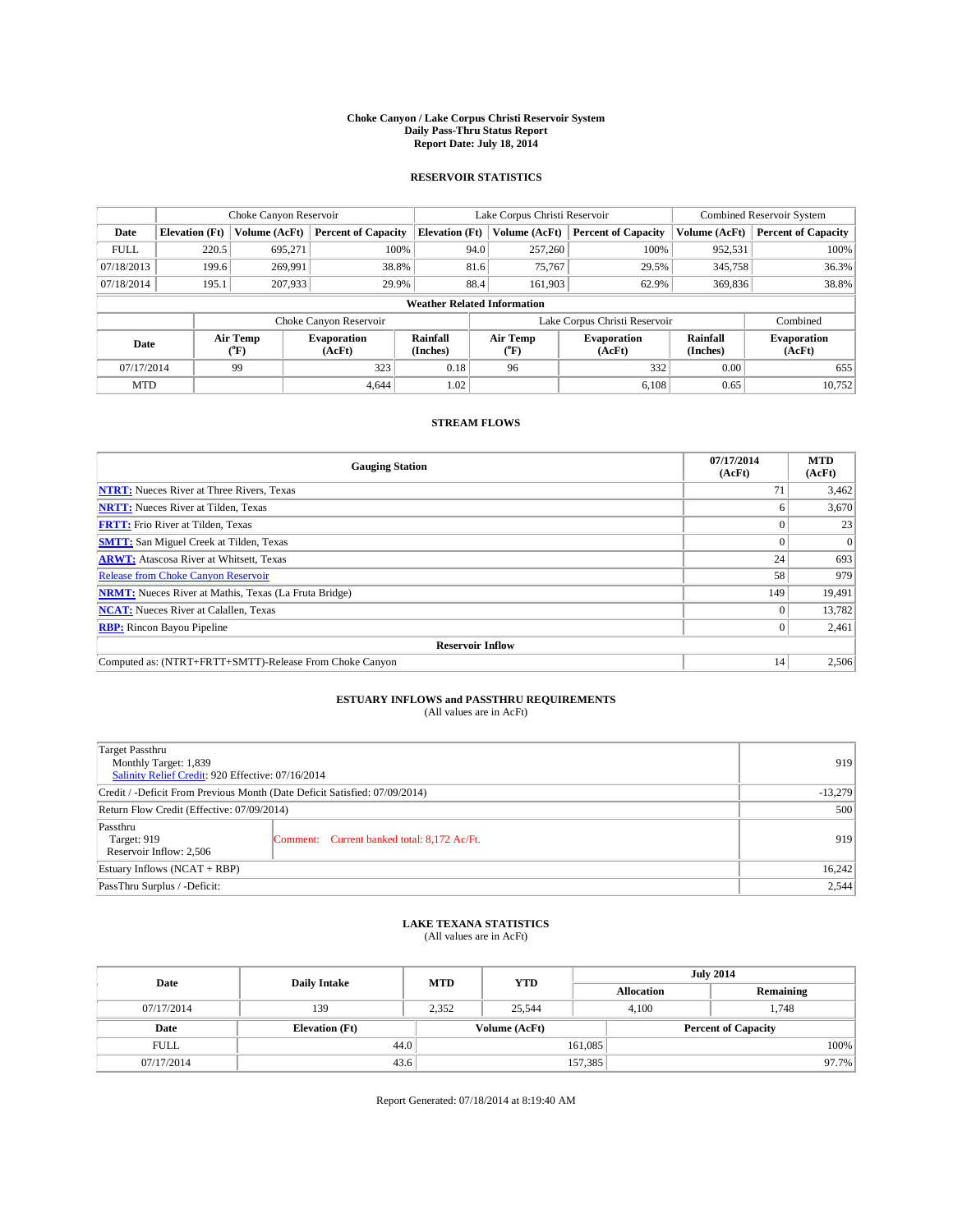#### **Choke Canyon / Lake Corpus Christi Reservoir System Daily Pass-Thru Status Report Report Date: July 18, 2014**

### **RESERVOIR STATISTICS**

|             | Choke Canyon Reservoir |                  |                              |                                    | Lake Corpus Christi Reservoir | <b>Combined Reservoir System</b> |                      |                              |
|-------------|------------------------|------------------|------------------------------|------------------------------------|-------------------------------|----------------------------------|----------------------|------------------------------|
| Date        | <b>Elevation</b> (Ft)  | Volume (AcFt)    | <b>Percent of Capacity</b>   | <b>Elevation (Ft)</b>              | Volume (AcFt)                 | <b>Percent of Capacity</b>       | Volume (AcFt)        | Percent of Capacity          |
| <b>FULL</b> | 220.5                  | 695,271          | 100%                         | 94.0                               | 257,260                       | 100%                             | 952,531              | 100%                         |
| 07/18/2013  | 199.6                  | 269,991          | 38.8%                        |                                    | 81.6<br>75,767                | 29.5%                            | 345,758              | 36.3%                        |
| 07/18/2014  | 195.1                  | 207,933          | 29.9%                        | 88.4                               | 161.903                       | 62.9%                            | 369,836              | 38.8%                        |
|             |                        |                  |                              | <b>Weather Related Information</b> |                               |                                  |                      |                              |
|             |                        |                  | Choke Canyon Reservoir       |                                    |                               | Lake Corpus Christi Reservoir    |                      | Combined                     |
| Date        |                        | Air Temp<br>(°F) | <b>Evaporation</b><br>(AcFt) | Rainfall<br>(Inches)               | Air Temp<br>("F)              | <b>Evaporation</b><br>(AcFt)     | Rainfall<br>(Inches) | <b>Evaporation</b><br>(AcFt) |
| 07/17/2014  |                        | 99               | 323                          | 0.18                               | 96                            | 332                              | 0.00                 | 655                          |
| <b>MTD</b>  |                        |                  | 4.644                        | 1.02                               |                               | 6.108                            | 0.65                 | 10,752                       |

## **STREAM FLOWS**

| <b>Gauging Station</b>                                       | 07/17/2014<br>(AcFt) | <b>MTD</b><br>(AcFt) |  |  |  |
|--------------------------------------------------------------|----------------------|----------------------|--|--|--|
| <b>NTRT:</b> Nueces River at Three Rivers, Texas             | 71                   | 3,462                |  |  |  |
| <b>NRTT:</b> Nueces River at Tilden, Texas                   |                      | 3,670                |  |  |  |
| <b>FRTT:</b> Frio River at Tilden, Texas                     |                      | 23                   |  |  |  |
| <b>SMTT:</b> San Miguel Creek at Tilden, Texas               |                      | $\Omega$             |  |  |  |
| <b>ARWT:</b> Atascosa River at Whitsett, Texas               | 24                   | 693                  |  |  |  |
| <b>Release from Choke Canyon Reservoir</b>                   | 58                   | 979                  |  |  |  |
| <b>NRMT:</b> Nueces River at Mathis, Texas (La Fruta Bridge) | 149                  | 19,491               |  |  |  |
| <b>NCAT:</b> Nueces River at Calallen, Texas                 |                      | 13,782               |  |  |  |
| <b>RBP:</b> Rincon Bayou Pipeline                            | 0 <sup>1</sup>       | 2,461                |  |  |  |
| <b>Reservoir Inflow</b>                                      |                      |                      |  |  |  |
| Computed as: (NTRT+FRTT+SMTT)-Release From Choke Canyon      | 14                   | 2,506                |  |  |  |

# **ESTUARY INFLOWS and PASSTHRU REQUIREMENTS**<br>(All values are in AcFt)

| Target Passthru<br>Monthly Target: 1,839<br>Salinity Relief Credit: 920 Effective: 07/16/2014 | 919                                         |     |
|-----------------------------------------------------------------------------------------------|---------------------------------------------|-----|
| Credit / -Deficit From Previous Month (Date Deficit Satisfied: 07/09/2014)                    | $-13,279$                                   |     |
| Return Flow Credit (Effective: 07/09/2014)                                                    | 500                                         |     |
| Passthru<br>Target: 919<br>Reservoir Inflow: 2,506                                            | Comment: Current banked total: 8,172 Ac/Ft. | 919 |
| Estuary Inflows (NCAT + RBP)                                                                  | 16,242                                      |     |
| PassThru Surplus / -Deficit:                                                                  | 2,544                                       |     |

## **LAKE TEXANA STATISTICS** (All values are in AcFt)

| Date        | <b>Daily Intake</b>   | <b>MTD</b> | <b>YTD</b>    | <b>July 2014</b>  |                            |           |  |
|-------------|-----------------------|------------|---------------|-------------------|----------------------------|-----------|--|
|             |                       |            |               | <b>Allocation</b> |                            | Remaining |  |
| 07/17/2014  | 139                   | 2,352      | 25,544        | 4,100             | 1,748                      |           |  |
| Date        | <b>Elevation</b> (Ft) |            | Volume (AcFt) |                   | <b>Percent of Capacity</b> |           |  |
| <b>FULL</b> | 44.0                  |            |               | 161,085           |                            | 100%      |  |
| 07/17/2014  | 43.6                  |            |               | 157,385           |                            | 97.7%     |  |

Report Generated: 07/18/2014 at 8:19:40 AM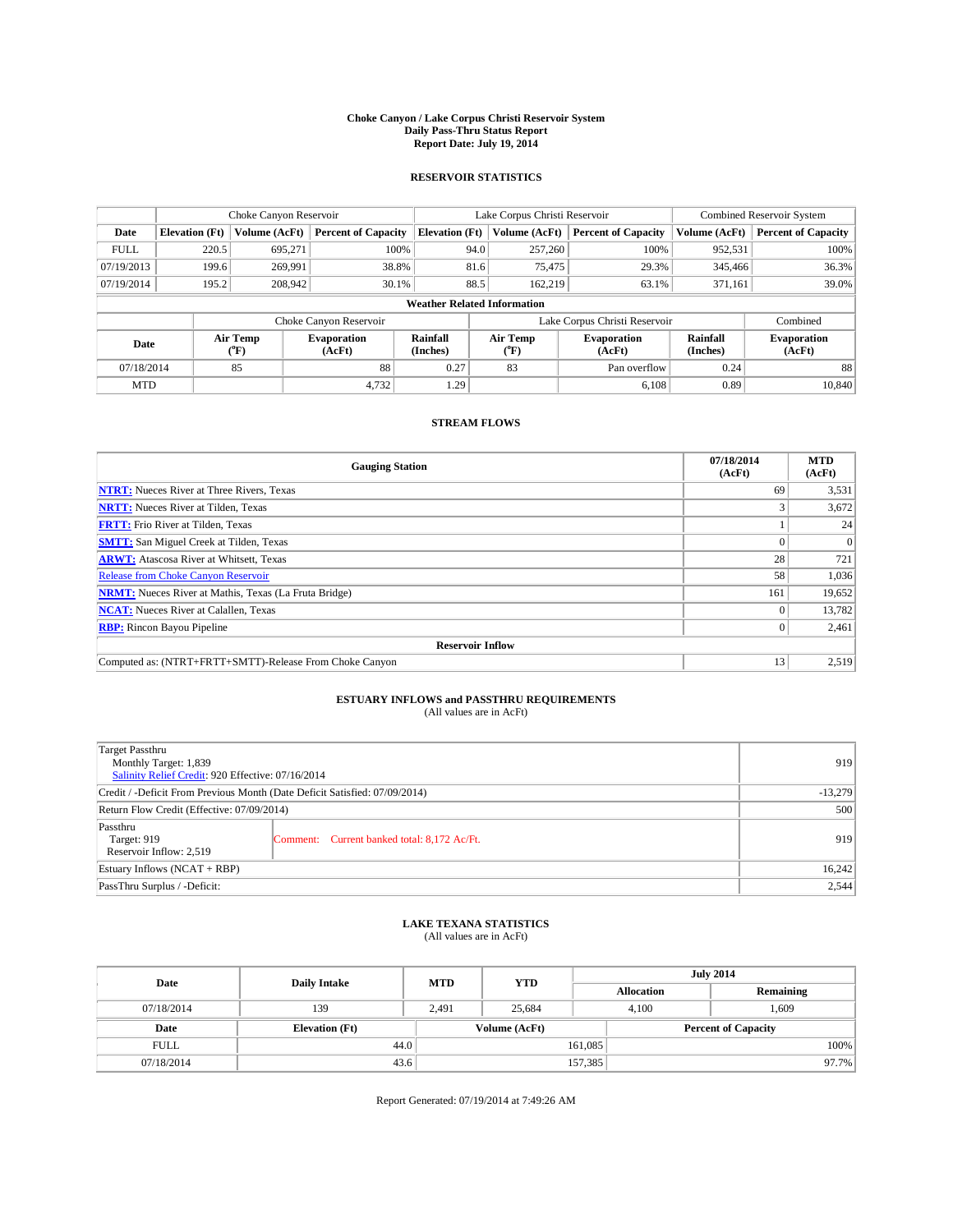#### **Choke Canyon / Lake Corpus Christi Reservoir System Daily Pass-Thru Status Report Report Date: July 19, 2014**

### **RESERVOIR STATISTICS**

|             |                                    | Choke Canyon Reservoir |                              |                       | Lake Corpus Christi Reservoir             | <b>Combined Reservoir System</b> |                      |                              |  |  |
|-------------|------------------------------------|------------------------|------------------------------|-----------------------|-------------------------------------------|----------------------------------|----------------------|------------------------------|--|--|
| Date        | <b>Elevation</b> (Ft)              | Volume (AcFt)          | <b>Percent of Capacity</b>   | <b>Elevation (Ft)</b> | Volume (AcFt)                             | <b>Percent of Capacity</b>       | Volume (AcFt)        | Percent of Capacity          |  |  |
| <b>FULL</b> | 220.5                              | 695.271                | 100%                         | 94.0                  | 257,260                                   | 100%                             | 952,531              | 100%                         |  |  |
| 07/19/2013  | 199.6                              | 269,991                | 38.8%                        | 81.6                  | 75,475                                    | 29.3%                            | 345,466              | 36.3%                        |  |  |
| 07/19/2014  | 195.2                              | 208,942                | 30.1%                        | 88.5                  | 162.219                                   | 63.1%                            | 371,161              | $39.0\%$                     |  |  |
|             | <b>Weather Related Information</b> |                        |                              |                       |                                           |                                  |                      |                              |  |  |
|             |                                    |                        | Choke Canyon Reservoir       |                       | Lake Corpus Christi Reservoir<br>Combined |                                  |                      |                              |  |  |
| Date        |                                    | Air Temp<br>("F)       | <b>Evaporation</b><br>(AcFt) | Rainfall<br>(Inches)  | Air Temp<br>$({}^{\mathrm{o}}\mathrm{F})$ | <b>Evaporation</b><br>(AcFt)     | Rainfall<br>(Inches) | <b>Evaporation</b><br>(AcFt) |  |  |
| 07/18/2014  |                                    | 85                     | 88                           | 0.27                  | 83                                        | Pan overflow                     | 0.24                 | 88                           |  |  |
| <b>MTD</b>  |                                    |                        | 4,732                        | 1.29                  |                                           | 6.108                            | 0.89                 | 10,840                       |  |  |

## **STREAM FLOWS**

| <b>Gauging Station</b>                                       | 07/18/2014<br>(AcFt) | <b>MTD</b><br>(AcFt) |
|--------------------------------------------------------------|----------------------|----------------------|
| <b>NTRT:</b> Nueces River at Three Rivers, Texas             | 69                   | 3,531                |
| <b>NRTT:</b> Nueces River at Tilden, Texas                   |                      | 3,672                |
| <b>FRTT:</b> Frio River at Tilden, Texas                     |                      | 24                   |
| <b>SMTT:</b> San Miguel Creek at Tilden, Texas               |                      | $\Omega$             |
| <b>ARWT:</b> Atascosa River at Whitsett, Texas               | 28                   | 721                  |
| <b>Release from Choke Canyon Reservoir</b>                   | 58                   | 1,036                |
| <b>NRMT:</b> Nueces River at Mathis, Texas (La Fruta Bridge) | 161                  | 19,652               |
| <b>NCAT:</b> Nueces River at Calallen, Texas                 |                      | 13,782               |
| <b>RBP:</b> Rincon Bayou Pipeline                            | 0                    | 2,461                |
| <b>Reservoir Inflow</b>                                      |                      |                      |
| Computed as: (NTRT+FRTT+SMTT)-Release From Choke Canyon      | 13                   | 2,519                |

# **ESTUARY INFLOWS and PASSTHRU REQUIREMENTS**<br>(All values are in AcFt)

| Target Passthru<br>Monthly Target: 1,839<br>Salinity Relief Credit: 920 Effective: 07/16/2014 |                                             |     |  |
|-----------------------------------------------------------------------------------------------|---------------------------------------------|-----|--|
| Credit / -Deficit From Previous Month (Date Deficit Satisfied: 07/09/2014)                    |                                             |     |  |
| Return Flow Credit (Effective: 07/09/2014)                                                    | 500                                         |     |  |
| Passthru<br>Target: 919<br>Reservoir Inflow: 2,519                                            | Comment: Current banked total: 8,172 Ac/Ft. | 919 |  |
| Estuary Inflows (NCAT + RBP)                                                                  | 16,242                                      |     |  |
| PassThru Surplus / -Deficit:                                                                  |                                             |     |  |

## **LAKE TEXANA STATISTICS** (All values are in AcFt)

| Date        | <b>Daily Intake</b>   | <b>MTD</b> | <b>YTD</b>    | <b>July 2014</b>  |                            |           |  |
|-------------|-----------------------|------------|---------------|-------------------|----------------------------|-----------|--|
|             |                       |            |               | <b>Allocation</b> |                            | Remaining |  |
| 07/18/2014  | 139                   | 2,491      | 25,684        |                   | 1,609<br>4,100             |           |  |
| Date        | <b>Elevation</b> (Ft) |            | Volume (AcFt) |                   | <b>Percent of Capacity</b> |           |  |
| <b>FULL</b> | 44.0                  |            |               | 161,085           |                            | 100%      |  |
| 07/18/2014  | 43.6                  |            |               | 157,385           |                            | 97.7%     |  |

Report Generated: 07/19/2014 at 7:49:26 AM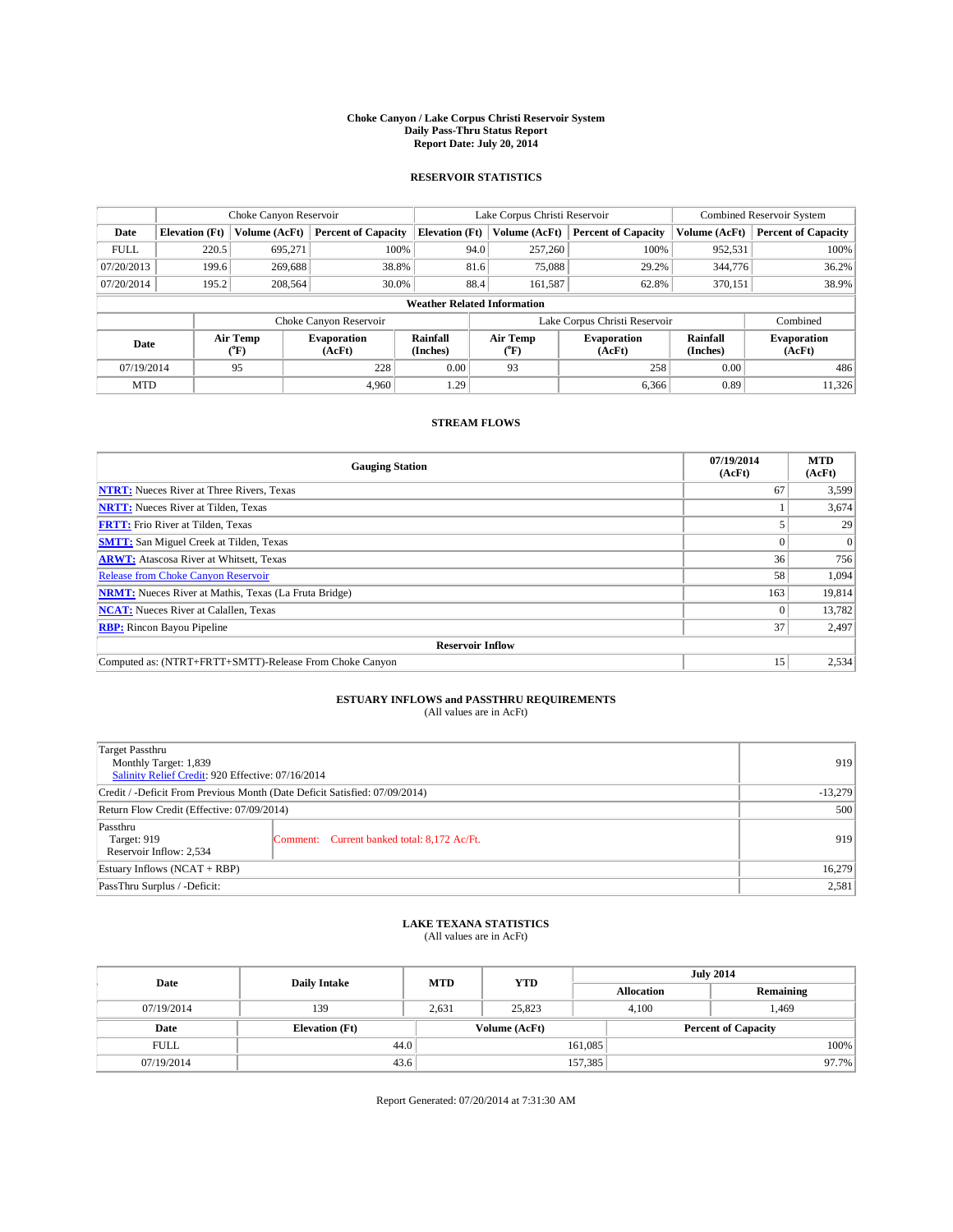#### **Choke Canyon / Lake Corpus Christi Reservoir System Daily Pass-Thru Status Report Report Date: July 20, 2014**

### **RESERVOIR STATISTICS**

|             |                                    | Choke Canyon Reservoir |                              |                       | Lake Corpus Christi Reservoir | <b>Combined Reservoir System</b> |                      |                              |  |  |
|-------------|------------------------------------|------------------------|------------------------------|-----------------------|-------------------------------|----------------------------------|----------------------|------------------------------|--|--|
| Date        | <b>Elevation</b> (Ft)              | Volume (AcFt)          | <b>Percent of Capacity</b>   | <b>Elevation (Ft)</b> | Volume (AcFt)                 | <b>Percent of Capacity</b>       | Volume (AcFt)        | <b>Percent of Capacity</b>   |  |  |
| <b>FULL</b> | 220.5                              | 695,271                | 100%                         |                       | 94.0<br>257,260               | 100%                             | 952,531              | 100%                         |  |  |
| 07/20/2013  | 199.6                              | 269,688                | 38.8%                        |                       | 81.6<br>75,088                | 29.2%                            | 344,776              | 36.2%                        |  |  |
| 07/20/2014  | 195.2                              | 208.564                | 30.0%                        |                       | 88.4<br>161,587               | 62.8%                            | 370.151              | 38.9%                        |  |  |
|             | <b>Weather Related Information</b> |                        |                              |                       |                               |                                  |                      |                              |  |  |
|             |                                    |                        | Choke Canyon Reservoir       |                       | Lake Corpus Christi Reservoir | Combined                         |                      |                              |  |  |
| Date        |                                    | Air Temp<br>(°F)       | <b>Evaporation</b><br>(AcFt) | Rainfall<br>(Inches)  | Air Temp<br>(°F)              | <b>Evaporation</b><br>(AcFt)     | Rainfall<br>(Inches) | <b>Evaporation</b><br>(AcFt) |  |  |
| 07/19/2014  |                                    | 95                     | 228                          | 0.00                  | 93                            | 258                              | 0.00                 | 486                          |  |  |
| <b>MTD</b>  |                                    |                        | 4.960                        | 1.29                  |                               | 6,366                            | 0.89                 | 11,326                       |  |  |

## **STREAM FLOWS**

| <b>Gauging Station</b>                                       | 07/19/2014<br>(AcFt) | <b>MTD</b><br>(AcFt) |
|--------------------------------------------------------------|----------------------|----------------------|
| <b>NTRT:</b> Nueces River at Three Rivers, Texas             | 67                   | 3,599                |
| <b>NRTT:</b> Nueces River at Tilden, Texas                   |                      | 3,674                |
| <b>FRTT:</b> Frio River at Tilden, Texas                     |                      | 29                   |
| <b>SMTT:</b> San Miguel Creek at Tilden, Texas               |                      | $\Omega$             |
| <b>ARWT:</b> Atascosa River at Whitsett, Texas               | 36                   | 756                  |
| <b>Release from Choke Canyon Reservoir</b>                   | 58                   | 1,094                |
| <b>NRMT:</b> Nueces River at Mathis, Texas (La Fruta Bridge) | 163                  | 19,814               |
| <b>NCAT:</b> Nueces River at Calallen, Texas                 |                      | 13,782               |
| <b>RBP:</b> Rincon Bayou Pipeline                            | 37                   | 2,497                |
| <b>Reservoir Inflow</b>                                      |                      |                      |
| Computed as: (NTRT+FRTT+SMTT)-Release From Choke Canyon      | 15                   | 2,534                |

# **ESTUARY INFLOWS and PASSTHRU REQUIREMENTS**<br>(All values are in AcFt)

| Target Passthru<br>Monthly Target: 1,839<br>Salinity Relief Credit: 920 Effective: 07/16/2014 |                                             | 919 |
|-----------------------------------------------------------------------------------------------|---------------------------------------------|-----|
| Credit / -Deficit From Previous Month (Date Deficit Satisfied: 07/09/2014)                    |                                             |     |
| Return Flow Credit (Effective: 07/09/2014)                                                    | 500                                         |     |
| Passthru<br>Target: 919<br>Reservoir Inflow: 2,534                                            | Comment: Current banked total: 8,172 Ac/Ft. | 919 |
| Estuary Inflows (NCAT + RBP)                                                                  | 16,279                                      |     |
| PassThru Surplus / -Deficit:                                                                  | 2,581                                       |     |

## **LAKE TEXANA STATISTICS** (All values are in AcFt)

| Date        | <b>Daily Intake</b>   | <b>MTD</b> | <b>YTD</b>    | <b>July 2014</b>  |                            |           |  |
|-------------|-----------------------|------------|---------------|-------------------|----------------------------|-----------|--|
|             |                       |            |               | <b>Allocation</b> |                            | Remaining |  |
| 07/19/2014  | 139                   | 2,631      | 25,823        |                   | 4,100<br>1,469             |           |  |
| Date        | <b>Elevation</b> (Ft) |            | Volume (AcFt) |                   | <b>Percent of Capacity</b> |           |  |
| <b>FULL</b> | 44.0                  |            |               | 161,085           |                            | 100%      |  |
| 07/19/2014  | 43.6                  |            |               | 157,385           |                            | 97.7%     |  |

Report Generated: 07/20/2014 at 7:31:30 AM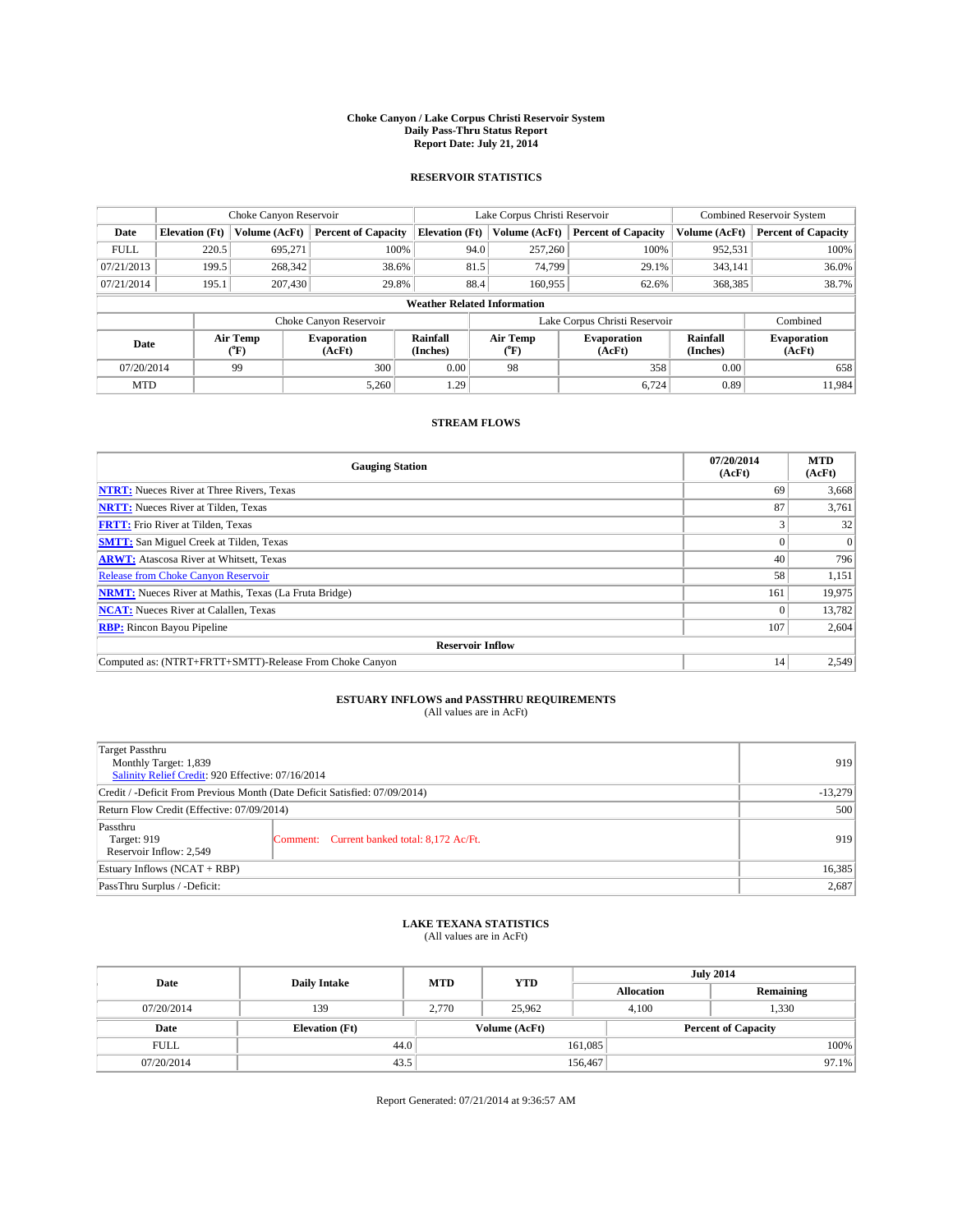#### **Choke Canyon / Lake Corpus Christi Reservoir System Daily Pass-Thru Status Report Report Date: July 21, 2014**

### **RESERVOIR STATISTICS**

|             |                                    | Choke Canyon Reservoir |                              |                       | Lake Corpus Christi Reservoir | <b>Combined Reservoir System</b> |                      |                              |  |  |
|-------------|------------------------------------|------------------------|------------------------------|-----------------------|-------------------------------|----------------------------------|----------------------|------------------------------|--|--|
| Date        | <b>Elevation</b> (Ft)              | Volume (AcFt)          | <b>Percent of Capacity</b>   | <b>Elevation (Ft)</b> | Volume (AcFt)                 | <b>Percent of Capacity</b>       | Volume (AcFt)        | <b>Percent of Capacity</b>   |  |  |
| <b>FULL</b> | 220.5                              | 695,271                | 100%                         | 94.0                  | 257,260                       | 100%                             | 952,531              | 100%                         |  |  |
| 07/21/2013  | 199.5                              | 268,342                | 38.6%                        | 81.5                  | 74,799                        | 29.1%                            | 343,141              | 36.0%                        |  |  |
| 07/21/2014  | 195.1                              | 207,430                | 29.8%                        | 88.4                  | 160.955                       | 62.6%                            | 368,385              | 38.7%                        |  |  |
|             | <b>Weather Related Information</b> |                        |                              |                       |                               |                                  |                      |                              |  |  |
|             |                                    |                        | Choke Canyon Reservoir       |                       | Lake Corpus Christi Reservoir |                                  | Combined             |                              |  |  |
| Date        |                                    | Air Temp<br>(°F)       | <b>Evaporation</b><br>(AcFt) | Rainfall<br>(Inches)  | Air Temp<br>(°F)              | <b>Evaporation</b><br>(AcFt)     | Rainfall<br>(Inches) | <b>Evaporation</b><br>(AcFt) |  |  |
| 07/20/2014  |                                    | 99                     | 300                          | 0.00                  | 98                            | 358                              | 0.00                 | 658                          |  |  |
| <b>MTD</b>  |                                    |                        | 5,260                        | 1.29                  |                               | 6,724                            | 0.89                 | 11.984                       |  |  |

## **STREAM FLOWS**

| <b>Gauging Station</b>                                       | 07/20/2014<br>(AcFt) | <b>MTD</b><br>(AcFt) |
|--------------------------------------------------------------|----------------------|----------------------|
| <b>NTRT:</b> Nueces River at Three Rivers, Texas             | 69                   | 3,668                |
| <b>NRTT:</b> Nueces River at Tilden, Texas                   | 87                   | 3,761                |
| <b>FRTT:</b> Frio River at Tilden, Texas                     | 3                    | 32                   |
| <b>SMTT:</b> San Miguel Creek at Tilden, Texas               |                      | $\Omega$             |
| <b>ARWT:</b> Atascosa River at Whitsett, Texas               | 40                   | 796                  |
| <b>Release from Choke Canyon Reservoir</b>                   | 58                   | 1,151                |
| <b>NRMT:</b> Nueces River at Mathis, Texas (La Fruta Bridge) | 161                  | 19,975               |
| <b>NCAT:</b> Nueces River at Calallen, Texas                 |                      | 13,782               |
| <b>RBP:</b> Rincon Bayou Pipeline                            | 107                  | 2,604                |
| <b>Reservoir Inflow</b>                                      |                      |                      |
| Computed as: (NTRT+FRTT+SMTT)-Release From Choke Canyon      | 14                   | 2,549                |

# **ESTUARY INFLOWS and PASSTHRU REQUIREMENTS**<br>(All values are in AcFt)

| Target Passthru<br>Monthly Target: 1,839<br>Salinity Relief Credit: 920 Effective: 07/16/2014 |                                             | 919 |  |  |
|-----------------------------------------------------------------------------------------------|---------------------------------------------|-----|--|--|
| Credit / -Deficit From Previous Month (Date Deficit Satisfied: 07/09/2014)                    |                                             |     |  |  |
| Return Flow Credit (Effective: 07/09/2014)                                                    | 500                                         |     |  |  |
| Passthru<br>Target: 919<br>Reservoir Inflow: 2,549                                            | Comment: Current banked total: 8,172 Ac/Ft. | 919 |  |  |
| Estuary Inflows (NCAT + RBP)                                                                  | 16,385                                      |     |  |  |
| PassThru Surplus / -Deficit:                                                                  | 2,687                                       |     |  |  |

## **LAKE TEXANA STATISTICS** (All values are in AcFt)

| Date        | <b>Daily Intake</b>   | <b>MTD</b>    | <b>YTD</b> | <b>July 2014</b>  |                            |           |          |
|-------------|-----------------------|---------------|------------|-------------------|----------------------------|-----------|----------|
|             |                       |               |            | <b>Allocation</b> |                            | Remaining |          |
| 07/20/2014  | 139                   | 2.770         | 25,962     |                   | 1,330<br>4.100             |           |          |
| Date        | <b>Elevation (Ft)</b> | Volume (AcFt) |            |                   | <b>Percent of Capacity</b> |           |          |
| <b>FULL</b> | 44.0                  |               |            | 161,085           |                            |           | 100%     |
| 07/20/2014  | 43.5                  |               |            | 156,467           |                            |           | $97.1\%$ |

Report Generated: 07/21/2014 at 9:36:57 AM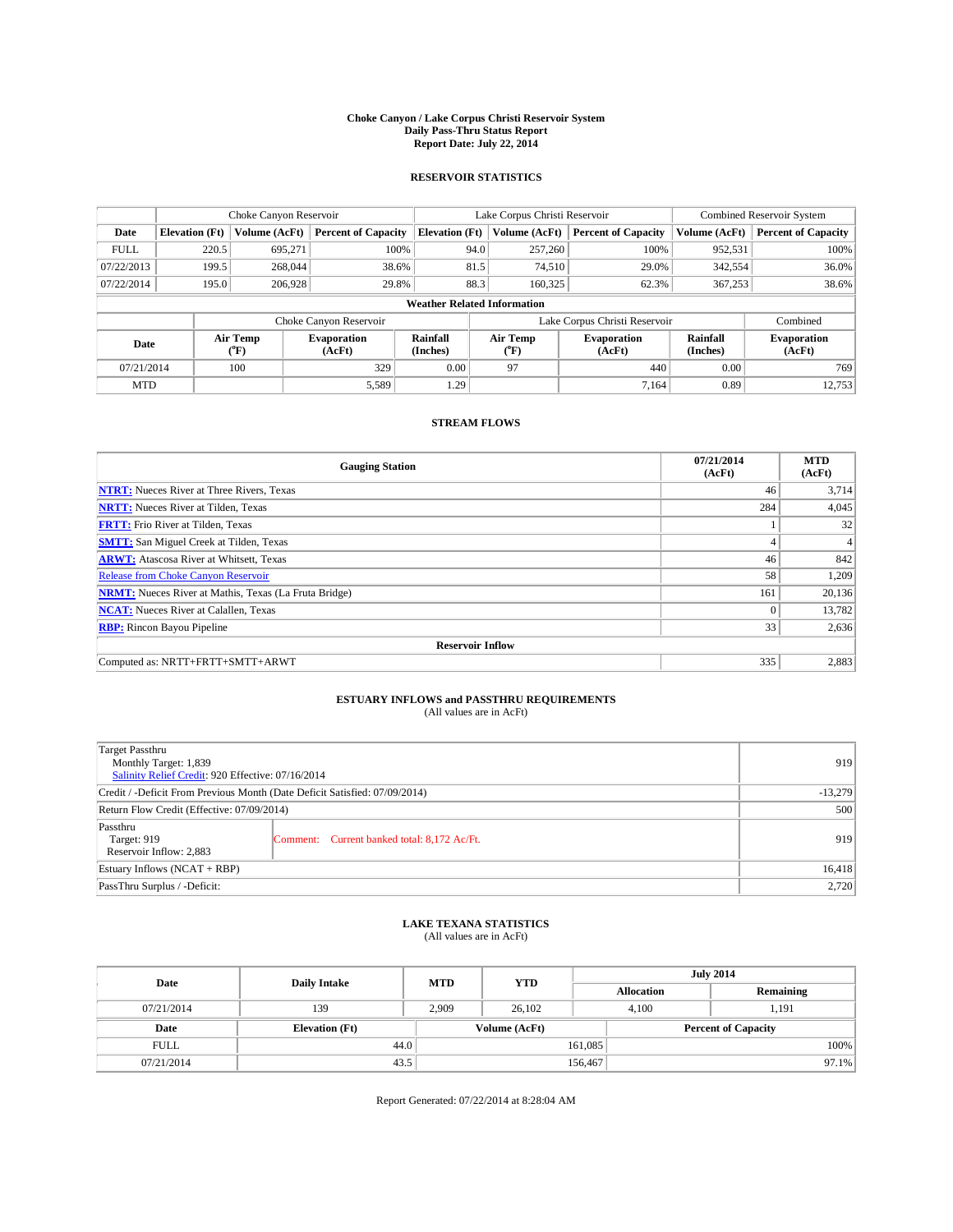#### **Choke Canyon / Lake Corpus Christi Reservoir System Daily Pass-Thru Status Report Report Date: July 22, 2014**

### **RESERVOIR STATISTICS**

|             | Choke Canyon Reservoir             |                  |                              |                       | Lake Corpus Christi Reservoir | <b>Combined Reservoir System</b> |                      |                              |  |
|-------------|------------------------------------|------------------|------------------------------|-----------------------|-------------------------------|----------------------------------|----------------------|------------------------------|--|
| Date        | <b>Elevation</b> (Ft)              | Volume (AcFt)    | <b>Percent of Capacity</b>   | <b>Elevation (Ft)</b> | Volume (AcFt)                 | <b>Percent of Capacity</b>       | Volume (AcFt)        | Percent of Capacity          |  |
| <b>FULL</b> | 220.5                              | 695,271          | 100%                         | 94.0                  | 257,260                       | 100%                             | 952,531              | 100%                         |  |
| 07/22/2013  | 199.5                              | 268,044          | 38.6%                        | 81.5                  | 74,510                        | 29.0%                            | 342,554              | $36.0\%$                     |  |
| 07/22/2014  | 195.0                              | 206,928          | 29.8%                        | 88.3                  | 160,325                       | 62.3%                            | 367,253              | 38.6%                        |  |
|             | <b>Weather Related Information</b> |                  |                              |                       |                               |                                  |                      |                              |  |
|             |                                    |                  | Choke Canyon Reservoir       |                       | Lake Corpus Christi Reservoir |                                  |                      | Combined                     |  |
| Date        |                                    | Air Temp<br>(°F) | <b>Evaporation</b><br>(AcFt) | Rainfall<br>(Inches)  | Air Temp<br>("F)              | <b>Evaporation</b><br>(AcFt)     | Rainfall<br>(Inches) | <b>Evaporation</b><br>(AcFt) |  |
| 07/21/2014  |                                    | 100              | 329                          | 0.00                  | 97                            | 440                              | 0.00                 | 769                          |  |
| <b>MTD</b>  |                                    |                  | 5,589                        | 1.29                  |                               | 7.164                            | 0.89                 | 12,753                       |  |

## **STREAM FLOWS**

| <b>Gauging Station</b>                                       | 07/21/2014<br>(AcFt) | <b>MTD</b><br>(AcFt) |  |  |  |  |
|--------------------------------------------------------------|----------------------|----------------------|--|--|--|--|
| <b>NTRT:</b> Nueces River at Three Rivers, Texas             | 46                   | 3.714                |  |  |  |  |
| <b>NRTT:</b> Nueces River at Tilden, Texas                   | 284                  | 4,045                |  |  |  |  |
| <b>FRTT:</b> Frio River at Tilden, Texas                     |                      | 32                   |  |  |  |  |
| <b>SMTT:</b> San Miguel Creek at Tilden, Texas               | 4                    | 4                    |  |  |  |  |
| <b>ARWT:</b> Atascosa River at Whitsett, Texas               | 46                   | 842                  |  |  |  |  |
| Release from Choke Canyon Reservoir                          | 58                   | 1,209                |  |  |  |  |
| <b>NRMT:</b> Nueces River at Mathis, Texas (La Fruta Bridge) | 161                  | 20,136               |  |  |  |  |
| <b>NCAT:</b> Nueces River at Calallen, Texas                 | $\Omega$             | 13,782               |  |  |  |  |
| <b>RBP:</b> Rincon Bayou Pipeline                            | 33                   | 2,636                |  |  |  |  |
| <b>Reservoir Inflow</b>                                      |                      |                      |  |  |  |  |
| Computed as: NRTT+FRTT+SMTT+ARWT                             | 335                  | 2,883                |  |  |  |  |

## **ESTUARY INFLOWS and PASSTHRU REQUIREMENTS**<br>(All values are in AcFt)

| Target Passthru<br>Monthly Target: 1,839<br>Salinity Relief Credit: 920 Effective: 07/16/2014 |                                             | 919       |
|-----------------------------------------------------------------------------------------------|---------------------------------------------|-----------|
| Credit / -Deficit From Previous Month (Date Deficit Satisfied: 07/09/2014)                    |                                             | $-13,279$ |
| Return Flow Credit (Effective: 07/09/2014)                                                    |                                             | 500       |
| Passthru<br>Target: 919<br>Reservoir Inflow: 2,883                                            | Comment: Current banked total: 8,172 Ac/Ft. | 919       |
| Estuary Inflows (NCAT + RBP)                                                                  |                                             | 16,418    |
| PassThru Surplus / -Deficit:                                                                  | 2,720                                       |           |

## **LAKE TEXANA STATISTICS** (All values are in AcFt)

| Date        | <b>Daily Intake</b>   | <b>MTD</b> |               | <b>July 2014</b><br><b>YTD</b> |                   |           |  |
|-------------|-----------------------|------------|---------------|--------------------------------|-------------------|-----------|--|
|             |                       |            |               |                                | <b>Allocation</b> | Remaining |  |
| 07/21/2014  | 139                   | 2,909      | 26,102        |                                | 4,100             | 1,191     |  |
| Date        | <b>Elevation</b> (Ft) |            | Volume (AcFt) | <b>Percent of Capacity</b>     |                   |           |  |
| <b>FULL</b> | 44.0                  |            |               | 161,085                        |                   | 100%      |  |
| 07/21/2014  | 43.5                  |            |               | 156,467                        |                   | 97.1%     |  |

Report Generated: 07/22/2014 at 8:28:04 AM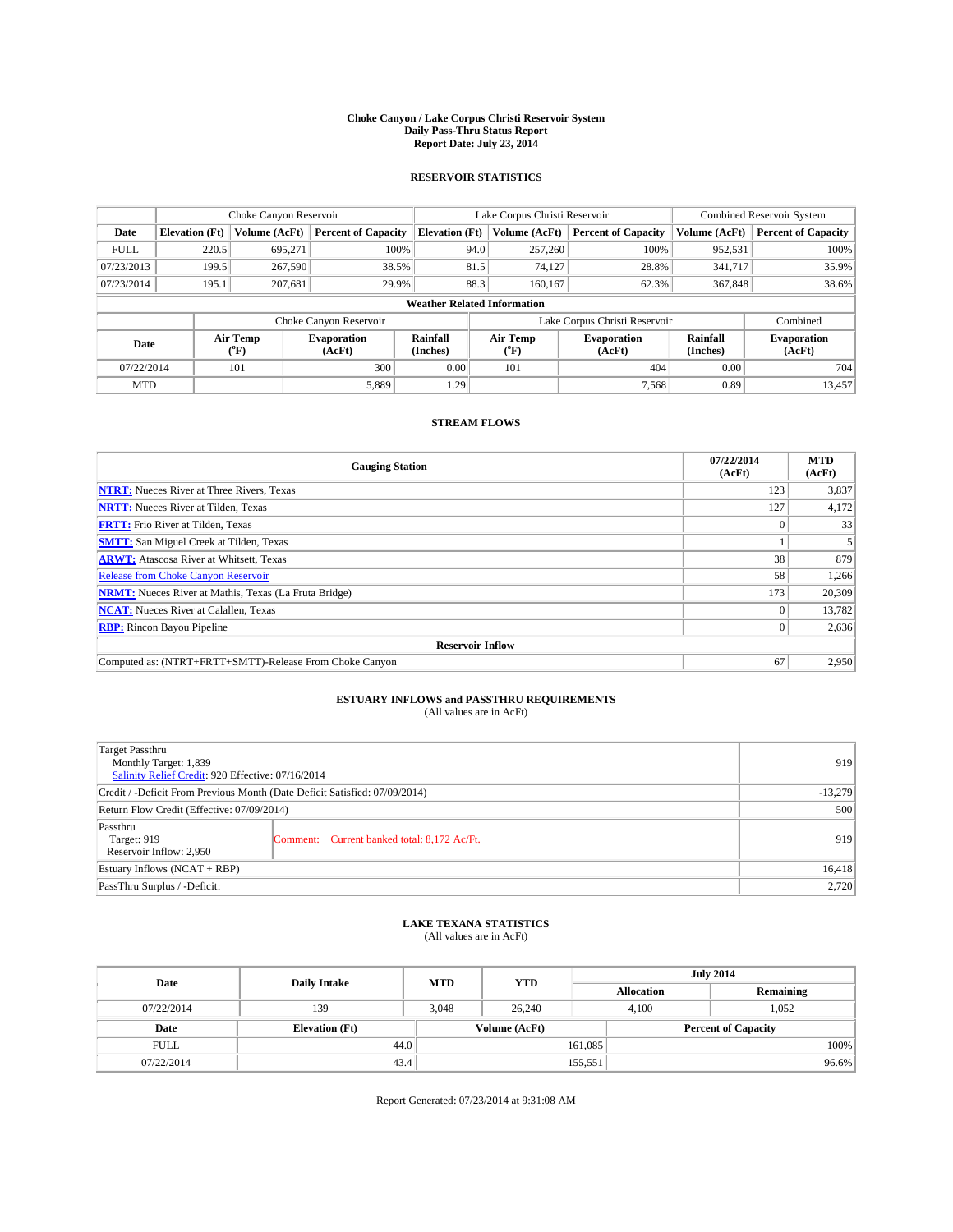#### **Choke Canyon / Lake Corpus Christi Reservoir System Daily Pass-Thru Status Report Report Date: July 23, 2014**

### **RESERVOIR STATISTICS**

|             | Choke Canyon Reservoir             |                  |                              |                       | Lake Corpus Christi Reservoir | <b>Combined Reservoir System</b> |                      |                              |  |
|-------------|------------------------------------|------------------|------------------------------|-----------------------|-------------------------------|----------------------------------|----------------------|------------------------------|--|
| Date        | <b>Elevation</b> (Ft)              | Volume (AcFt)    | <b>Percent of Capacity</b>   | <b>Elevation (Ft)</b> | Volume (AcFt)                 | <b>Percent of Capacity</b>       | Volume (AcFt)        | <b>Percent of Capacity</b>   |  |
| <b>FULL</b> | 220.5                              | 695.271          | 100%                         | 94.0                  | 257,260                       | 100%                             | 952,531              | 100%                         |  |
| 07/23/2013  | 199.5                              | 267,590          | 38.5%                        | 81.5                  | 74.127                        | 28.8%                            | 341,717              | 35.9%                        |  |
| 07/23/2014  | 195.1                              | 207,681          | 29.9%                        | 88.3                  | 160,167                       | 62.3%                            | 367,848              | 38.6%                        |  |
|             | <b>Weather Related Information</b> |                  |                              |                       |                               |                                  |                      |                              |  |
|             |                                    |                  | Choke Canyon Reservoir       |                       |                               | Lake Corpus Christi Reservoir    |                      | Combined                     |  |
| Date        |                                    | Air Temp<br>(°F) | <b>Evaporation</b><br>(AcFt) | Rainfall<br>(Inches)  | Air Temp<br>$(^{0}F)$         | <b>Evaporation</b><br>(AcFt)     | Rainfall<br>(Inches) | <b>Evaporation</b><br>(AcFt) |  |
| 07/22/2014  |                                    | 101              | 300                          | 0.00                  | 101                           | 404                              | 0.00                 | 704                          |  |
| <b>MTD</b>  |                                    |                  | 5,889                        | 1.29                  |                               | 7,568                            | 0.89                 | 13.457                       |  |

### **STREAM FLOWS**

| <b>Gauging Station</b>                                       | 07/22/2014<br>(AcFt) | <b>MTD</b><br>(AcFt) |  |  |  |
|--------------------------------------------------------------|----------------------|----------------------|--|--|--|
| <b>NTRT:</b> Nueces River at Three Rivers, Texas             | 123                  | 3,837                |  |  |  |
| <b>NRTT:</b> Nueces River at Tilden, Texas                   | 127                  | 4,172                |  |  |  |
| <b>FRTT:</b> Frio River at Tilden, Texas                     |                      | 33                   |  |  |  |
| <b>SMTT:</b> San Miguel Creek at Tilden, Texas               |                      |                      |  |  |  |
| <b>ARWT:</b> Atascosa River at Whitsett, Texas               | 38                   | 879                  |  |  |  |
| <b>Release from Choke Canyon Reservoir</b>                   | 58                   | 1,266                |  |  |  |
| <b>NRMT:</b> Nueces River at Mathis, Texas (La Fruta Bridge) | 173                  | 20,309               |  |  |  |
| <b>NCAT:</b> Nueces River at Calallen, Texas                 |                      | 13,782               |  |  |  |
| <b>RBP:</b> Rincon Bayou Pipeline                            |                      | 2,636                |  |  |  |
| <b>Reservoir Inflow</b>                                      |                      |                      |  |  |  |
| Computed as: (NTRT+FRTT+SMTT)-Release From Choke Canyon      | 67                   | 2,950                |  |  |  |

# **ESTUARY INFLOWS and PASSTHRU REQUIREMENTS**<br>(All values are in AcFt)

| Target Passthru<br>Monthly Target: 1,839<br>Salinity Relief Credit: 920 Effective: 07/16/2014 |                                             | 919       |
|-----------------------------------------------------------------------------------------------|---------------------------------------------|-----------|
| Credit / -Deficit From Previous Month (Date Deficit Satisfied: 07/09/2014)                    |                                             | $-13,279$ |
| Return Flow Credit (Effective: 07/09/2014)                                                    |                                             | 500       |
| Passthru<br>Target: 919<br>Reservoir Inflow: 2,950                                            | Comment: Current banked total: 8,172 Ac/Ft. | 919       |
| Estuary Inflows (NCAT + RBP)                                                                  |                                             |           |
| PassThru Surplus / -Deficit:                                                                  | 2,720                                       |           |

## **LAKE TEXANA STATISTICS** (All values are in AcFt)

| Date        | <b>Daily Intake</b>   | <b>MTD</b> | <b>YTD</b>    |                   | <b>July 2014</b>           |
|-------------|-----------------------|------------|---------------|-------------------|----------------------------|
|             |                       |            |               | <b>Allocation</b> | Remaining                  |
| 07/22/2014  | 139                   | 3.048      | 26,240        | 4,100             | 1,052                      |
| Date        | <b>Elevation</b> (Ft) |            | Volume (AcFt) |                   | <b>Percent of Capacity</b> |
| <b>FULL</b> | 44.0                  |            |               | 161,085           | 100%                       |
| 07/22/2014  | 43.4                  |            |               | 155,551           | 96.6%                      |

Report Generated: 07/23/2014 at 9:31:08 AM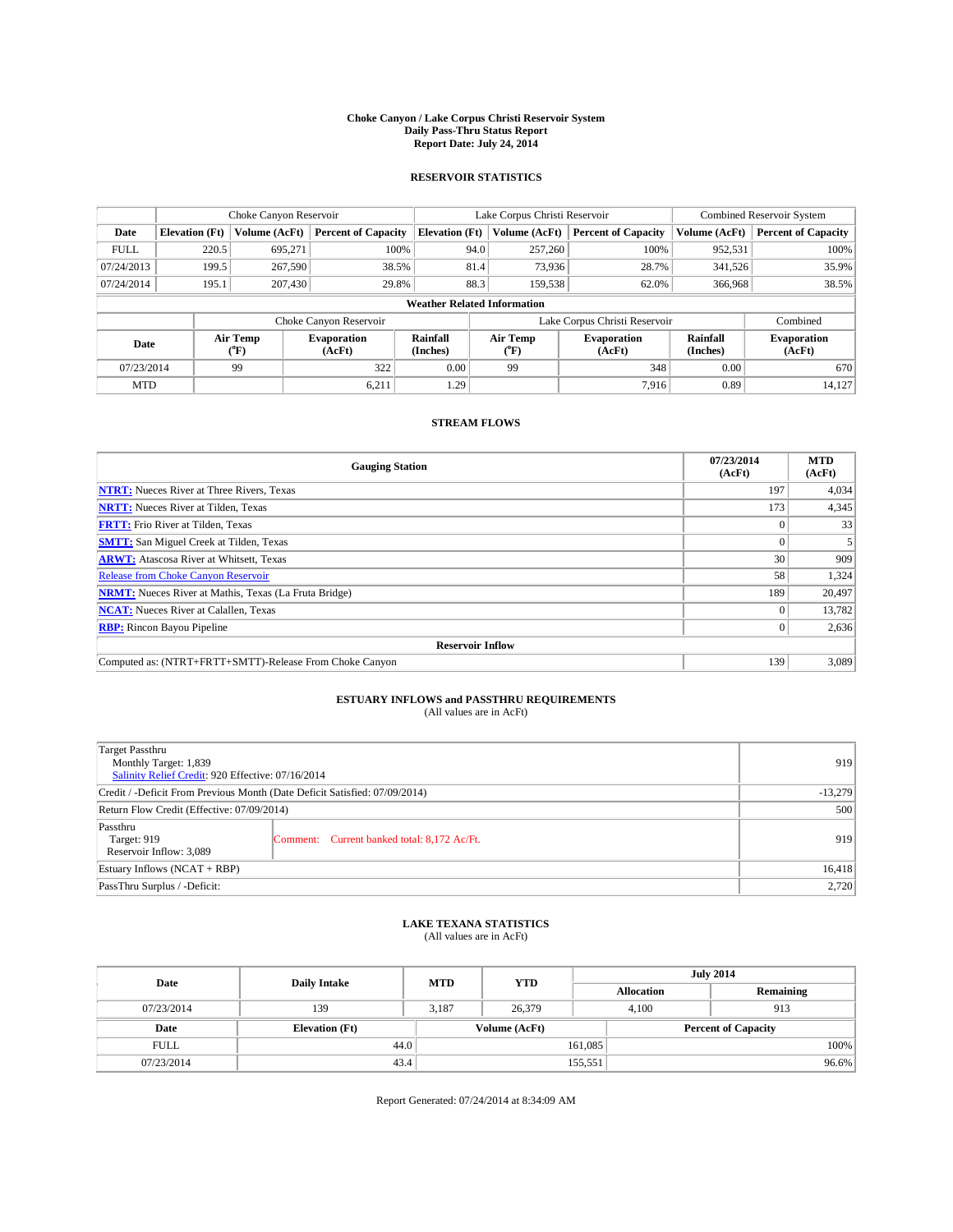#### **Choke Canyon / Lake Corpus Christi Reservoir System Daily Pass-Thru Status Report Report Date: July 24, 2014**

### **RESERVOIR STATISTICS**

|             | Choke Canyon Reservoir             |                  |                              |                       | Lake Corpus Christi Reservoir |                               |                      | Combined Reservoir System    |  |
|-------------|------------------------------------|------------------|------------------------------|-----------------------|-------------------------------|-------------------------------|----------------------|------------------------------|--|
| Date        | <b>Elevation</b> (Ft)              | Volume (AcFt)    | <b>Percent of Capacity</b>   | <b>Elevation (Ft)</b> | Volume (AcFt)                 | <b>Percent of Capacity</b>    | Volume (AcFt)        | <b>Percent of Capacity</b>   |  |
| <b>FULL</b> | 220.5                              | 695.271          | 100%                         | 94.0                  | 257,260                       | 100%                          | 952,531              | 100%                         |  |
| 07/24/2013  | 199.5                              | 267,590          | 38.5%                        | 81.4                  | 73,936                        | 28.7%                         | 341,526              | 35.9%                        |  |
| 07/24/2014  | 195.1                              | 207,430          | 29.8%                        | 88.3                  | 159.538                       | 62.0%                         | 366,968              | 38.5%                        |  |
|             | <b>Weather Related Information</b> |                  |                              |                       |                               |                               |                      |                              |  |
|             |                                    |                  | Choke Canyon Reservoir       |                       |                               | Lake Corpus Christi Reservoir |                      | Combined                     |  |
| Date        |                                    | Air Temp<br>(°F) | <b>Evaporation</b><br>(AcFt) | Rainfall<br>(Inches)  | Air Temp<br>(°F)              | <b>Evaporation</b><br>(AcFt)  | Rainfall<br>(Inches) | <b>Evaporation</b><br>(AcFt) |  |
| 07/23/2014  |                                    | 99               | 322                          | 0.00                  | 99                            | 348                           | 0.00                 | 670                          |  |
| <b>MTD</b>  |                                    |                  | 6,211                        | $1.29$ <sup>1</sup>   |                               | 7,916                         | 0.89                 | 14,127                       |  |

## **STREAM FLOWS**

| <b>Gauging Station</b>                                       | 07/23/2014<br>(AcFt) | <b>MTD</b><br>(AcFt) |  |  |  |
|--------------------------------------------------------------|----------------------|----------------------|--|--|--|
| <b>NTRT:</b> Nueces River at Three Rivers, Texas             | 197                  | 4,034                |  |  |  |
| <b>NRTT:</b> Nueces River at Tilden, Texas                   | 173                  | 4,345                |  |  |  |
| <b>FRTT:</b> Frio River at Tilden, Texas                     |                      | 33                   |  |  |  |
| <b>SMTT:</b> San Miguel Creek at Tilden, Texas               |                      | 5                    |  |  |  |
| <b>ARWT:</b> Atascosa River at Whitsett, Texas               | 30                   | 909                  |  |  |  |
| <b>Release from Choke Canyon Reservoir</b>                   | 58                   | 1,324                |  |  |  |
| <b>NRMT:</b> Nueces River at Mathis, Texas (La Fruta Bridge) | 189                  | 20,497               |  |  |  |
| <b>NCAT:</b> Nueces River at Calallen, Texas                 | $\Omega$             | 13,782               |  |  |  |
| <b>RBP:</b> Rincon Bayou Pipeline                            | 0 <sup>1</sup>       | 2,636                |  |  |  |
| <b>Reservoir Inflow</b>                                      |                      |                      |  |  |  |
| Computed as: (NTRT+FRTT+SMTT)-Release From Choke Canyon      | 139                  | 3,089                |  |  |  |

# **ESTUARY INFLOWS and PASSTHRU REQUIREMENTS**<br>(All values are in AcFt)

| Target Passthru<br>Monthly Target: 1,839<br>Salinity Relief Credit: 920 Effective: 07/16/2014 |                                             | 919       |
|-----------------------------------------------------------------------------------------------|---------------------------------------------|-----------|
| Credit / -Deficit From Previous Month (Date Deficit Satisfied: 07/09/2014)                    |                                             | $-13,279$ |
| Return Flow Credit (Effective: 07/09/2014)                                                    |                                             | 500       |
| Passthru<br>Target: 919<br>Reservoir Inflow: 3,089                                            | Comment: Current banked total: 8,172 Ac/Ft. | 919       |
| Estuary Inflows (NCAT + RBP)                                                                  |                                             | 16,418    |
| PassThru Surplus / -Deficit:                                                                  | 2,720                                       |           |

## **LAKE TEXANA STATISTICS** (All values are in AcFt)

| Date        | <b>Daily Intake</b>   | <b>MTD</b> | <b>July 2014</b><br><b>YTD</b> |                   |                            |
|-------------|-----------------------|------------|--------------------------------|-------------------|----------------------------|
|             |                       |            |                                | <b>Allocation</b> | Remaining                  |
| 07/23/2014  | 139                   | 3.187      | 26,379                         | 4,100             | 913                        |
| Date        | <b>Elevation</b> (Ft) |            | Volume (AcFt)                  |                   | <b>Percent of Capacity</b> |
| <b>FULL</b> | 44.0                  |            |                                | 161,085           | 100%                       |
| 07/23/2014  | 43.4                  |            |                                | 155,551           | 96.6%                      |

Report Generated: 07/24/2014 at 8:34:09 AM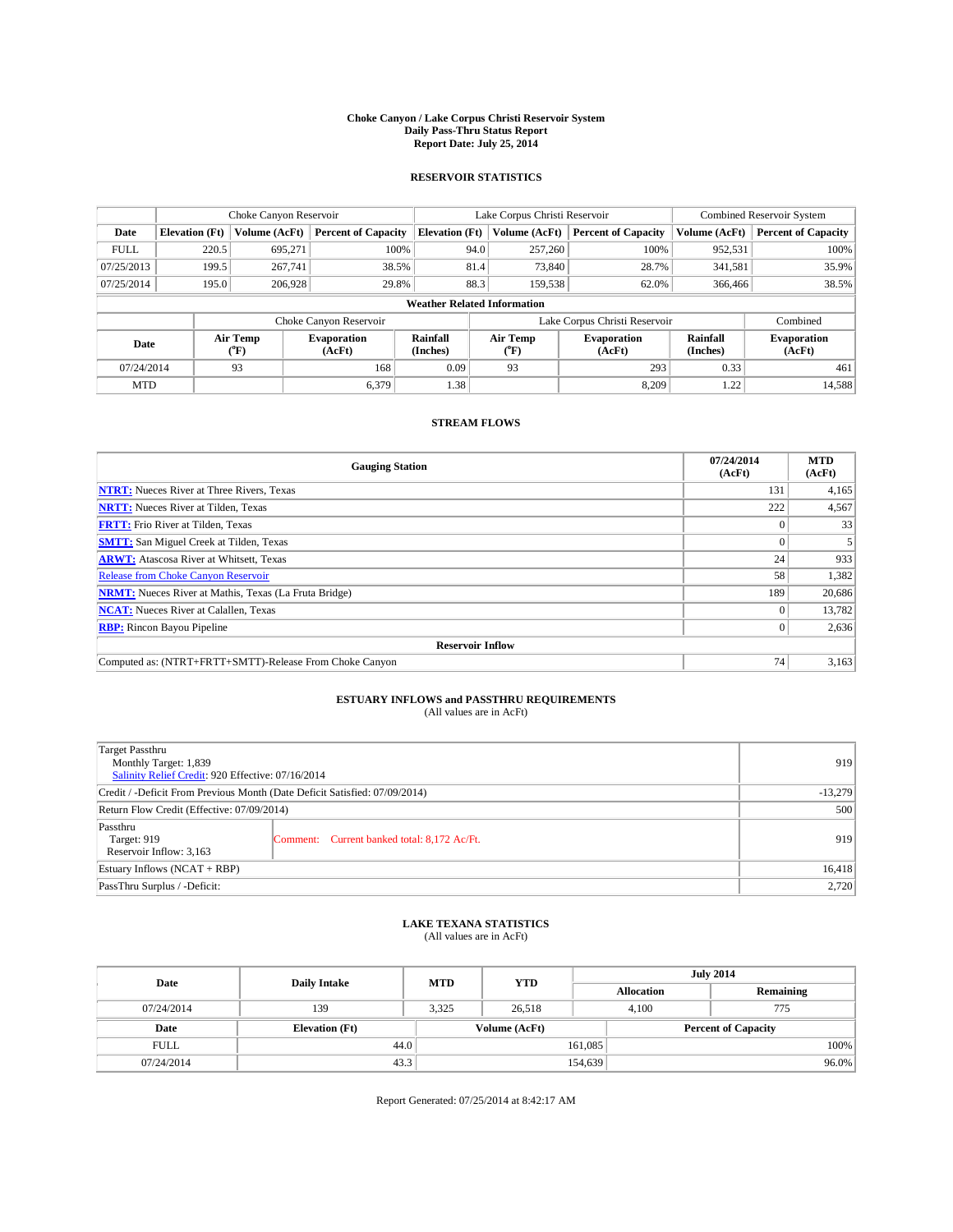#### **Choke Canyon / Lake Corpus Christi Reservoir System Daily Pass-Thru Status Report Report Date: July 25, 2014**

### **RESERVOIR STATISTICS**

|             | Choke Canyon Reservoir |                  |                              |                                    | Lake Corpus Christi Reservoir | <b>Combined Reservoir System</b> |                      |                              |
|-------------|------------------------|------------------|------------------------------|------------------------------------|-------------------------------|----------------------------------|----------------------|------------------------------|
| Date        | <b>Elevation</b> (Ft)  | Volume (AcFt)    | <b>Percent of Capacity</b>   | <b>Elevation (Ft)</b>              | Volume (AcFt)                 | <b>Percent of Capacity</b>       | Volume (AcFt)        | <b>Percent of Capacity</b>   |
| <b>FULL</b> | 220.5                  | 695,271          | 100%                         | 94.0                               | 257,260                       | 100%                             | 952,531              | 100%                         |
| 07/25/2013  | 199.5                  | 267,741          | 38.5%                        | 81.4                               | 73,840                        | 28.7%                            | 341,581              | 35.9%                        |
| 07/25/2014  | 195.0                  | 206,928          | 29.8%                        | 88.3                               | 159.538                       | 62.0%                            | 366,466              | 38.5%                        |
|             |                        |                  |                              | <b>Weather Related Information</b> |                               |                                  |                      |                              |
|             |                        |                  | Choke Canyon Reservoir       |                                    |                               | Lake Corpus Christi Reservoir    |                      | Combined                     |
| Date        |                        | Air Temp<br>(°F) | <b>Evaporation</b><br>(AcFt) | Rainfall<br>(Inches)               | Air Temp<br>(°F)              | <b>Evaporation</b><br>(AcFt)     | Rainfall<br>(Inches) | <b>Evaporation</b><br>(AcFt) |
| 07/24/2014  |                        | 93               | 168                          | 0.09                               | 93                            | 293                              | 0.33                 | 461                          |
| <b>MTD</b>  |                        |                  | 6,379                        | 1.38                               |                               | 8,209                            | 1.22                 | 14,588                       |

## **STREAM FLOWS**

| <b>Gauging Station</b>                                       | 07/24/2014<br>(AcFt) | <b>MTD</b><br>(AcFt) |  |  |  |
|--------------------------------------------------------------|----------------------|----------------------|--|--|--|
| <b>NTRT:</b> Nueces River at Three Rivers, Texas             | 131                  | 4,165                |  |  |  |
| <b>NRTT:</b> Nueces River at Tilden, Texas                   | 222                  | 4,567                |  |  |  |
| <b>FRTT:</b> Frio River at Tilden, Texas                     |                      | 33                   |  |  |  |
| <b>SMTT:</b> San Miguel Creek at Tilden, Texas               |                      |                      |  |  |  |
| <b>ARWT:</b> Atascosa River at Whitsett, Texas               | 24                   | 933                  |  |  |  |
| <b>Release from Choke Canyon Reservoir</b>                   | 58                   | 1,382                |  |  |  |
| <b>NRMT:</b> Nueces River at Mathis, Texas (La Fruta Bridge) | 189                  | 20,686               |  |  |  |
| <b>NCAT:</b> Nueces River at Calallen, Texas                 |                      | 13,782               |  |  |  |
| <b>RBP:</b> Rincon Bayou Pipeline                            | 0                    | 2,636                |  |  |  |
| <b>Reservoir Inflow</b>                                      |                      |                      |  |  |  |
| Computed as: (NTRT+FRTT+SMTT)-Release From Choke Canyon      | 74                   | 3,163                |  |  |  |

# **ESTUARY INFLOWS and PASSTHRU REQUIREMENTS**<br>(All values are in AcFt)

| Target Passthru<br>Monthly Target: 1,839<br>Salinity Relief Credit: 920 Effective: 07/16/2014 |                                             | 919    |
|-----------------------------------------------------------------------------------------------|---------------------------------------------|--------|
| Credit / -Deficit From Previous Month (Date Deficit Satisfied: 07/09/2014)                    | $-13,279$                                   |        |
| Return Flow Credit (Effective: 07/09/2014)                                                    | 500                                         |        |
| Passthru<br>Target: 919<br>Reservoir Inflow: 3,163                                            | Comment: Current banked total: 8,172 Ac/Ft. | 919    |
| Estuary Inflows (NCAT + RBP)                                                                  |                                             | 16,418 |
| PassThru Surplus / -Deficit:                                                                  | 2,720                                       |        |

## **LAKE TEXANA STATISTICS** (All values are in AcFt)

| Date        | <b>Daily Intake</b>   | <b>MTD</b> | <b>YTD</b>    | <b>July 2014</b>  |                            |  |
|-------------|-----------------------|------------|---------------|-------------------|----------------------------|--|
|             |                       |            |               | <b>Allocation</b> | Remaining                  |  |
| 07/24/2014  | 139                   | 3,325      | 26,518        | 4,100             | 775                        |  |
| Date        | <b>Elevation</b> (Ft) |            | Volume (AcFt) |                   | <b>Percent of Capacity</b> |  |
| <b>FULL</b> | 44.0                  |            |               | 161,085           | 100%                       |  |
| 07/24/2014  | 43.3                  |            |               | 154,639           | 96.0%                      |  |

Report Generated: 07/25/2014 at 8:42:17 AM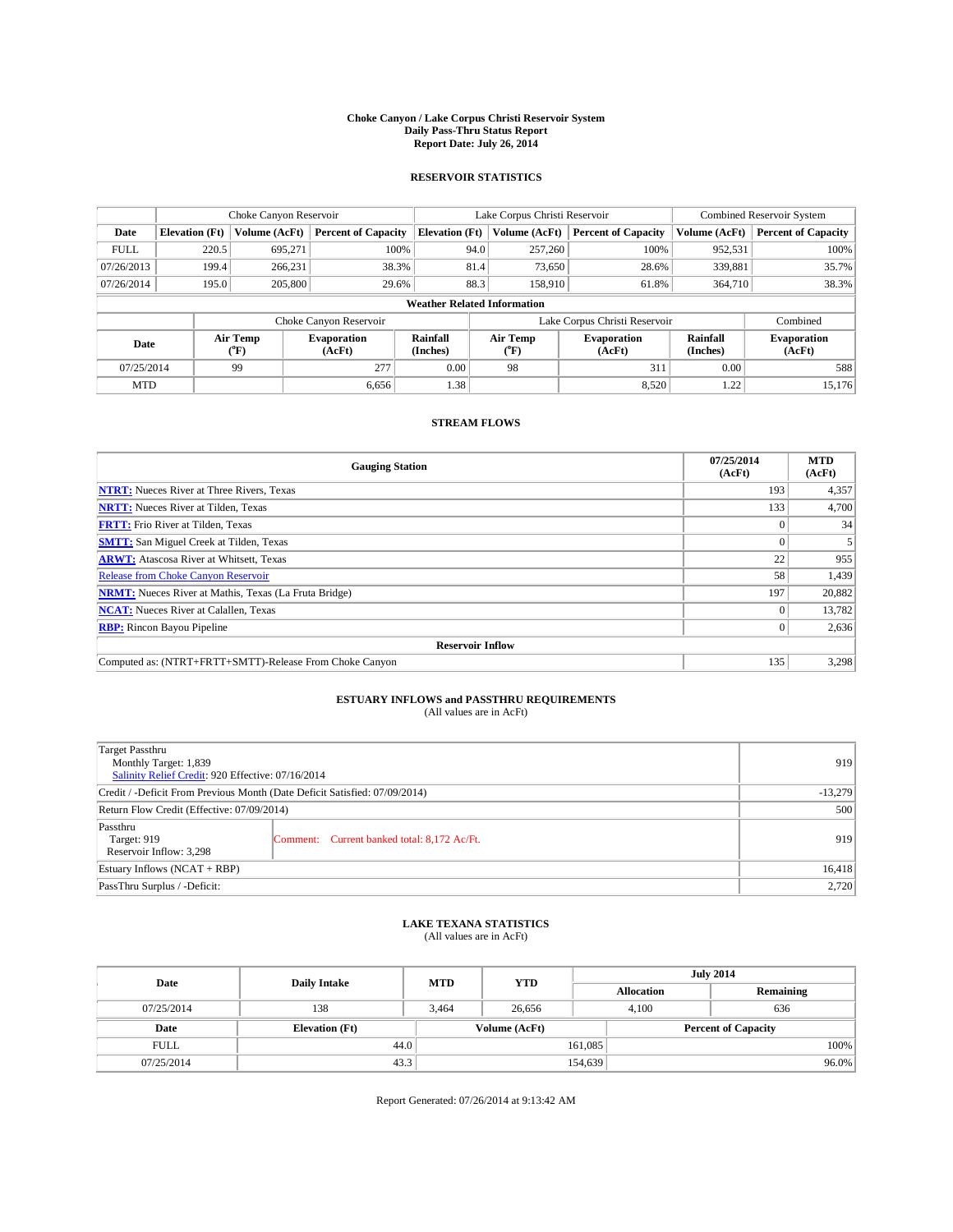#### **Choke Canyon / Lake Corpus Christi Reservoir System Daily Pass-Thru Status Report Report Date: July 26, 2014**

### **RESERVOIR STATISTICS**

|             | Choke Canyon Reservoir |                  |                              |                                    | Lake Corpus Christi Reservoir | <b>Combined Reservoir System</b> |                      |                              |
|-------------|------------------------|------------------|------------------------------|------------------------------------|-------------------------------|----------------------------------|----------------------|------------------------------|
| Date        | <b>Elevation</b> (Ft)  | Volume (AcFt)    | <b>Percent of Capacity</b>   | <b>Elevation (Ft)</b>              | Volume (AcFt)                 | <b>Percent of Capacity</b>       | Volume (AcFt)        | <b>Percent of Capacity</b>   |
| <b>FULL</b> | 220.5                  | 695,271          | 100%                         | 94.0                               | 257,260                       | 100%                             | 952,531              | 100%                         |
| 07/26/2013  | 199.4                  | 266,231          | 38.3%                        | 81.4                               | 73,650                        | 28.6%                            | 339,881              | 35.7%                        |
| 07/26/2014  | 195.0                  | 205,800          | 29.6%                        | 88.3                               | 158,910                       | 61.8%                            | 364,710              | 38.3%                        |
|             |                        |                  |                              | <b>Weather Related Information</b> |                               |                                  |                      |                              |
|             |                        |                  | Choke Canyon Reservoir       |                                    |                               | Lake Corpus Christi Reservoir    |                      | Combined                     |
| Date        |                        | Air Temp<br>(°F) | <b>Evaporation</b><br>(AcFt) | Rainfall<br>(Inches)               | Air Temp<br>(°F)              | <b>Evaporation</b><br>(AcFt)     | Rainfall<br>(Inches) | <b>Evaporation</b><br>(AcFt) |
| 07/25/2014  |                        | 99               | 277                          | 0.00                               | 98                            | 311                              | 0.00                 | 588                          |
| <b>MTD</b>  |                        |                  | 6.656                        | 1.38                               |                               | 8,520                            | 1.22                 | 15.176                       |

## **STREAM FLOWS**

| <b>Gauging Station</b>                                       | 07/25/2014<br>(AcFt) | <b>MTD</b><br>(AcFt) |  |  |
|--------------------------------------------------------------|----------------------|----------------------|--|--|
| <b>NTRT:</b> Nueces River at Three Rivers, Texas             | 193                  | 4,357                |  |  |
| <b>NRTT:</b> Nueces River at Tilden, Texas                   | 133                  | 4,700                |  |  |
| <b>FRTT:</b> Frio River at Tilden, Texas                     |                      | 34                   |  |  |
| <b>SMTT:</b> San Miguel Creek at Tilden, Texas               |                      |                      |  |  |
| <b>ARWT:</b> Atascosa River at Whitsett, Texas               | 22                   | 955                  |  |  |
| <b>Release from Choke Canyon Reservoir</b>                   | 58                   | 1,439                |  |  |
| <b>NRMT:</b> Nueces River at Mathis, Texas (La Fruta Bridge) | 197                  | 20,882               |  |  |
| <b>NCAT:</b> Nueces River at Calallen, Texas                 |                      | 13,782               |  |  |
| <b>RBP:</b> Rincon Bayou Pipeline                            | 0 <sup>1</sup>       | 2,636                |  |  |
| <b>Reservoir Inflow</b>                                      |                      |                      |  |  |
| Computed as: (NTRT+FRTT+SMTT)-Release From Choke Canyon      | 135                  | 3,298                |  |  |

# **ESTUARY INFLOWS and PASSTHRU REQUIREMENTS**<br>(All values are in AcFt)

| Target Passthru<br>Monthly Target: 1,839<br>Salinity Relief Credit: 920 Effective: 07/16/2014 |                                             | 919 |
|-----------------------------------------------------------------------------------------------|---------------------------------------------|-----|
| Credit / -Deficit From Previous Month (Date Deficit Satisfied: 07/09/2014)                    | $-13,279$                                   |     |
| Return Flow Credit (Effective: 07/09/2014)                                                    | 500                                         |     |
| Passthru<br>Target: 919<br>Reservoir Inflow: 3,298                                            | Comment: Current banked total: 8,172 Ac/Ft. | 919 |
| Estuary Inflows (NCAT + RBP)                                                                  | 16,418                                      |     |
| PassThru Surplus / -Deficit:                                                                  | 2,720                                       |     |

## **LAKE TEXANA STATISTICS** (All values are in AcFt)

| Date        | <b>Daily Intake</b>   | <b>YTD</b><br><b>MTD</b> |               |                   | <b>July 2014</b>           |  |  |
|-------------|-----------------------|--------------------------|---------------|-------------------|----------------------------|--|--|
|             |                       |                          |               | <b>Allocation</b> | Remaining                  |  |  |
| 07/25/2014  | 138                   | 3,464                    | 26,656        | 4,100             | 636                        |  |  |
| Date        | <b>Elevation</b> (Ft) |                          | Volume (AcFt) |                   | <b>Percent of Capacity</b> |  |  |
| <b>FULL</b> | 44.0                  |                          |               | 161,085           | 100%                       |  |  |
| 07/25/2014  | 43.3                  |                          |               | 154,639           | 96.0%                      |  |  |

Report Generated: 07/26/2014 at 9:13:42 AM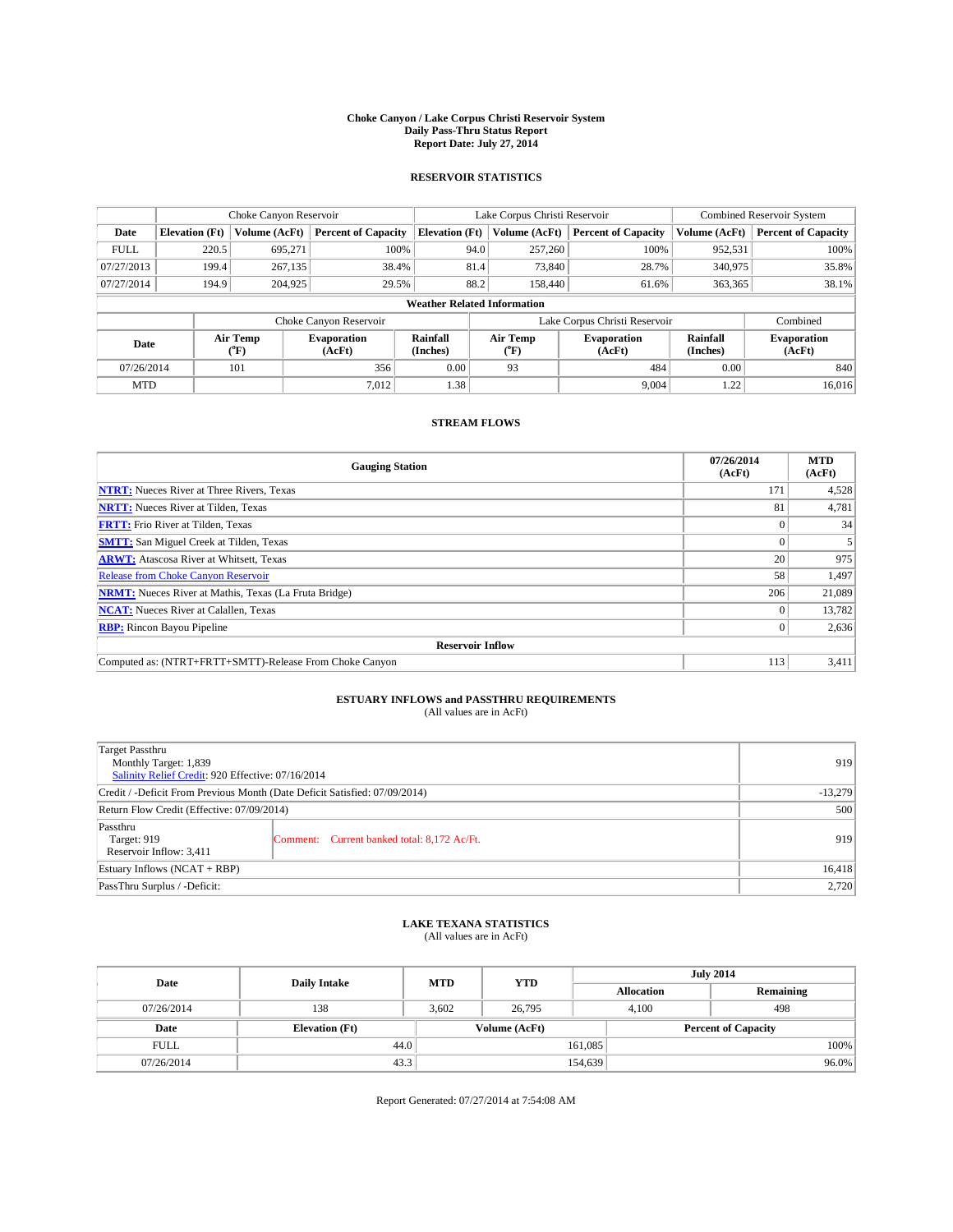#### **Choke Canyon / Lake Corpus Christi Reservoir System Daily Pass-Thru Status Report Report Date: July 27, 2014**

### **RESERVOIR STATISTICS**

|             | Choke Canyon Reservoir             |                  |                              |                       | Lake Corpus Christi Reservoir | <b>Combined Reservoir System</b> |                      |                              |
|-------------|------------------------------------|------------------|------------------------------|-----------------------|-------------------------------|----------------------------------|----------------------|------------------------------|
| Date        | <b>Elevation</b> (Ft)              | Volume (AcFt)    | <b>Percent of Capacity</b>   | <b>Elevation (Ft)</b> | Volume (AcFt)                 | <b>Percent of Capacity</b>       | Volume (AcFt)        | <b>Percent of Capacity</b>   |
| <b>FULL</b> | 220.5                              | 695,271          | 100%                         | 94.0                  | 257,260                       | 100%                             | 952,531              | 100%                         |
| 07/27/2013  | 199.4                              | 267,135          | 38.4%                        | 81.4                  | 73,840                        | 28.7%                            | 340,975              | 35.8%                        |
| 07/27/2014  | 194.9                              | 204,925          | 29.5%                        | 88.2                  | 158,440                       | 61.6%                            | 363,365              | 38.1%                        |
|             | <b>Weather Related Information</b> |                  |                              |                       |                               |                                  |                      |                              |
|             |                                    |                  | Choke Canyon Reservoir       |                       |                               | Lake Corpus Christi Reservoir    |                      | Combined                     |
| Date        |                                    | Air Temp<br>(°F) | <b>Evaporation</b><br>(AcFt) | Rainfall<br>(Inches)  | Air Temp<br>(°F)              | <b>Evaporation</b><br>(AcFt)     | Rainfall<br>(Inches) | <b>Evaporation</b><br>(AcFt) |
| 07/26/2014  |                                    | 101              | 356                          | 0.00                  | 93                            | 484                              | 0.00                 | 840                          |
| <b>MTD</b>  |                                    |                  | 7,012                        | 1.38                  |                               | 9,004                            | 1.22                 | 16,016                       |

## **STREAM FLOWS**

| <b>Gauging Station</b>                                       | 07/26/2014<br>(AcFt) | <b>MTD</b><br>(AcFt) |  |  |  |
|--------------------------------------------------------------|----------------------|----------------------|--|--|--|
| <b>NTRT:</b> Nueces River at Three Rivers, Texas             | 171                  | 4,528                |  |  |  |
| <b>NRTT:</b> Nueces River at Tilden, Texas                   | 81                   | 4,781                |  |  |  |
| <b>FRTT:</b> Frio River at Tilden, Texas                     |                      | 34                   |  |  |  |
| <b>SMTT:</b> San Miguel Creek at Tilden, Texas               |                      |                      |  |  |  |
| <b>ARWT:</b> Atascosa River at Whitsett, Texas               | 20                   | 975                  |  |  |  |
| <b>Release from Choke Canyon Reservoir</b>                   | 58                   | 1,497                |  |  |  |
| <b>NRMT:</b> Nueces River at Mathis, Texas (La Fruta Bridge) | 206                  | 21,089               |  |  |  |
| <b>NCAT:</b> Nueces River at Calallen, Texas                 |                      | 13,782               |  |  |  |
| <b>RBP:</b> Rincon Bayou Pipeline                            | $\Omega$             | 2,636                |  |  |  |
| <b>Reservoir Inflow</b>                                      |                      |                      |  |  |  |
| Computed as: (NTRT+FRTT+SMTT)-Release From Choke Canyon      | 113                  | 3,411                |  |  |  |

# **ESTUARY INFLOWS and PASSTHRU REQUIREMENTS**<br>(All values are in AcFt)

| Target Passthru<br>Monthly Target: 1,839<br>Salinity Relief Credit: 920 Effective: 07/16/2014 |                                             | 919 |
|-----------------------------------------------------------------------------------------------|---------------------------------------------|-----|
| Credit / -Deficit From Previous Month (Date Deficit Satisfied: 07/09/2014)                    | $-13,279$                                   |     |
| Return Flow Credit (Effective: 07/09/2014)                                                    | 500                                         |     |
| Passthru<br>Target: 919<br>Reservoir Inflow: 3,411                                            | Comment: Current banked total: 8,172 Ac/Ft. | 919 |
| Estuary Inflows (NCAT + RBP)                                                                  | 16,418                                      |     |
| PassThru Surplus / -Deficit:                                                                  | 2,720                                       |     |

## **LAKE TEXANA STATISTICS** (All values are in AcFt)

| Date        | <b>Daily Intake</b>   | <b>MTD</b>    | <b>YTD</b> | <b>July 2014</b>           |     |           |
|-------------|-----------------------|---------------|------------|----------------------------|-----|-----------|
|             |                       |               |            | <b>Allocation</b>          |     | Remaining |
| 07/26/2014  | 138                   | 3.602         | 26,795     | 4.100                      | 498 |           |
| Date        | <b>Elevation</b> (Ft) | Volume (AcFt) |            | <b>Percent of Capacity</b> |     |           |
| <b>FULL</b> | 44.0                  |               |            | 161,085                    |     | 100%      |
| 07/26/2014  | 43.3                  |               |            | 154,639                    |     | 96.0%     |

Report Generated: 07/27/2014 at 7:54:08 AM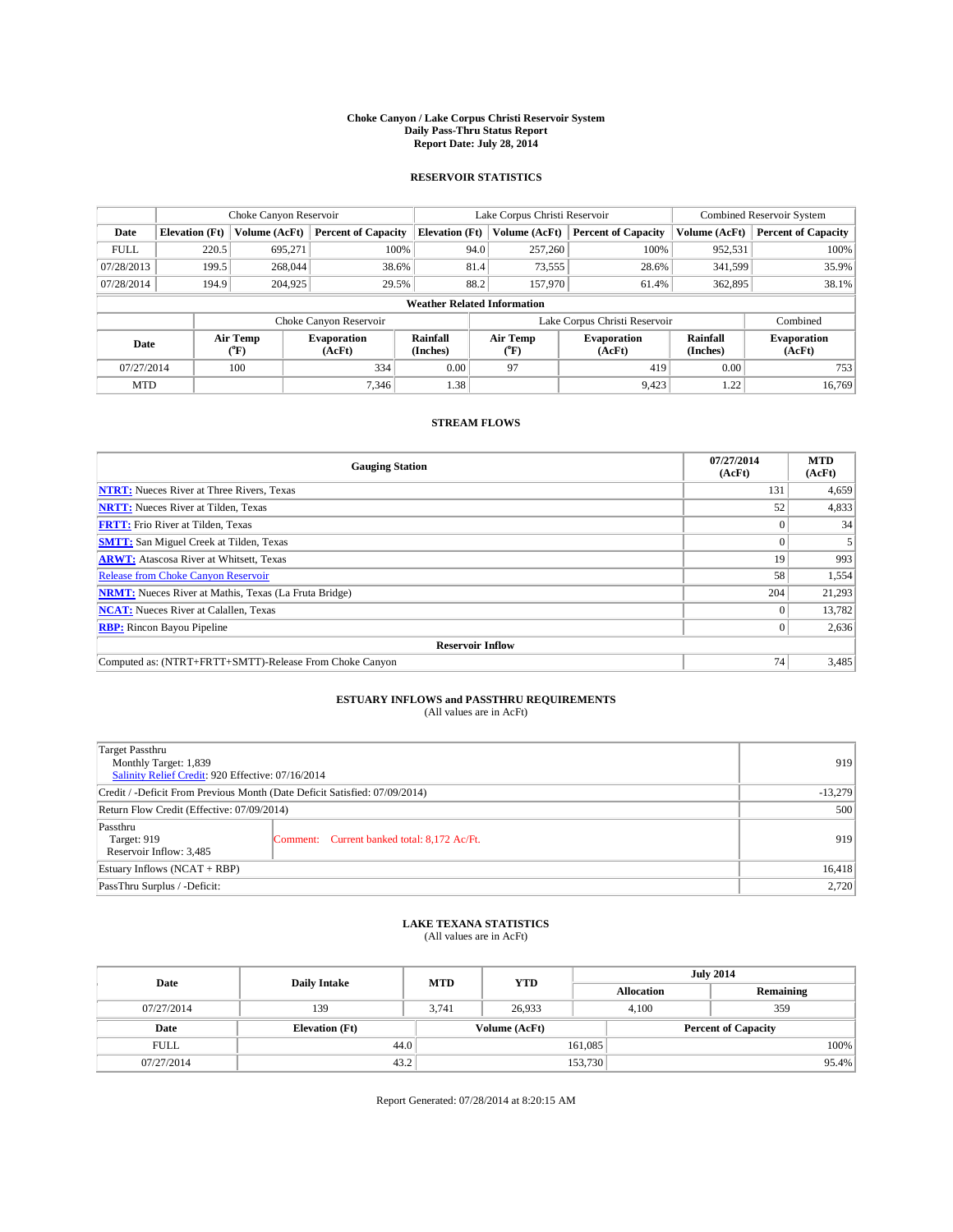#### **Choke Canyon / Lake Corpus Christi Reservoir System Daily Pass-Thru Status Report Report Date: July 28, 2014**

### **RESERVOIR STATISTICS**

|                          | Choke Canyon Reservoir             |                              |                            |                       | Lake Corpus Christi Reservoir | <b>Combined Reservoir System</b> |                              |                     |  |
|--------------------------|------------------------------------|------------------------------|----------------------------|-----------------------|-------------------------------|----------------------------------|------------------------------|---------------------|--|
| Date                     | <b>Elevation</b> (Ft)              | Volume (AcFt)                | <b>Percent of Capacity</b> | <b>Elevation (Ft)</b> | Volume (AcFt)                 | <b>Percent of Capacity</b>       | Volume (AcFt)                | Percent of Capacity |  |
| <b>FULL</b>              | 220.5                              | 695,271                      | 100%                       | 94.0                  | 257,260                       | 100%                             | 952,531                      | 100%                |  |
| 07/28/2013               | 199.5                              | 268,044                      | 38.6%                      | 81.4                  | 73,555                        | 28.6%                            | 341,599                      | 35.9%               |  |
| 07/28/2014               | 194.9                              | 204,925                      | 29.5%                      | 88.2                  | 157,970                       | 61.4%                            | 362,895                      | 38.1%               |  |
|                          | <b>Weather Related Information</b> |                              |                            |                       |                               |                                  |                              |                     |  |
|                          |                                    |                              | Choke Canyon Reservoir     |                       |                               | Lake Corpus Christi Reservoir    |                              | Combined            |  |
| Air Temp<br>Date<br>(°F) |                                    | <b>Evaporation</b><br>(AcFt) | Rainfall<br>(Inches)       | Air Temp<br>("F)      | <b>Evaporation</b><br>(AcFt)  | Rainfall<br>(Inches)             | <b>Evaporation</b><br>(AcFt) |                     |  |
| 07/27/2014               |                                    | 100                          | 334                        | 0.00                  | 97                            | 419                              | 0.00                         | 753                 |  |
| <b>MTD</b>               |                                    |                              | 7,346                      | 1.38                  |                               | 9.423                            | 1.22                         | 16,769              |  |

## **STREAM FLOWS**

| <b>Gauging Station</b>                                       | 07/27/2014<br>(AcFt) | <b>MTD</b><br>(AcFt) |  |  |  |  |
|--------------------------------------------------------------|----------------------|----------------------|--|--|--|--|
| <b>NTRT:</b> Nueces River at Three Rivers, Texas             | 131                  | 4,659                |  |  |  |  |
| <b>NRTT:</b> Nueces River at Tilden, Texas                   | 52                   | 4,833                |  |  |  |  |
| <b>FRTT:</b> Frio River at Tilden, Texas                     |                      | 34                   |  |  |  |  |
| <b>SMTT:</b> San Miguel Creek at Tilden, Texas               |                      | 5                    |  |  |  |  |
| <b>ARWT:</b> Atascosa River at Whitsett, Texas               | 19                   | 993                  |  |  |  |  |
| <b>Release from Choke Canyon Reservoir</b>                   | 58                   | 1,554                |  |  |  |  |
| <b>NRMT:</b> Nueces River at Mathis, Texas (La Fruta Bridge) | 204                  | 21,293               |  |  |  |  |
| <b>NCAT:</b> Nueces River at Calallen, Texas                 |                      | 13,782               |  |  |  |  |
| <b>RBP:</b> Rincon Bayou Pipeline                            | $\Omega$             | 2,636                |  |  |  |  |
| <b>Reservoir Inflow</b>                                      |                      |                      |  |  |  |  |
| Computed as: (NTRT+FRTT+SMTT)-Release From Choke Canyon      | 74                   | 3,485                |  |  |  |  |

# **ESTUARY INFLOWS and PASSTHRU REQUIREMENTS**<br>(All values are in AcFt)

| Target Passthru<br>Monthly Target: 1,839<br>Salinity Relief Credit: 920 Effective: 07/16/2014 |                                             | 919       |
|-----------------------------------------------------------------------------------------------|---------------------------------------------|-----------|
| Credit / -Deficit From Previous Month (Date Deficit Satisfied: 07/09/2014)                    |                                             | $-13,279$ |
| Return Flow Credit (Effective: 07/09/2014)                                                    | 500                                         |           |
| Passthru<br>Target: 919<br>Reservoir Inflow: 3,485                                            | Comment: Current banked total: 8,172 Ac/Ft. | 919       |
| Estuary Inflows (NCAT + RBP)                                                                  |                                             | 16,418    |
| PassThru Surplus / -Deficit:                                                                  | 2,720                                       |           |

## **LAKE TEXANA STATISTICS** (All values are in AcFt)

| Date        | <b>Daily Intake</b>   | <b>MTD</b> | <b>YTD</b>    | <b>July 2014</b>  |                            |  |
|-------------|-----------------------|------------|---------------|-------------------|----------------------------|--|
|             |                       |            |               | <b>Allocation</b> | Remaining                  |  |
| 07/27/2014  | 139                   | 3.741      | 26,933        | 4,100             | 359                        |  |
| Date        | <b>Elevation</b> (Ft) |            | Volume (AcFt) |                   | <b>Percent of Capacity</b> |  |
| <b>FULL</b> | 44.0                  |            |               | 161,085           | 100%                       |  |
| 07/27/2014  | 43.2                  |            |               | 153,730           | 95.4%                      |  |

Report Generated: 07/28/2014 at 8:20:15 AM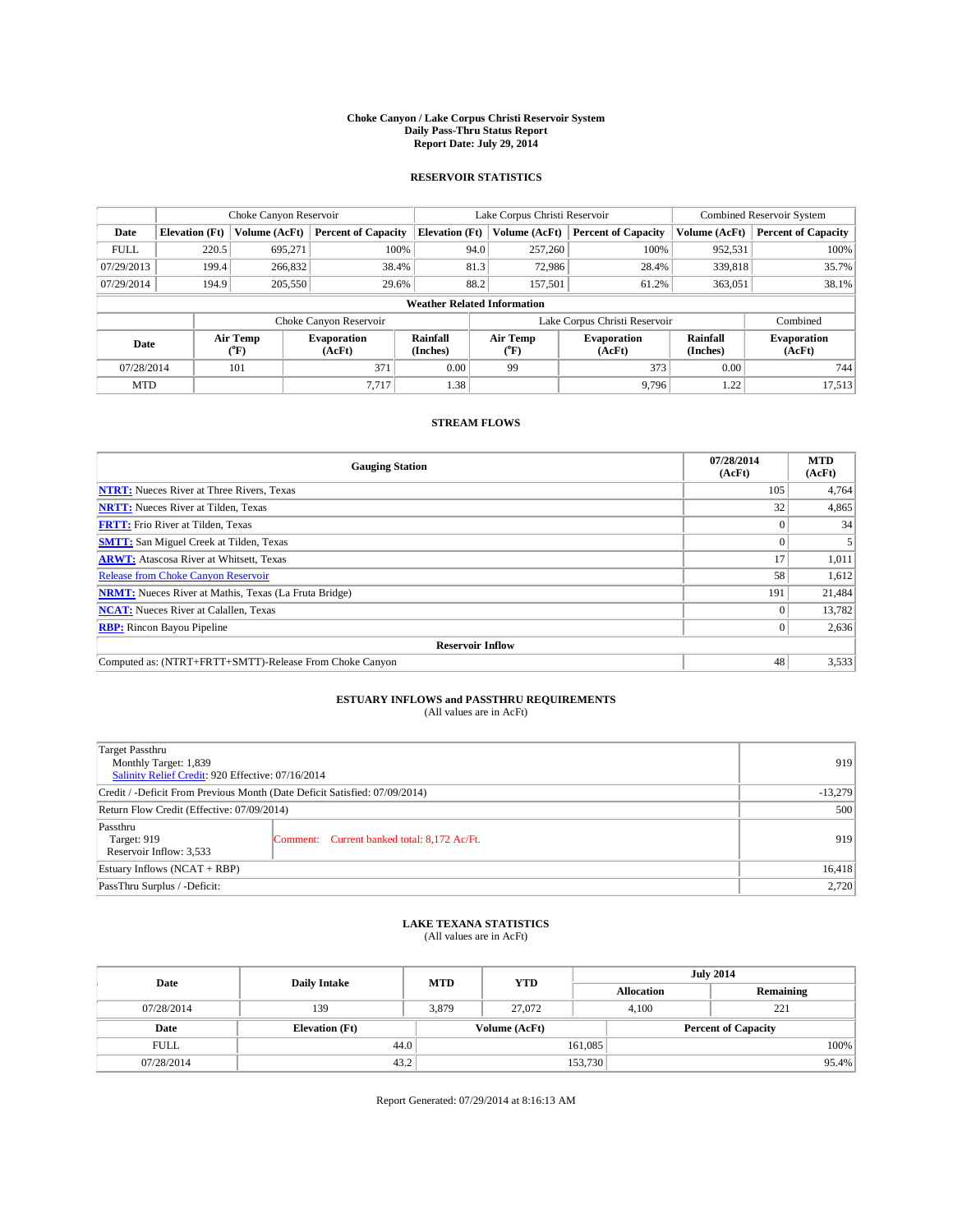#### **Choke Canyon / Lake Corpus Christi Reservoir System Daily Pass-Thru Status Report Report Date: July 29, 2014**

### **RESERVOIR STATISTICS**

|             | Choke Canyon Reservoir             |                  |                              |                       | Lake Corpus Christi Reservoir | <b>Combined Reservoir System</b> |                      |                              |  |
|-------------|------------------------------------|------------------|------------------------------|-----------------------|-------------------------------|----------------------------------|----------------------|------------------------------|--|
| Date        | <b>Elevation</b> (Ft)              | Volume (AcFt)    | <b>Percent of Capacity</b>   | <b>Elevation (Ft)</b> | Volume (AcFt)                 | <b>Percent of Capacity</b>       | Volume (AcFt)        | <b>Percent of Capacity</b>   |  |
| <b>FULL</b> | 220.5                              | 695,271          | 100%                         | 94.0                  | 257,260                       | 100%                             | 952,531              | 100%                         |  |
| 07/29/2013  | 199.4                              | 266,832          | 38.4%                        | 81.3                  | 72,986                        | 28.4%                            | 339,818              | 35.7%                        |  |
| 07/29/2014  | 194.9                              | 205,550          | 29.6%                        | 88.2                  | 157.501                       | 61.2%                            | 363,051              | 38.1%                        |  |
|             | <b>Weather Related Information</b> |                  |                              |                       |                               |                                  |                      |                              |  |
|             |                                    |                  | Choke Canyon Reservoir       |                       |                               | Lake Corpus Christi Reservoir    |                      | Combined                     |  |
| Date        |                                    | Air Temp<br>(°F) | <b>Evaporation</b><br>(AcFt) | Rainfall<br>(Inches)  | Air Temp<br>(°F)              | <b>Evaporation</b><br>(AcFt)     | Rainfall<br>(Inches) | <b>Evaporation</b><br>(AcFt) |  |
| 07/28/2014  |                                    | 101              | 371                          | 0.00                  | 99                            | 373                              | 0.00                 | 744                          |  |
| <b>MTD</b>  |                                    |                  | 7.717                        | 1.38                  |                               | 9,796                            | 1.22                 | 17,513                       |  |

## **STREAM FLOWS**

| <b>Gauging Station</b>                                       | 07/28/2014<br>(AcFt) | <b>MTD</b><br>(AcFt) |  |  |  |  |
|--------------------------------------------------------------|----------------------|----------------------|--|--|--|--|
| <b>NTRT:</b> Nueces River at Three Rivers, Texas             | 105                  | 4,764                |  |  |  |  |
| <b>NRTT:</b> Nueces River at Tilden, Texas                   | 32                   | 4,865                |  |  |  |  |
| <b>FRTT:</b> Frio River at Tilden, Texas                     |                      | 34                   |  |  |  |  |
| <b>SMTT:</b> San Miguel Creek at Tilden, Texas               |                      |                      |  |  |  |  |
| <b>ARWT:</b> Atascosa River at Whitsett, Texas               | 17                   | 1,011                |  |  |  |  |
| Release from Choke Canyon Reservoir                          | 58                   | 1,612                |  |  |  |  |
| <b>NRMT:</b> Nueces River at Mathis, Texas (La Fruta Bridge) | 191                  | 21,484               |  |  |  |  |
| <b>NCAT:</b> Nueces River at Calallen, Texas                 |                      | 13,782               |  |  |  |  |
| <b>RBP:</b> Rincon Bayou Pipeline                            | $_{0}$               | 2,636                |  |  |  |  |
| <b>Reservoir Inflow</b>                                      |                      |                      |  |  |  |  |
| Computed as: (NTRT+FRTT+SMTT)-Release From Choke Canyon      | 48                   | 3,533                |  |  |  |  |

# **ESTUARY INFLOWS and PASSTHRU REQUIREMENTS**<br>(All values are in AcFt)

| Target Passthru<br>Monthly Target: 1,839<br>Salinity Relief Credit: 920 Effective: 07/16/2014 |                                             | 919       |
|-----------------------------------------------------------------------------------------------|---------------------------------------------|-----------|
| Credit / -Deficit From Previous Month (Date Deficit Satisfied: 07/09/2014)                    |                                             | $-13,279$ |
| Return Flow Credit (Effective: 07/09/2014)                                                    |                                             | 500       |
| Passthru<br>Target: 919<br>Reservoir Inflow: 3,533                                            | Comment: Current banked total: 8,172 Ac/Ft. | 919       |
| Estuary Inflows (NCAT + RBP)                                                                  | 16,418                                      |           |
| PassThru Surplus / -Deficit:                                                                  |                                             |           |

## **LAKE TEXANA STATISTICS** (All values are in AcFt)

| Date        | <b>Daily Intake</b>   | <b>MTD</b> | <b>YTD</b>    | <b>July 2014</b>  |                            |           |
|-------------|-----------------------|------------|---------------|-------------------|----------------------------|-----------|
|             |                       |            |               | <b>Allocation</b> |                            | Remaining |
| 07/28/2014  | 139                   | 3,879      | 27,072        | 4,100             |                            | 221       |
| Date        | <b>Elevation</b> (Ft) |            | Volume (AcFt) |                   | <b>Percent of Capacity</b> |           |
| <b>FULL</b> | 44.0                  |            |               | 161,085           |                            | 100%      |
| 07/28/2014  | 43.2                  |            |               | 153,730           |                            | 95.4%     |

Report Generated: 07/29/2014 at 8:16:13 AM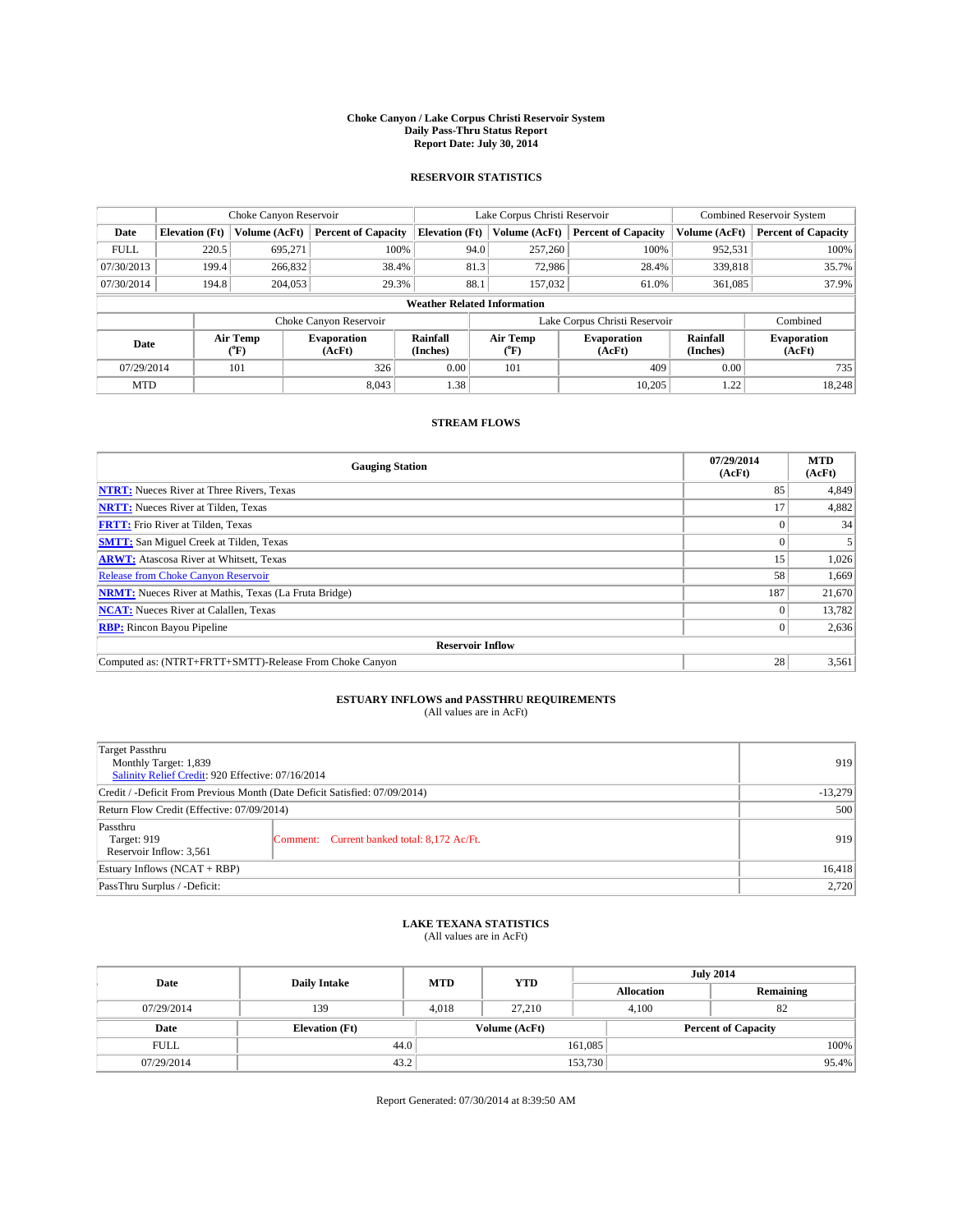#### **Choke Canyon / Lake Corpus Christi Reservoir System Daily Pass-Thru Status Report Report Date: July 30, 2014**

### **RESERVOIR STATISTICS**

|             | Choke Canyon Reservoir             |                  |                              |                       | Lake Corpus Christi Reservoir | <b>Combined Reservoir System</b> |                      |                              |  |
|-------------|------------------------------------|------------------|------------------------------|-----------------------|-------------------------------|----------------------------------|----------------------|------------------------------|--|
| Date        | <b>Elevation</b> (Ft)              | Volume (AcFt)    | <b>Percent of Capacity</b>   | <b>Elevation (Ft)</b> | Volume (AcFt)                 | <b>Percent of Capacity</b>       | Volume (AcFt)        | <b>Percent of Capacity</b>   |  |
| <b>FULL</b> | 220.5                              | 695.271          | 100%                         | 94.0                  | 257,260                       | 100%                             | 952,531              | 100%                         |  |
| 07/30/2013  | 199.4                              | 266,832          | 38.4%                        | 81.3                  | 72,986                        | 28.4%                            | 339,818              | 35.7%                        |  |
| 07/30/2014  | 194.8                              | 204,053          | 29.3%                        | 88.1                  | 157,032                       | 61.0%                            | 361,085              | 37.9%                        |  |
|             | <b>Weather Related Information</b> |                  |                              |                       |                               |                                  |                      |                              |  |
|             |                                    |                  | Choke Canyon Reservoir       |                       |                               | Lake Corpus Christi Reservoir    |                      | Combined                     |  |
| Date        |                                    | Air Temp<br>(°F) | <b>Evaporation</b><br>(AcFt) | Rainfall<br>(Inches)  | Air Temp<br>$(^{0}F)$         | <b>Evaporation</b><br>(AcFt)     | Rainfall<br>(Inches) | <b>Evaporation</b><br>(AcFt) |  |
| 07/29/2014  |                                    | 101              | 326                          | 0.00                  | 101                           | 409                              | 0.00                 | 735                          |  |
| <b>MTD</b>  |                                    |                  | 8.043                        | 1.38                  |                               | 10,205                           | 1.22                 | 18,248                       |  |

## **STREAM FLOWS**

| <b>Gauging Station</b>                                       | 07/29/2014<br>(AcFt) | <b>MTD</b><br>(AcFt) |  |  |  |
|--------------------------------------------------------------|----------------------|----------------------|--|--|--|
| <b>NTRT:</b> Nueces River at Three Rivers, Texas             | 85                   | 4,849                |  |  |  |
| <b>NRTT:</b> Nueces River at Tilden, Texas                   | 17                   | 4,882                |  |  |  |
| <b>FRTT:</b> Frio River at Tilden, Texas                     |                      | 34                   |  |  |  |
| <b>SMTT:</b> San Miguel Creek at Tilden, Texas               |                      |                      |  |  |  |
| <b>ARWT:</b> Atascosa River at Whitsett, Texas               | 15                   | 1,026                |  |  |  |
| <b>Release from Choke Canyon Reservoir</b>                   | 58                   | 1,669                |  |  |  |
| <b>NRMT:</b> Nueces River at Mathis, Texas (La Fruta Bridge) | 187                  | 21,670               |  |  |  |
| <b>NCAT:</b> Nueces River at Calallen, Texas                 |                      | 13,782               |  |  |  |
| <b>RBP:</b> Rincon Bayou Pipeline                            | 0 <sup>1</sup>       | 2,636                |  |  |  |
| <b>Reservoir Inflow</b>                                      |                      |                      |  |  |  |
| Computed as: (NTRT+FRTT+SMTT)-Release From Choke Canyon      | 28                   | 3,561                |  |  |  |

# **ESTUARY INFLOWS and PASSTHRU REQUIREMENTS**<br>(All values are in AcFt)

| Target Passthru<br>Monthly Target: 1,839<br>Salinity Relief Credit: 920 Effective: 07/16/2014 |                                             | 919       |
|-----------------------------------------------------------------------------------------------|---------------------------------------------|-----------|
| Credit / -Deficit From Previous Month (Date Deficit Satisfied: 07/09/2014)                    |                                             | $-13,279$ |
| Return Flow Credit (Effective: 07/09/2014)                                                    |                                             | 500       |
| Passthru<br>Target: 919<br>Reservoir Inflow: 3,561                                            | Comment: Current banked total: 8,172 Ac/Ft. | 919       |
| Estuary Inflows (NCAT + RBP)                                                                  |                                             | 16,418    |
| PassThru Surplus / -Deficit:                                                                  | 2,720                                       |           |

## **LAKE TEXANA STATISTICS** (All values are in AcFt)

| Date        | <b>Daily Intake</b>   | <b>MTD</b> | <b>YTD</b>    | <b>July 2014</b>  |                            |  |
|-------------|-----------------------|------------|---------------|-------------------|----------------------------|--|
|             |                       |            |               | <b>Allocation</b> | Remaining                  |  |
| 07/29/2014  | 139                   | 4.018      | 27.210        | 4,100             | 82                         |  |
| Date        | <b>Elevation</b> (Ft) |            | Volume (AcFt) |                   | <b>Percent of Capacity</b> |  |
| <b>FULL</b> | 44.0                  |            |               | 161,085           | 100%                       |  |
| 07/29/2014  | 43.2                  |            |               | 153,730           | 95.4%                      |  |

Report Generated: 07/30/2014 at 8:39:50 AM